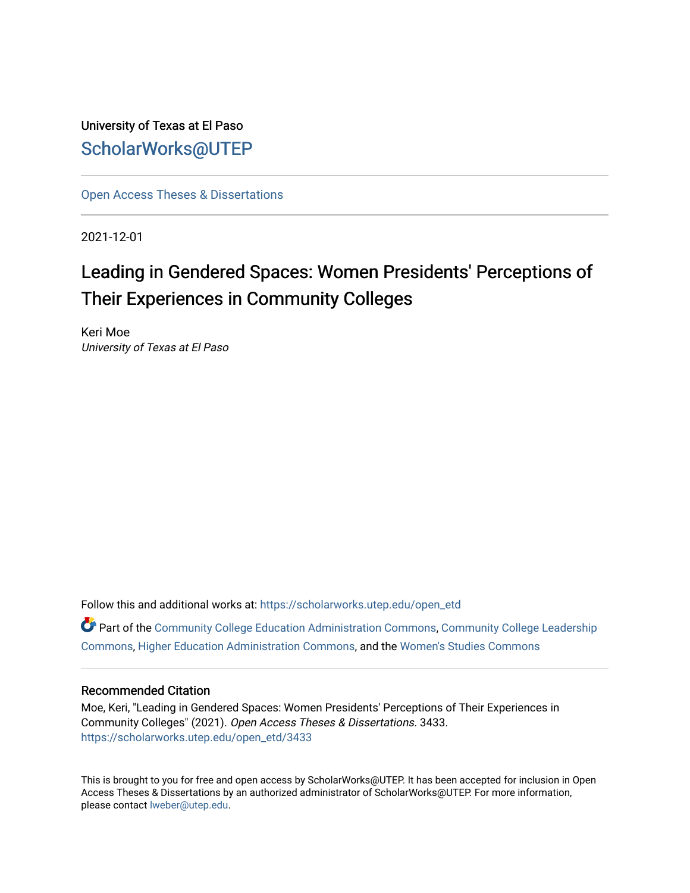University of Texas at El Paso [ScholarWorks@UTEP](https://scholarworks.utep.edu/)

[Open Access Theses & Dissertations](https://scholarworks.utep.edu/open_etd) 

2021-12-01

# Leading in Gendered Spaces: Women Presidents' Perceptions of Their Experiences in Community Colleges

Keri Moe University of Texas at El Paso

Follow this and additional works at: [https://scholarworks.utep.edu/open\\_etd](https://scholarworks.utep.edu/open_etd?utm_source=scholarworks.utep.edu%2Fopen_etd%2F3433&utm_medium=PDF&utm_campaign=PDFCoverPages)

Part of the [Community College Education Administration Commons](http://network.bepress.com/hgg/discipline/792?utm_source=scholarworks.utep.edu%2Fopen_etd%2F3433&utm_medium=PDF&utm_campaign=PDFCoverPages), [Community College Leadership](http://network.bepress.com/hgg/discipline/1039?utm_source=scholarworks.utep.edu%2Fopen_etd%2F3433&utm_medium=PDF&utm_campaign=PDFCoverPages) [Commons](http://network.bepress.com/hgg/discipline/1039?utm_source=scholarworks.utep.edu%2Fopen_etd%2F3433&utm_medium=PDF&utm_campaign=PDFCoverPages), [Higher Education Administration Commons](http://network.bepress.com/hgg/discipline/791?utm_source=scholarworks.utep.edu%2Fopen_etd%2F3433&utm_medium=PDF&utm_campaign=PDFCoverPages), and the [Women's Studies Commons](http://network.bepress.com/hgg/discipline/561?utm_source=scholarworks.utep.edu%2Fopen_etd%2F3433&utm_medium=PDF&utm_campaign=PDFCoverPages)

# Recommended Citation

Moe, Keri, "Leading in Gendered Spaces: Women Presidents' Perceptions of Their Experiences in Community Colleges" (2021). Open Access Theses & Dissertations. 3433. [https://scholarworks.utep.edu/open\\_etd/3433](https://scholarworks.utep.edu/open_etd/3433?utm_source=scholarworks.utep.edu%2Fopen_etd%2F3433&utm_medium=PDF&utm_campaign=PDFCoverPages) 

This is brought to you for free and open access by ScholarWorks@UTEP. It has been accepted for inclusion in Open Access Theses & Dissertations by an authorized administrator of ScholarWorks@UTEP. For more information, please contact [lweber@utep.edu.](mailto:lweber@utep.edu)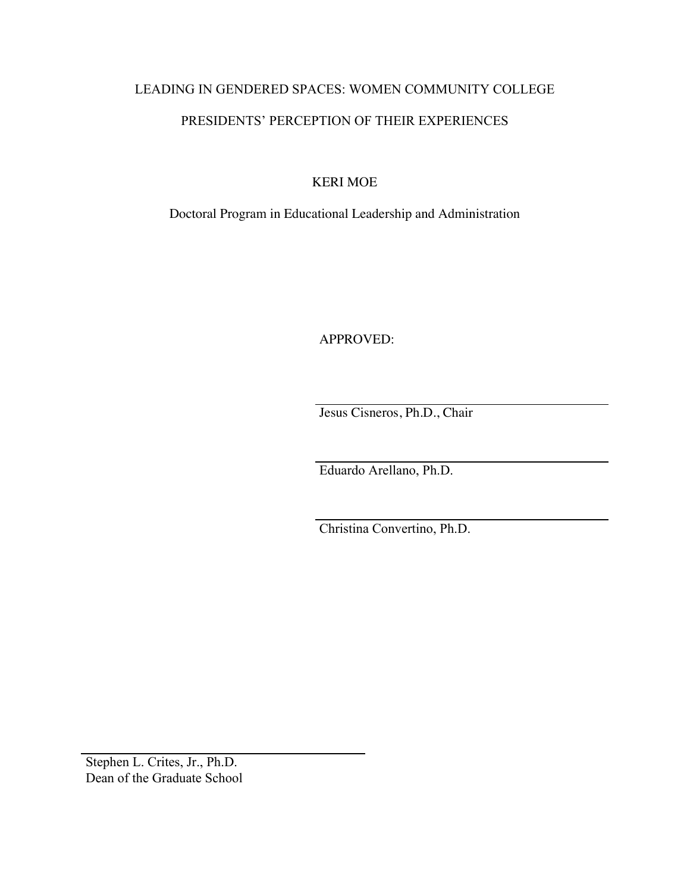# LEADING IN GENDERED SPACES: WOMEN COMMUNITY COLLEGE PRESIDENTS' PERCEPTION OF THEIR EXPERIENCES

KERI MOE

Doctoral Program in Educational Leadership and Administration

APPROVED:

Jesus Cisneros, Ph.D., Chair

Eduardo Arellano, Ph.D.

Christina Convertino, Ph.D.

Stephen L. Crites, Jr., Ph.D. Dean of the Graduate School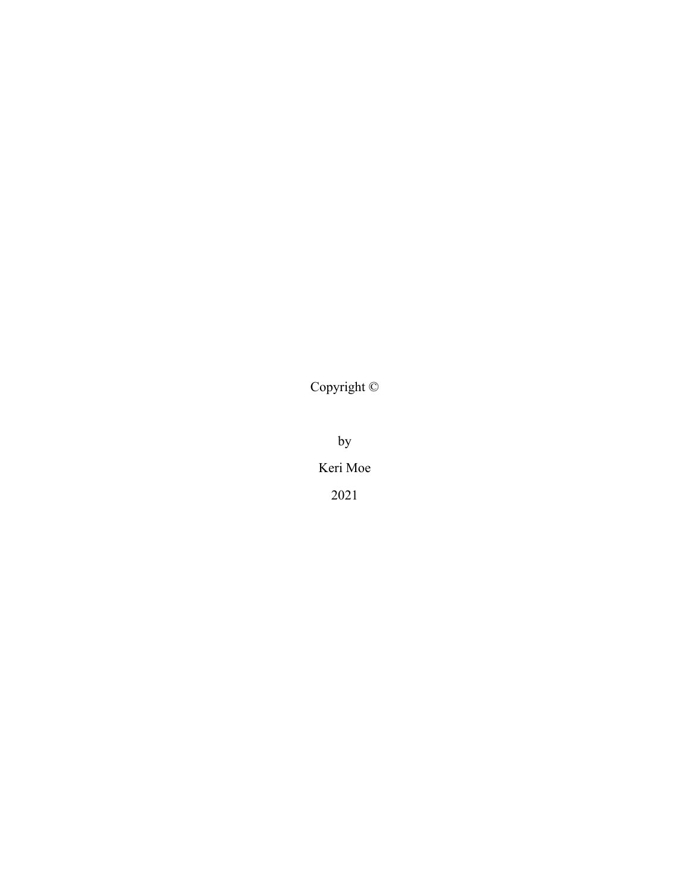Copyright ©

by Keri Moe 2021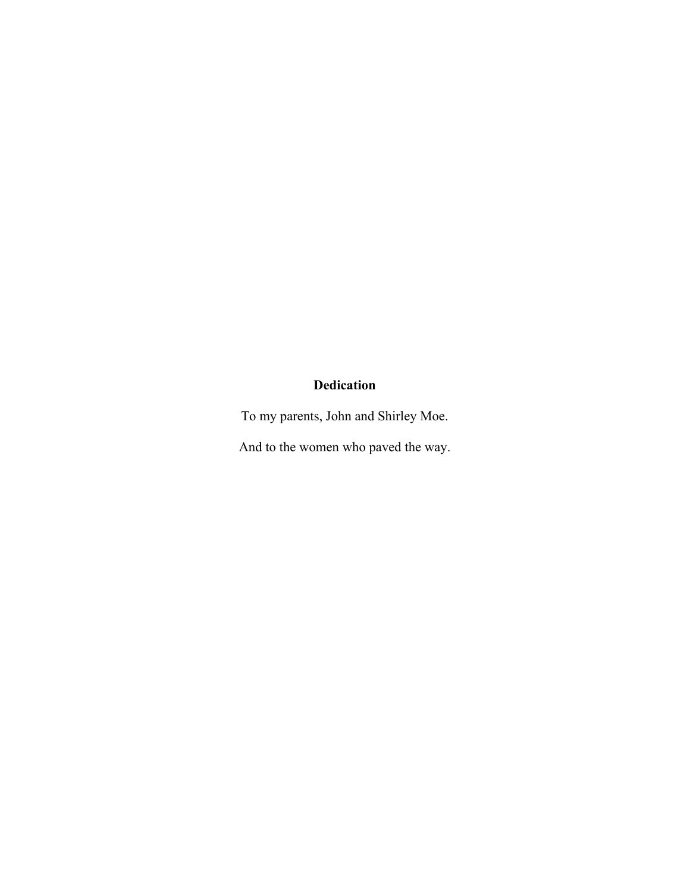# **Dedication**

To my parents, John and Shirley Moe.

And to the women who paved the way.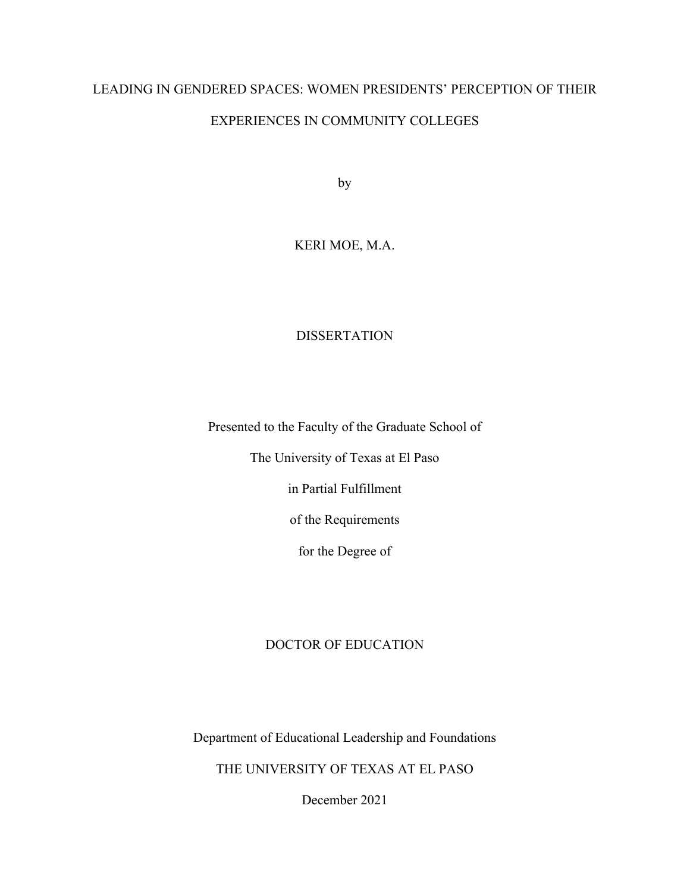# LEADING IN GENDERED SPACES: WOMEN PRESIDENTS' PERCEPTION OF THEIR EXPERIENCES IN COMMUNITY COLLEGES

by

# KERI MOE, M.A.

# DISSERTATION

Presented to the Faculty of the Graduate School of

The University of Texas at El Paso

in Partial Fulfillment

of the Requirements

for the Degree of

# DOCTOR OF EDUCATION

Department of Educational Leadership and Foundations

THE UNIVERSITY OF TEXAS AT EL PASO

December 2021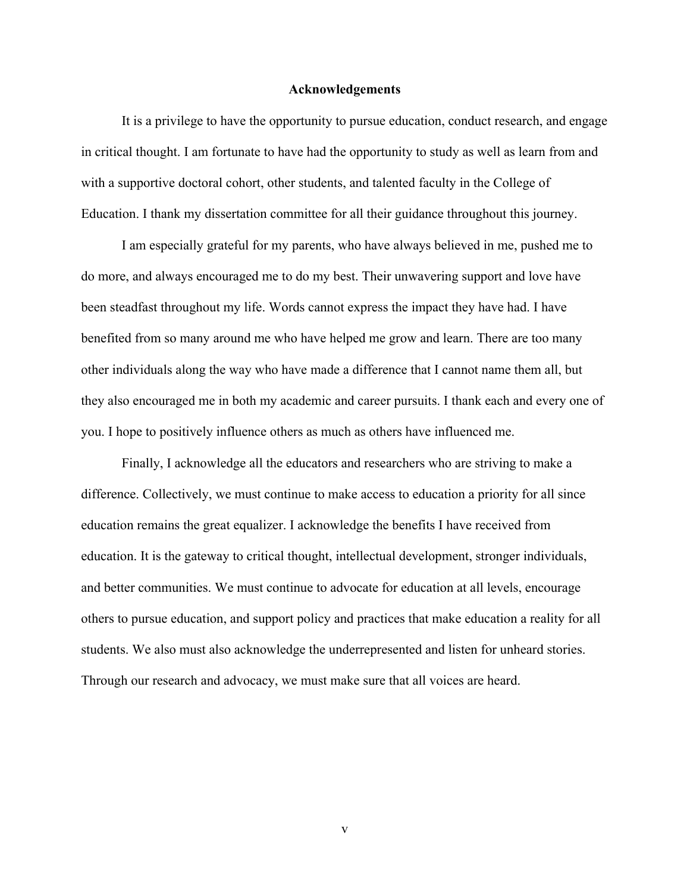#### **Acknowledgements**

It is a privilege to have the opportunity to pursue education, conduct research, and engage in critical thought. I am fortunate to have had the opportunity to study as well as learn from and with a supportive doctoral cohort, other students, and talented faculty in the College of Education. I thank my dissertation committee for all their guidance throughout this journey.

I am especially grateful for my parents, who have always believed in me, pushed me to do more, and always encouraged me to do my best. Their unwavering support and love have been steadfast throughout my life. Words cannot express the impact they have had. I have benefited from so many around me who have helped me grow and learn. There are too many other individuals along the way who have made a difference that I cannot name them all, but they also encouraged me in both my academic and career pursuits. I thank each and every one of you. I hope to positively influence others as much as others have influenced me.

Finally, I acknowledge all the educators and researchers who are striving to make a difference. Collectively, we must continue to make access to education a priority for all since education remains the great equalizer. I acknowledge the benefits I have received from education. It is the gateway to critical thought, intellectual development, stronger individuals, and better communities. We must continue to advocate for education at all levels, encourage others to pursue education, and support policy and practices that make education a reality for all students. We also must also acknowledge the underrepresented and listen for unheard stories. Through our research and advocacy, we must make sure that all voices are heard.

v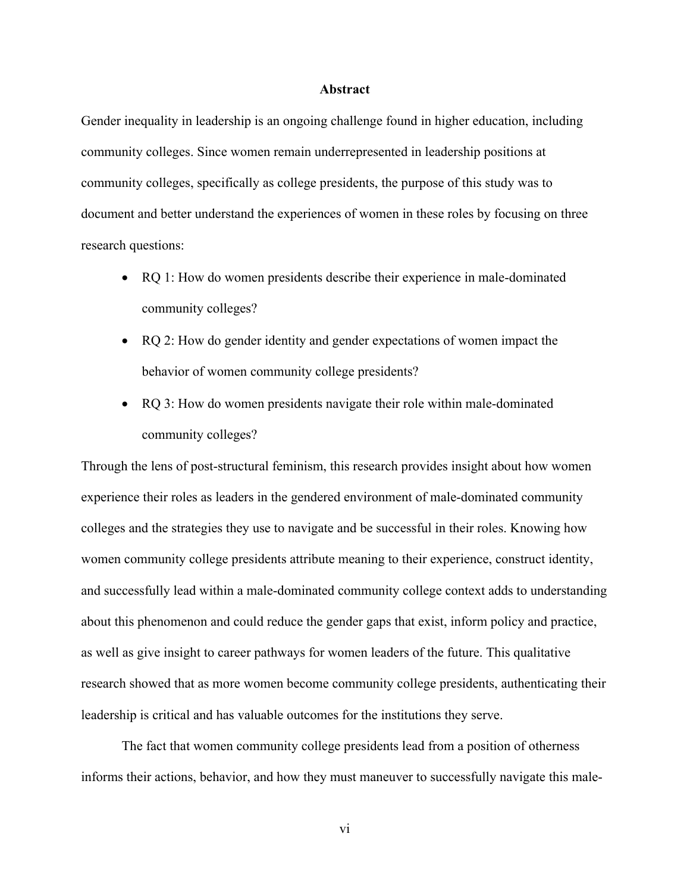# **Abstract**

Gender inequality in leadership is an ongoing challenge found in higher education, including community colleges. Since women remain underrepresented in leadership positions at community colleges, specifically as college presidents, the purpose of this study was to document and better understand the experiences of women in these roles by focusing on three research questions:

- RQ 1: How do women presidents describe their experience in male-dominated community colleges?
- RQ 2: How do gender identity and gender expectations of women impact the behavior of women community college presidents?
- RQ 3: How do women presidents navigate their role within male-dominated community colleges?

Through the lens of post-structural feminism, this research provides insight about how women experience their roles as leaders in the gendered environment of male-dominated community colleges and the strategies they use to navigate and be successful in their roles. Knowing how women community college presidents attribute meaning to their experience, construct identity, and successfully lead within a male-dominated community college context adds to understanding about this phenomenon and could reduce the gender gaps that exist, inform policy and practice, as well as give insight to career pathways for women leaders of the future. This qualitative research showed that as more women become community college presidents, authenticating their leadership is critical and has valuable outcomes for the institutions they serve.

The fact that women community college presidents lead from a position of otherness informs their actions, behavior, and how they must maneuver to successfully navigate this male-

vi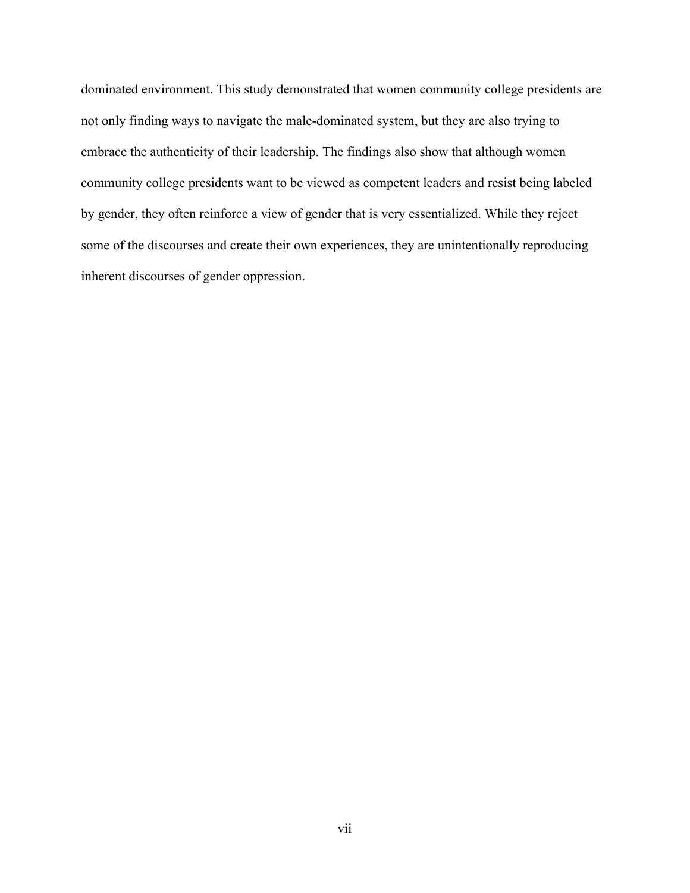dominated environment. This study demonstrated that women community college presidents are not only finding ways to navigate the male-dominated system, but they are also trying to embrace the authenticity of their leadership. The findings also show that although women community college presidents want to be viewed as competent leaders and resist being labeled by gender, they often reinforce a view of gender that is very essentialized. While they reject some of the discourses and create their own experiences, they are unintentionally reproducing inherent discourses of gender oppression.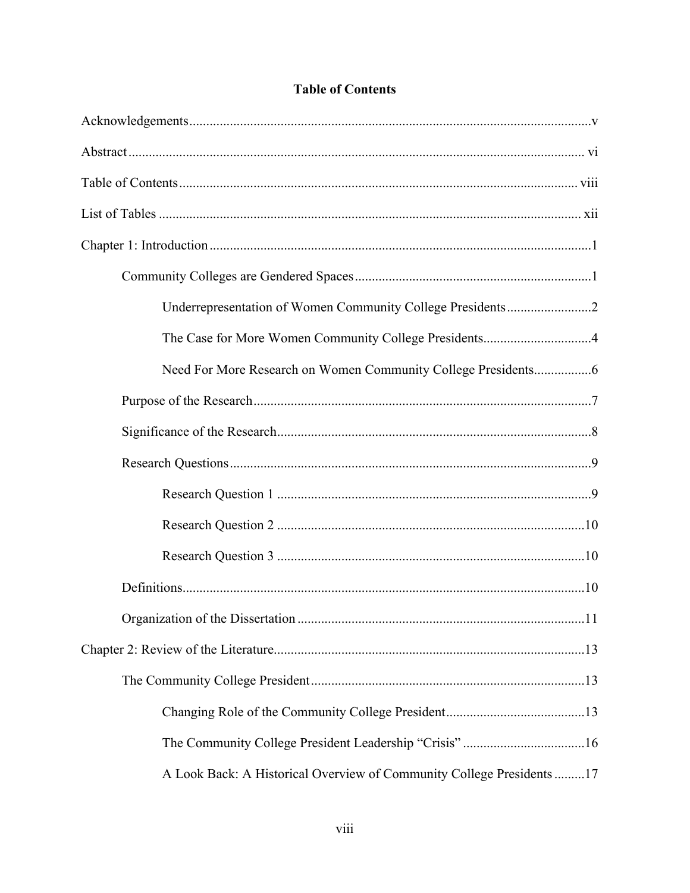| The Case for More Women Community College Presidents4                  |
|------------------------------------------------------------------------|
|                                                                        |
|                                                                        |
|                                                                        |
|                                                                        |
|                                                                        |
|                                                                        |
|                                                                        |
|                                                                        |
|                                                                        |
|                                                                        |
|                                                                        |
|                                                                        |
|                                                                        |
| A Look Back: A Historical Overview of Community College Presidents  17 |

# **Table of Contents**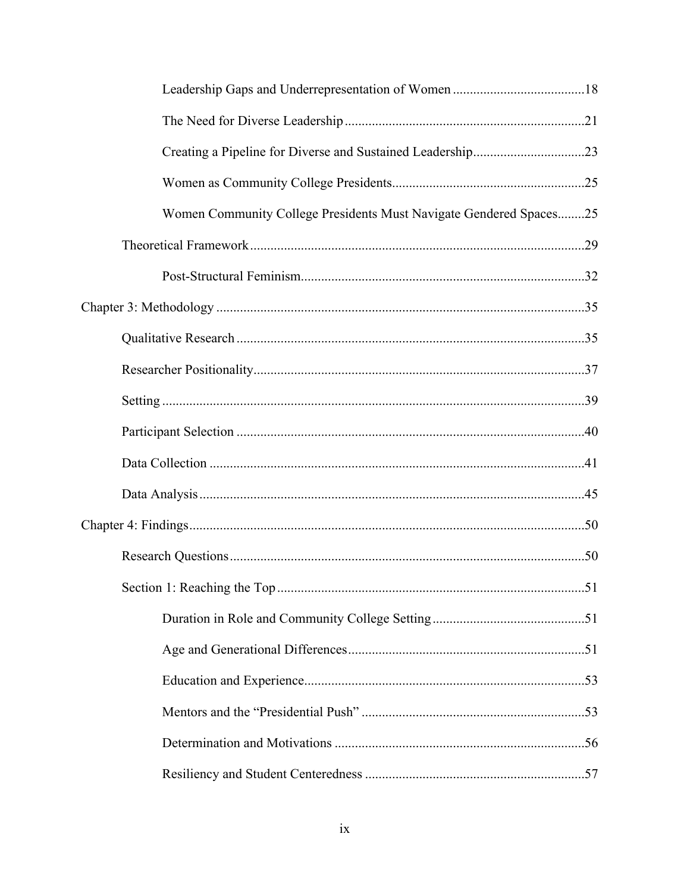| Women Community College Presidents Must Navigate Gendered Spaces25 |
|--------------------------------------------------------------------|
|                                                                    |
|                                                                    |
|                                                                    |
|                                                                    |
|                                                                    |
|                                                                    |
|                                                                    |
|                                                                    |
|                                                                    |
|                                                                    |
|                                                                    |
|                                                                    |
|                                                                    |
|                                                                    |
|                                                                    |
|                                                                    |
|                                                                    |
|                                                                    |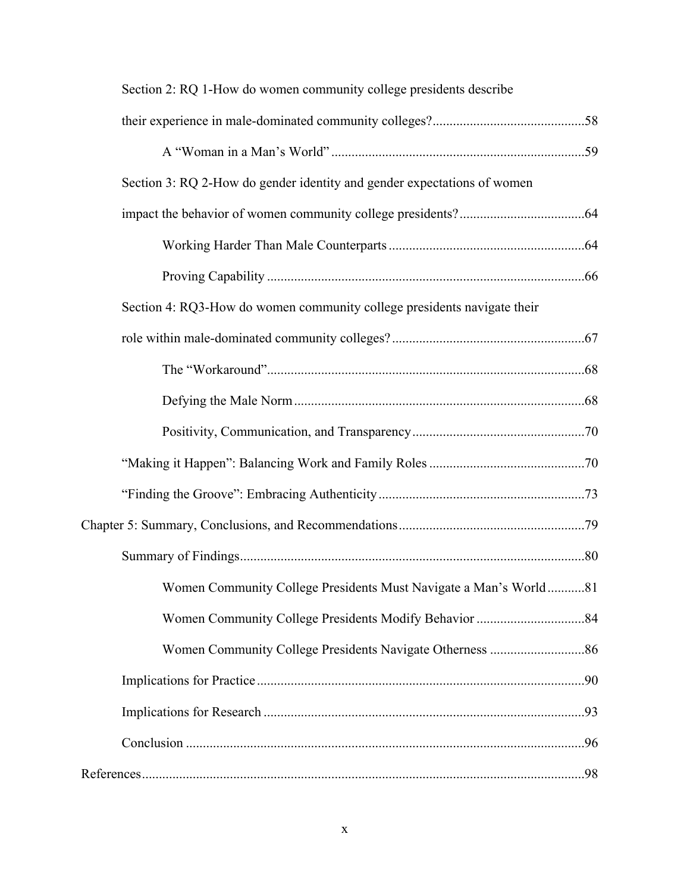| Section 2: RQ 1-How do women community college presidents describe      |  |
|-------------------------------------------------------------------------|--|
|                                                                         |  |
|                                                                         |  |
| Section 3: RQ 2-How do gender identity and gender expectations of women |  |
|                                                                         |  |
|                                                                         |  |
|                                                                         |  |
| Section 4: RQ3-How do women community college presidents navigate their |  |
|                                                                         |  |
|                                                                         |  |
|                                                                         |  |
|                                                                         |  |
|                                                                         |  |
|                                                                         |  |
|                                                                         |  |
|                                                                         |  |
| Women Community College Presidents Must Navigate a Man's World81        |  |
|                                                                         |  |
|                                                                         |  |
|                                                                         |  |
|                                                                         |  |
|                                                                         |  |
|                                                                         |  |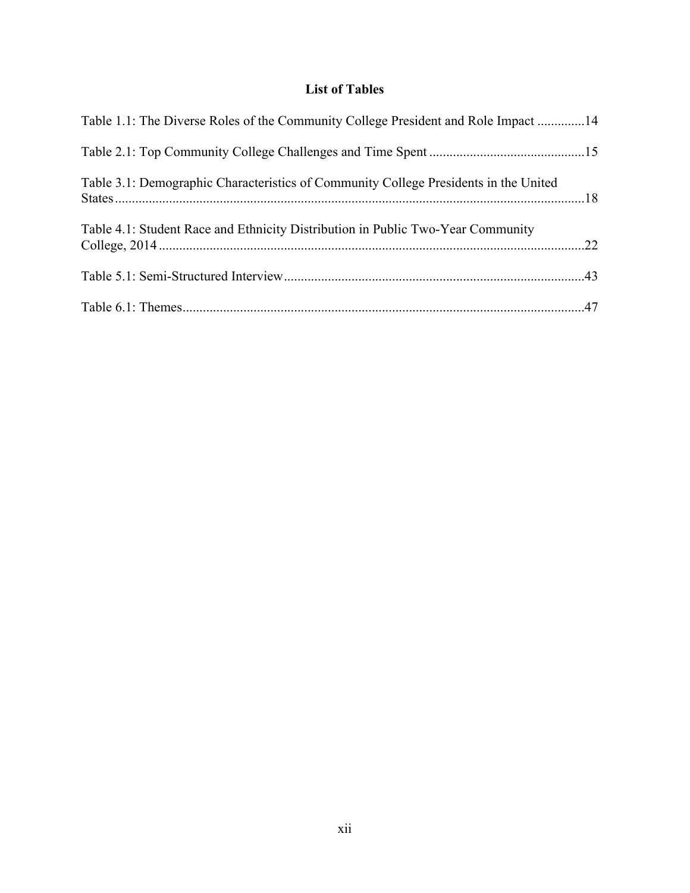# **List of Tables**

| Table 1.1: The Diverse Roles of the Community College President and Role Impact 14   |  |
|--------------------------------------------------------------------------------------|--|
|                                                                                      |  |
| Table 3.1: Demographic Characteristics of Community College Presidents in the United |  |
| Table 4.1: Student Race and Ethnicity Distribution in Public Two-Year Community      |  |
|                                                                                      |  |
|                                                                                      |  |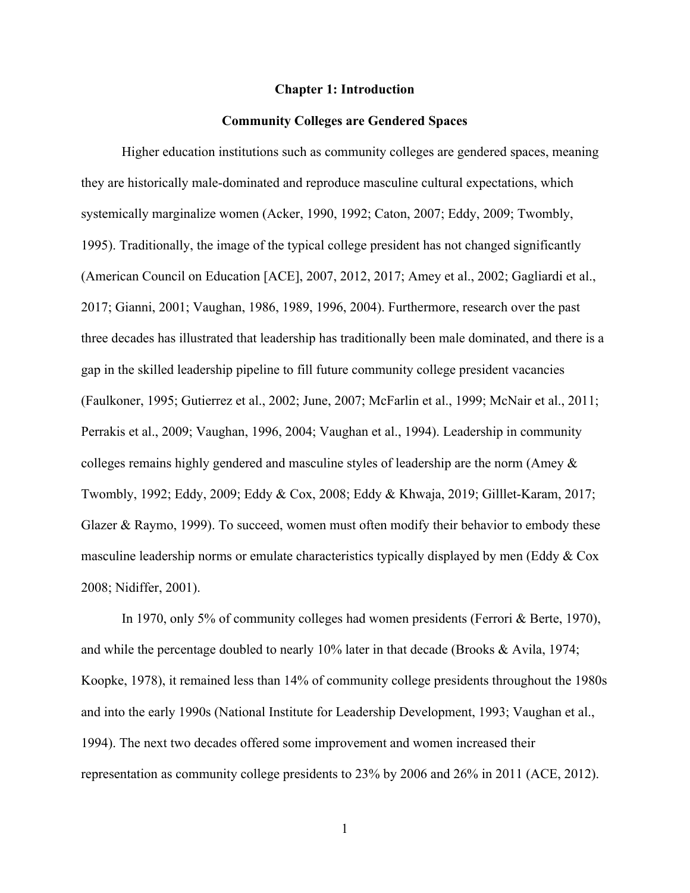## **Chapter 1: Introduction**

# **Community Colleges are Gendered Spaces**

Higher education institutions such as community colleges are gendered spaces, meaning they are historically male-dominated and reproduce masculine cultural expectations, which systemically marginalize women (Acker, 1990, 1992; Caton, 2007; Eddy, 2009; Twombly, 1995). Traditionally, the image of the typical college president has not changed significantly (American Council on Education [ACE], 2007, 2012, 2017; Amey et al., 2002; Gagliardi et al., 2017; Gianni, 2001; Vaughan, 1986, 1989, 1996, 2004). Furthermore, research over the past three decades has illustrated that leadership has traditionally been male dominated, and there is a gap in the skilled leadership pipeline to fill future community college president vacancies (Faulkoner, 1995; Gutierrez et al., 2002; June, 2007; McFarlin et al., 1999; McNair et al., 2011; Perrakis et al., 2009; Vaughan, 1996, 2004; Vaughan et al., 1994). Leadership in community colleges remains highly gendered and masculine styles of leadership are the norm (Amey & Twombly, 1992; Eddy, 2009; Eddy & Cox, 2008; Eddy & Khwaja, 2019; Gilllet-Karam, 2017; Glazer & Raymo, 1999). To succeed, women must often modify their behavior to embody these masculine leadership norms or emulate characteristics typically displayed by men (Eddy & Cox 2008; Nidiffer, 2001).

In 1970, only 5% of community colleges had women presidents (Ferrori & Berte, 1970), and while the percentage doubled to nearly 10% later in that decade (Brooks & Avila, 1974; Koopke, 1978), it remained less than 14% of community college presidents throughout the 1980s and into the early 1990s (National Institute for Leadership Development, 1993; Vaughan et al., 1994). The next two decades offered some improvement and women increased their representation as community college presidents to 23% by 2006 and 26% in 2011 (ACE, 2012).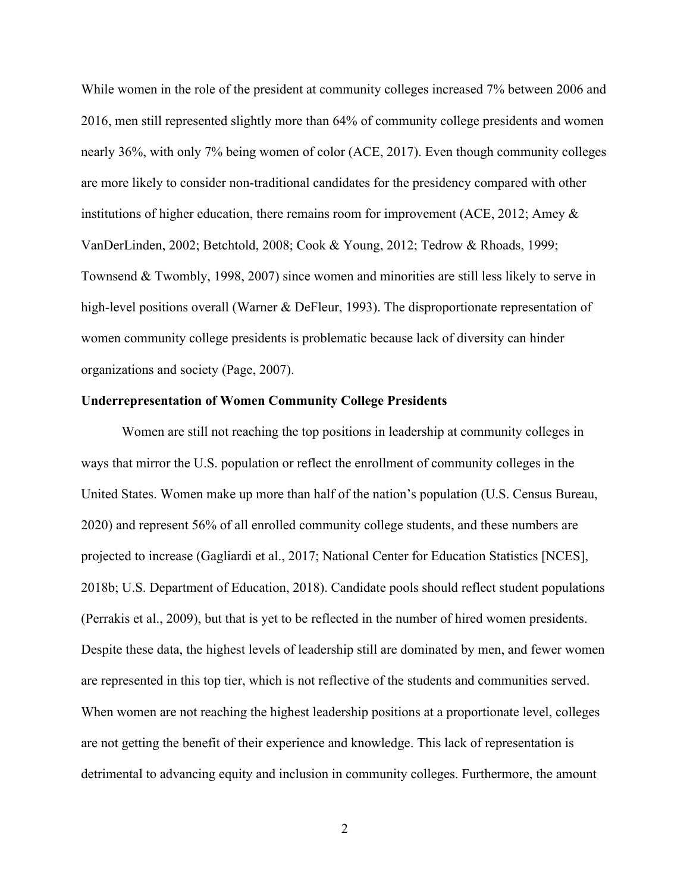While women in the role of the president at community colleges increased 7% between 2006 and 2016, men still represented slightly more than 64% of community college presidents and women nearly 36%, with only 7% being women of color (ACE, 2017). Even though community colleges are more likely to consider non-traditional candidates for the presidency compared with other institutions of higher education, there remains room for improvement (ACE, 2012; Amey & VanDerLinden, 2002; Betchtold, 2008; Cook & Young, 2012; Tedrow & Rhoads, 1999; Townsend & Twombly, 1998, 2007) since women and minorities are still less likely to serve in high-level positions overall (Warner & DeFleur, 1993). The disproportionate representation of women community college presidents is problematic because lack of diversity can hinder organizations and society (Page, 2007).

### **Underrepresentation of Women Community College Presidents**

Women are still not reaching the top positions in leadership at community colleges in ways that mirror the U.S. population or reflect the enrollment of community colleges in the United States. Women make up more than half of the nation's population (U.S. Census Bureau, 2020) and represent 56% of all enrolled community college students, and these numbers are projected to increase (Gagliardi et al., 2017; National Center for Education Statistics [NCES], 2018b; U.S. Department of Education, 2018). Candidate pools should reflect student populations (Perrakis et al., 2009), but that is yet to be reflected in the number of hired women presidents. Despite these data, the highest levels of leadership still are dominated by men, and fewer women are represented in this top tier, which is not reflective of the students and communities served. When women are not reaching the highest leadership positions at a proportionate level, colleges are not getting the benefit of their experience and knowledge. This lack of representation is detrimental to advancing equity and inclusion in community colleges. Furthermore, the amount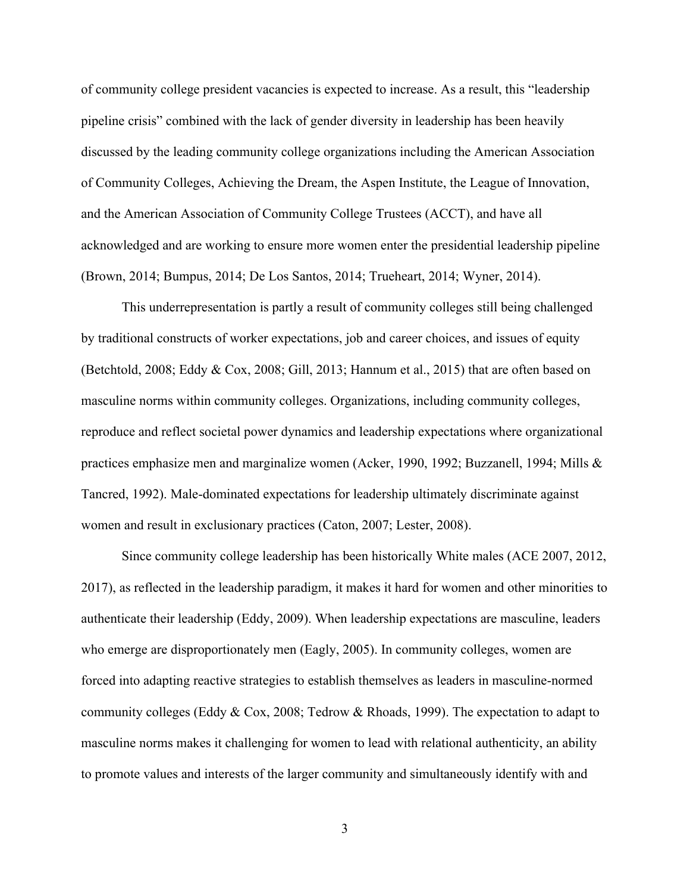of community college president vacancies is expected to increase. As a result, this "leadership pipeline crisis" combined with the lack of gender diversity in leadership has been heavily discussed by the leading community college organizations including the American Association of Community Colleges, Achieving the Dream, the Aspen Institute, the League of Innovation, and the American Association of Community College Trustees (ACCT), and have all acknowledged and are working to ensure more women enter the presidential leadership pipeline (Brown, 2014; Bumpus, 2014; De Los Santos, 2014; Trueheart, 2014; Wyner, 2014).

This underrepresentation is partly a result of community colleges still being challenged by traditional constructs of worker expectations, job and career choices, and issues of equity (Betchtold, 2008; Eddy & Cox, 2008; Gill, 2013; Hannum et al., 2015) that are often based on masculine norms within community colleges. Organizations, including community colleges, reproduce and reflect societal power dynamics and leadership expectations where organizational practices emphasize men and marginalize women (Acker, 1990, 1992; Buzzanell, 1994; Mills & Tancred, 1992). Male-dominated expectations for leadership ultimately discriminate against women and result in exclusionary practices (Caton, 2007; Lester, 2008).

Since community college leadership has been historically White males (ACE 2007, 2012, 2017), as reflected in the leadership paradigm, it makes it hard for women and other minorities to authenticate their leadership (Eddy, 2009). When leadership expectations are masculine, leaders who emerge are disproportionately men (Eagly, 2005). In community colleges, women are forced into adapting reactive strategies to establish themselves as leaders in masculine-normed community colleges (Eddy & Cox, 2008; Tedrow & Rhoads, 1999). The expectation to adapt to masculine norms makes it challenging for women to lead with relational authenticity, an ability to promote values and interests of the larger community and simultaneously identify with and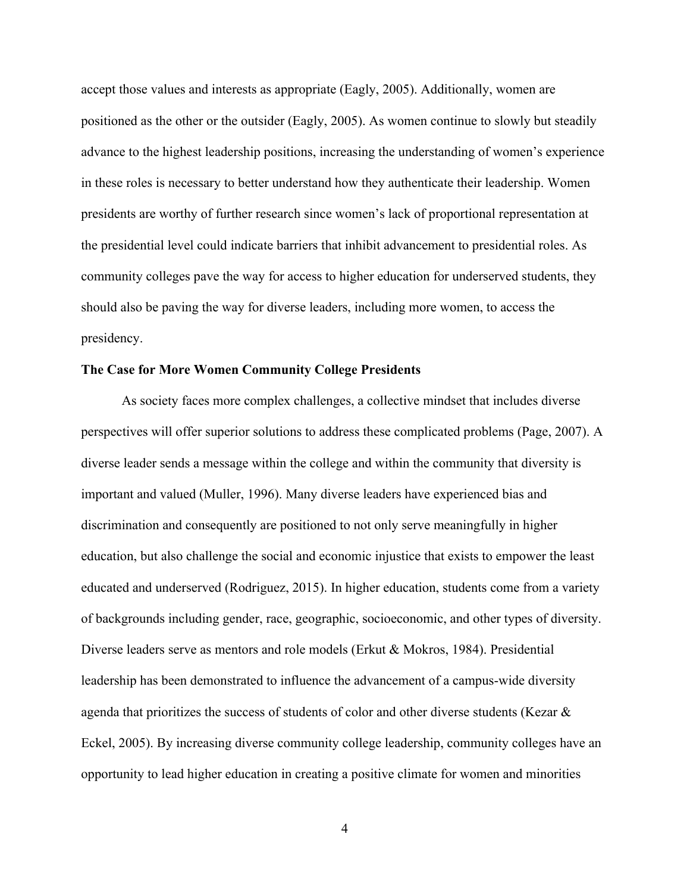accept those values and interests as appropriate (Eagly, 2005). Additionally, women are positioned as the other or the outsider (Eagly, 2005). As women continue to slowly but steadily advance to the highest leadership positions, increasing the understanding of women's experience in these roles is necessary to better understand how they authenticate their leadership. Women presidents are worthy of further research since women's lack of proportional representation at the presidential level could indicate barriers that inhibit advancement to presidential roles. As community colleges pave the way for access to higher education for underserved students, they should also be paving the way for diverse leaders, including more women, to access the presidency.

#### **The Case for More Women Community College Presidents**

As society faces more complex challenges, a collective mindset that includes diverse perspectives will offer superior solutions to address these complicated problems (Page, 2007). A diverse leader sends a message within the college and within the community that diversity is important and valued (Muller, 1996). Many diverse leaders have experienced bias and discrimination and consequently are positioned to not only serve meaningfully in higher education, but also challenge the social and economic injustice that exists to empower the least educated and underserved (Rodriguez, 2015). In higher education, students come from a variety of backgrounds including gender, race, geographic, socioeconomic, and other types of diversity. Diverse leaders serve as mentors and role models (Erkut & Mokros, 1984). Presidential leadership has been demonstrated to influence the advancement of a campus-wide diversity agenda that prioritizes the success of students of color and other diverse students (Kezar & Eckel, 2005). By increasing diverse community college leadership, community colleges have an opportunity to lead higher education in creating a positive climate for women and minorities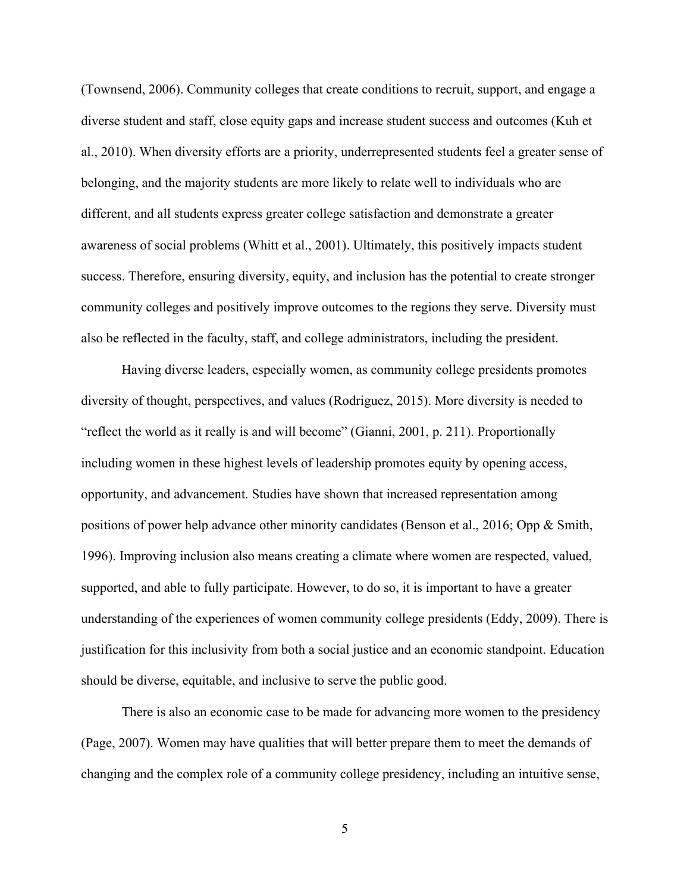(Townsend, 2006). Community colleges that create conditions to recruit, support, and engage a diverse student and staff, close equity gaps and increase student success and outcomes (Kuh et al., 2010). When diversity efforts are a priority, underrepresented students feel a greater sense of belonging, and the majority students are more likely to relate well to individuals who are different, and all students express greater college satisfaction and demonstrate a greater awareness of social problems (Whitt et al., 2001). Ultimately, this positively impacts student success. Therefore, ensuring diversity, equity, and inclusion has the potential to create stronger community colleges and positively improve outcomes to the regions they serve. Diversity must also be reflected in the faculty, staff, and college administrators, including the president.

Having diverse leaders, especially women, as community college presidents promotes diversity of thought, perspectives, and values (Rodriguez, 2015). More diversity is needed to "reflect the world as it really is and will become" (Gianni, 2001, p. 211). Proportionally including women in these highest levels of leadership promotes equity by opening access, opportunity, and advancement. Studies have shown that increased representation among positions of power help advance other minority candidates (Benson et al., 2016; Opp & Smith, 1996). Improving inclusion also means creating a climate where women are respected, valued, supported, and able to fully participate. However, to do so, it is important to have a greater understanding of the experiences of women community college presidents (Eddy, 2009). There is justification for this inclusivity from both a social justice and an economic standpoint. Education should be diverse, equitable, and inclusive to serve the public good.

There is also an economic case to be made for advancing more women to the presidency (Page, 2007). Women may have qualities that will better prepare them to meet the demands of changing and the complex role of a community college presidency, including an intuitive sense,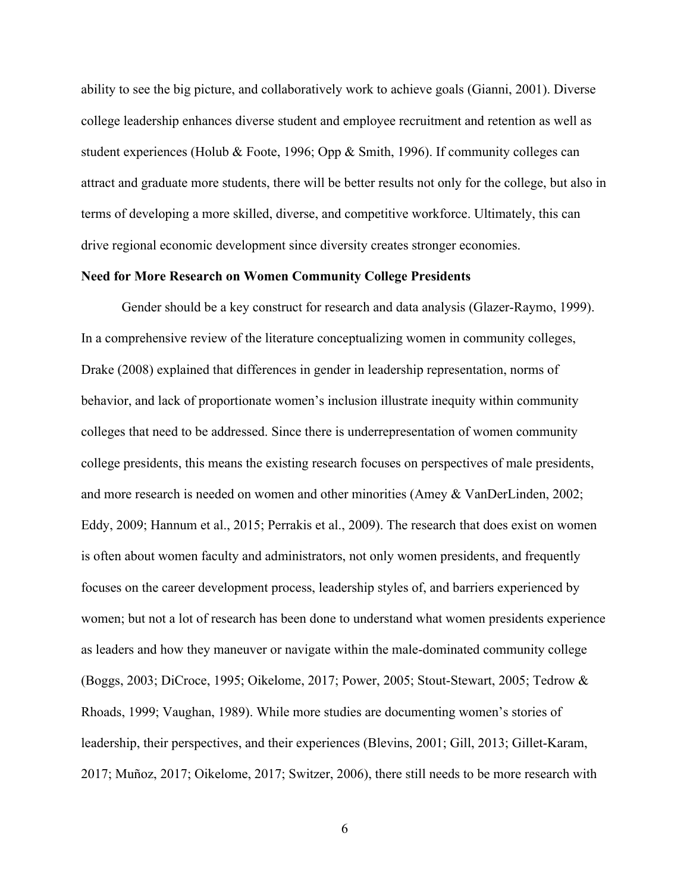ability to see the big picture, and collaboratively work to achieve goals (Gianni, 2001). Diverse college leadership enhances diverse student and employee recruitment and retention as well as student experiences (Holub & Foote, 1996; Opp & Smith, 1996). If community colleges can attract and graduate more students, there will be better results not only for the college, but also in terms of developing a more skilled, diverse, and competitive workforce. Ultimately, this can drive regional economic development since diversity creates stronger economies.

# **Need for More Research on Women Community College Presidents**

Gender should be a key construct for research and data analysis (Glazer-Raymo, 1999). In a comprehensive review of the literature conceptualizing women in community colleges, Drake (2008) explained that differences in gender in leadership representation, norms of behavior, and lack of proportionate women's inclusion illustrate inequity within community colleges that need to be addressed. Since there is underrepresentation of women community college presidents, this means the existing research focuses on perspectives of male presidents, and more research is needed on women and other minorities (Amey & VanDerLinden, 2002; Eddy, 2009; Hannum et al., 2015; Perrakis et al., 2009). The research that does exist on women is often about women faculty and administrators, not only women presidents, and frequently focuses on the career development process, leadership styles of, and barriers experienced by women; but not a lot of research has been done to understand what women presidents experience as leaders and how they maneuver or navigate within the male-dominated community college (Boggs, 2003; DiCroce, 1995; Oikelome, 2017; Power, 2005; Stout-Stewart, 2005; Tedrow & Rhoads, 1999; Vaughan, 1989). While more studies are documenting women's stories of leadership, their perspectives, and their experiences (Blevins, 2001; Gill, 2013; Gillet-Karam, 2017; Muñoz, 2017; Oikelome, 2017; Switzer, 2006), there still needs to be more research with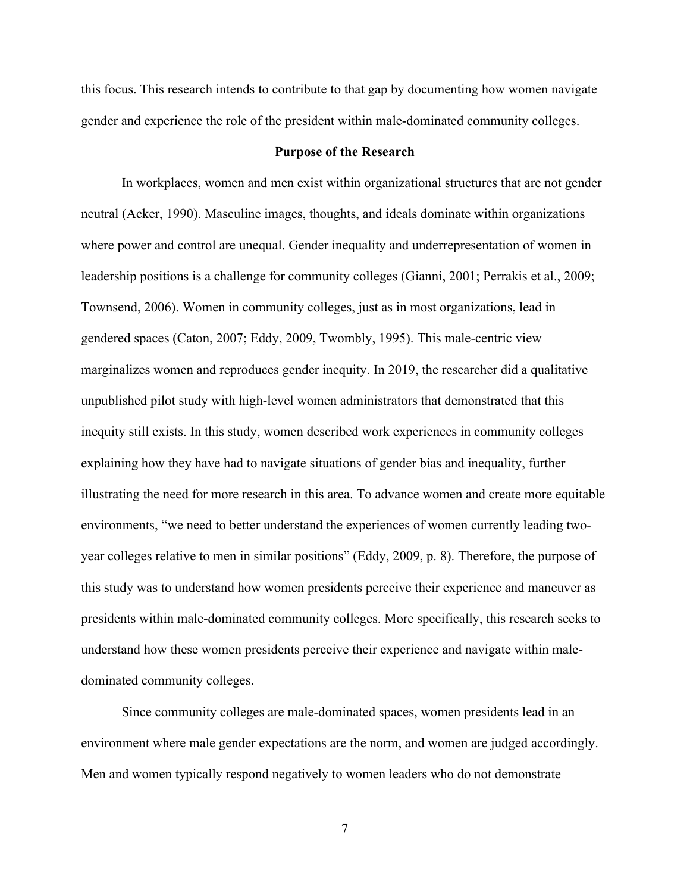this focus. This research intends to contribute to that gap by documenting how women navigate gender and experience the role of the president within male-dominated community colleges.

# **Purpose of the Research**

In workplaces, women and men exist within organizational structures that are not gender neutral (Acker, 1990). Masculine images, thoughts, and ideals dominate within organizations where power and control are unequal. Gender inequality and underrepresentation of women in leadership positions is a challenge for community colleges (Gianni, 2001; Perrakis et al., 2009; Townsend, 2006). Women in community colleges, just as in most organizations, lead in gendered spaces (Caton, 2007; Eddy, 2009, Twombly, 1995). This male-centric view marginalizes women and reproduces gender inequity. In 2019, the researcher did a qualitative unpublished pilot study with high-level women administrators that demonstrated that this inequity still exists. In this study, women described work experiences in community colleges explaining how they have had to navigate situations of gender bias and inequality, further illustrating the need for more research in this area. To advance women and create more equitable environments, "we need to better understand the experiences of women currently leading twoyear colleges relative to men in similar positions" (Eddy, 2009, p. 8). Therefore, the purpose of this study was to understand how women presidents perceive their experience and maneuver as presidents within male-dominated community colleges. More specifically, this research seeks to understand how these women presidents perceive their experience and navigate within maledominated community colleges.

Since community colleges are male-dominated spaces, women presidents lead in an environment where male gender expectations are the norm, and women are judged accordingly. Men and women typically respond negatively to women leaders who do not demonstrate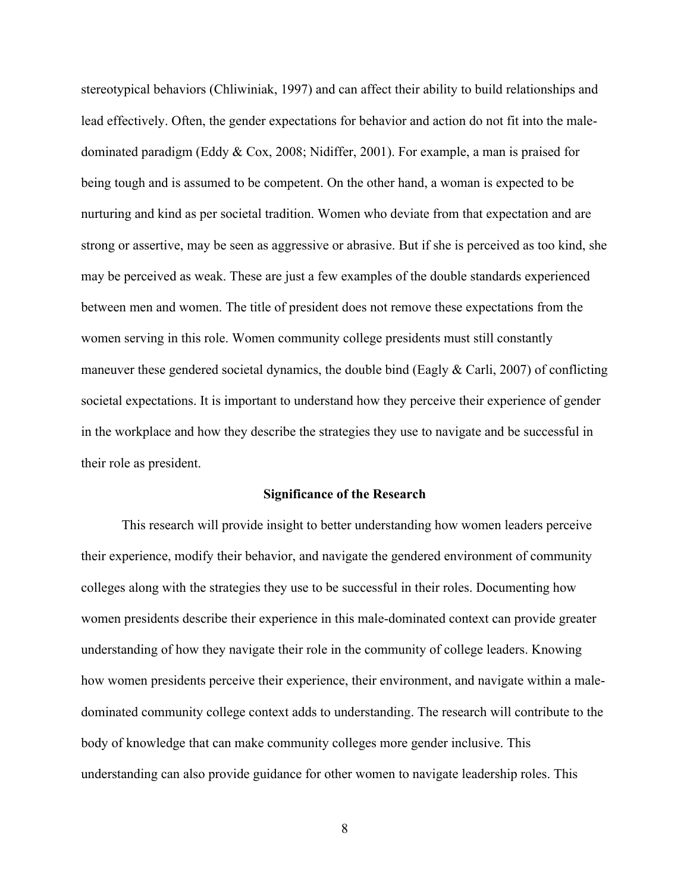stereotypical behaviors (Chliwiniak, 1997) and can affect their ability to build relationships and lead effectively. Often, the gender expectations for behavior and action do not fit into the maledominated paradigm (Eddy & Cox, 2008; Nidiffer, 2001). For example, a man is praised for being tough and is assumed to be competent. On the other hand, a woman is expected to be nurturing and kind as per societal tradition. Women who deviate from that expectation and are strong or assertive, may be seen as aggressive or abrasive. But if she is perceived as too kind, she may be perceived as weak. These are just a few examples of the double standards experienced between men and women. The title of president does not remove these expectations from the women serving in this role. Women community college presidents must still constantly maneuver these gendered societal dynamics, the double bind (Eagly  $\&$  Carli, 2007) of conflicting societal expectations. It is important to understand how they perceive their experience of gender in the workplace and how they describe the strategies they use to navigate and be successful in their role as president.

#### **Significance of the Research**

This research will provide insight to better understanding how women leaders perceive their experience, modify their behavior, and navigate the gendered environment of community colleges along with the strategies they use to be successful in their roles. Documenting how women presidents describe their experience in this male-dominated context can provide greater understanding of how they navigate their role in the community of college leaders. Knowing how women presidents perceive their experience, their environment, and navigate within a maledominated community college context adds to understanding. The research will contribute to the body of knowledge that can make community colleges more gender inclusive. This understanding can also provide guidance for other women to navigate leadership roles. This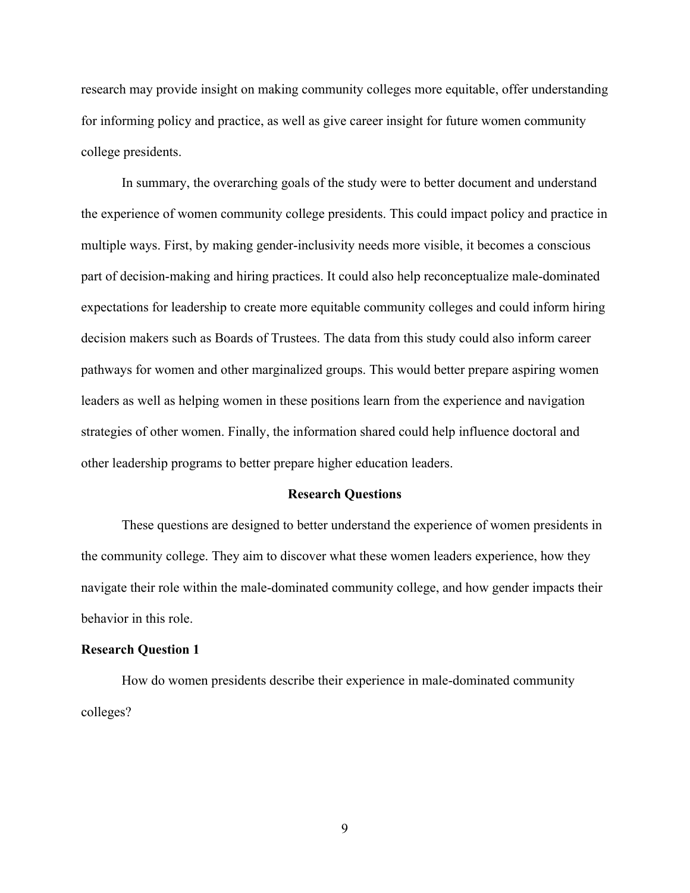research may provide insight on making community colleges more equitable, offer understanding for informing policy and practice, as well as give career insight for future women community college presidents.

In summary, the overarching goals of the study were to better document and understand the experience of women community college presidents. This could impact policy and practice in multiple ways. First, by making gender-inclusivity needs more visible, it becomes a conscious part of decision-making and hiring practices. It could also help reconceptualize male-dominated expectations for leadership to create more equitable community colleges and could inform hiring decision makers such as Boards of Trustees. The data from this study could also inform career pathways for women and other marginalized groups. This would better prepare aspiring women leaders as well as helping women in these positions learn from the experience and navigation strategies of other women. Finally, the information shared could help influence doctoral and other leadership programs to better prepare higher education leaders.

#### **Research Questions**

These questions are designed to better understand the experience of women presidents in the community college. They aim to discover what these women leaders experience, how they navigate their role within the male-dominated community college, and how gender impacts their behavior in this role.

#### **Research Question 1**

How do women presidents describe their experience in male-dominated community colleges?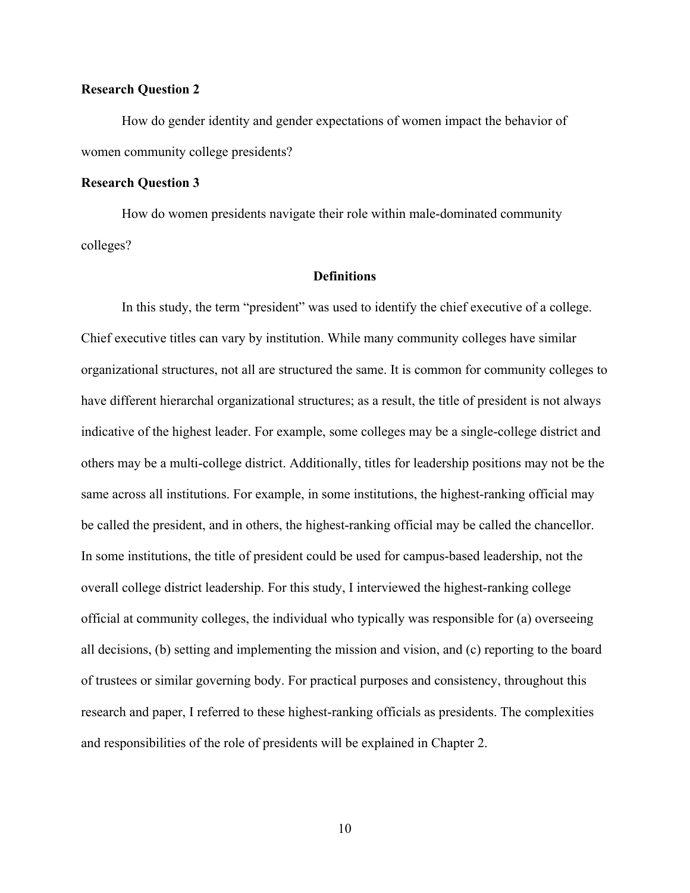# **Research Question 2**

How do gender identity and gender expectations of women impact the behavior of women community college presidents?

# **Research Question 3**

How do women presidents navigate their role within male-dominated community colleges?

# **Definitions**

In this study, the term "president" was used to identify the chief executive of a college. Chief executive titles can vary by institution. While many community colleges have similar organizational structures, not all are structured the same. It is common for community colleges to have different hierarchal organizational structures; as a result, the title of president is not always indicative of the highest leader. For example, some colleges may be a single-college district and others may be a multi-college district. Additionally, titles for leadership positions may not be the same across all institutions. For example, in some institutions, the highest-ranking official may be called the president, and in others, the highest-ranking official may be called the chancellor. In some institutions, the title of president could be used for campus-based leadership, not the overall college district leadership. For this study, I interviewed the highest-ranking college official at community colleges, the individual who typically was responsible for (a) overseeing all decisions, (b) setting and implementing the mission and vision, and (c) reporting to the board of trustees or similar governing body. For practical purposes and consistency, throughout this research and paper, I referred to these highest-ranking officials as presidents. The complexities and responsibilities of the role of presidents will be explained in Chapter 2.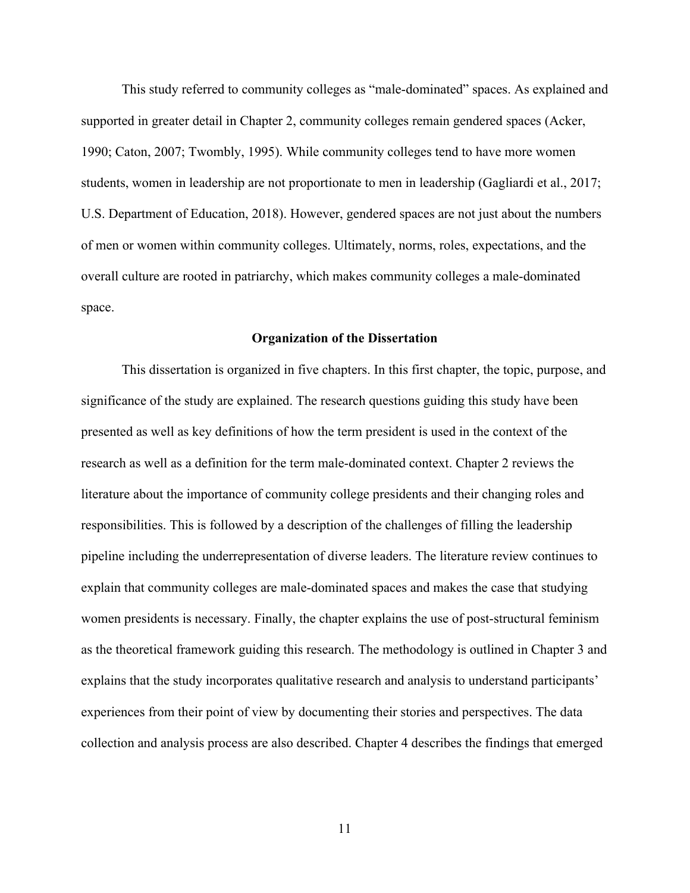This study referred to community colleges as "male-dominated" spaces. As explained and supported in greater detail in Chapter 2, community colleges remain gendered spaces (Acker, 1990; Caton, 2007; Twombly, 1995). While community colleges tend to have more women students, women in leadership are not proportionate to men in leadership (Gagliardi et al., 2017; U.S. Department of Education, 2018). However, gendered spaces are not just about the numbers of men or women within community colleges. Ultimately, norms, roles, expectations, and the overall culture are rooted in patriarchy, which makes community colleges a male-dominated space.

# **Organization of the Dissertation**

This dissertation is organized in five chapters. In this first chapter, the topic, purpose, and significance of the study are explained. The research questions guiding this study have been presented as well as key definitions of how the term president is used in the context of the research as well as a definition for the term male-dominated context. Chapter 2 reviews the literature about the importance of community college presidents and their changing roles and responsibilities. This is followed by a description of the challenges of filling the leadership pipeline including the underrepresentation of diverse leaders. The literature review continues to explain that community colleges are male-dominated spaces and makes the case that studying women presidents is necessary. Finally, the chapter explains the use of post-structural feminism as the theoretical framework guiding this research. The methodology is outlined in Chapter 3 and explains that the study incorporates qualitative research and analysis to understand participants' experiences from their point of view by documenting their stories and perspectives. The data collection and analysis process are also described. Chapter 4 describes the findings that emerged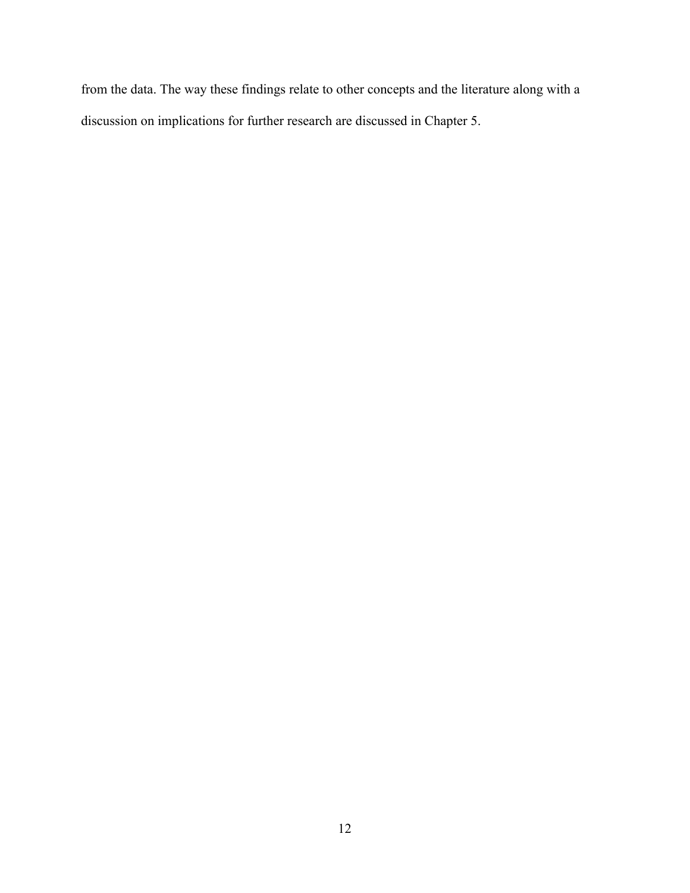from the data. The way these findings relate to other concepts and the literature along with a discussion on implications for further research are discussed in Chapter 5.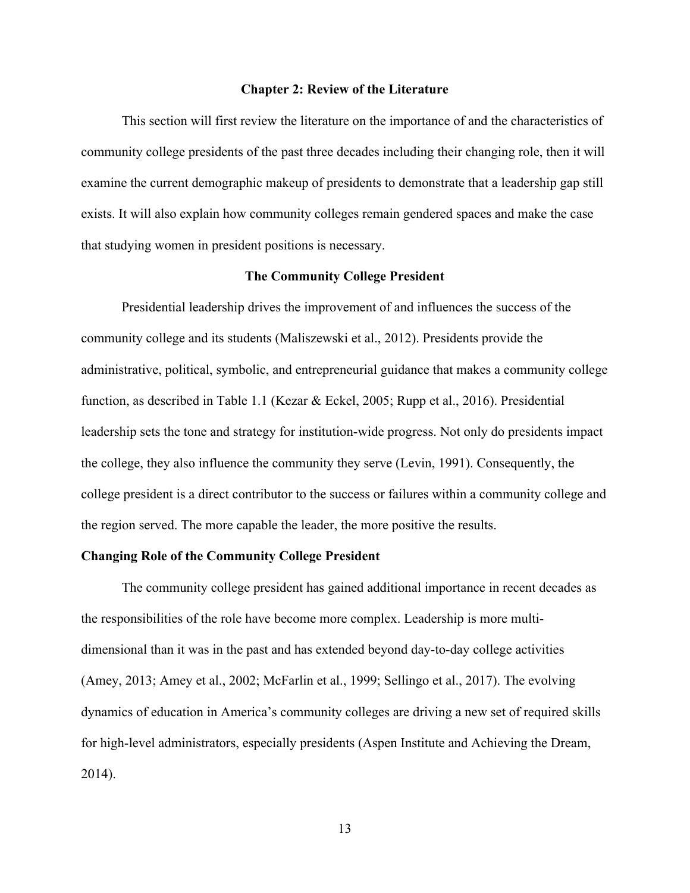#### **Chapter 2: Review of the Literature**

This section will first review the literature on the importance of and the characteristics of community college presidents of the past three decades including their changing role, then it will examine the current demographic makeup of presidents to demonstrate that a leadership gap still exists. It will also explain how community colleges remain gendered spaces and make the case that studying women in president positions is necessary.

## **The Community College President**

Presidential leadership drives the improvement of and influences the success of the community college and its students (Maliszewski et al., 2012). Presidents provide the administrative, political, symbolic, and entrepreneurial guidance that makes a community college function, as described in Table 1.1 (Kezar & Eckel, 2005; Rupp et al., 2016). Presidential leadership sets the tone and strategy for institution-wide progress. Not only do presidents impact the college, they also influence the community they serve (Levin, 1991). Consequently, the college president is a direct contributor to the success or failures within a community college and the region served. The more capable the leader, the more positive the results.

## **Changing Role of the Community College President**

The community college president has gained additional importance in recent decades as the responsibilities of the role have become more complex. Leadership is more multidimensional than it was in the past and has extended beyond day-to-day college activities (Amey, 2013; Amey et al., 2002; McFarlin et al., 1999; Sellingo et al., 2017). The evolving dynamics of education in America's community colleges are driving a new set of required skills for high-level administrators, especially presidents (Aspen Institute and Achieving the Dream, 2014).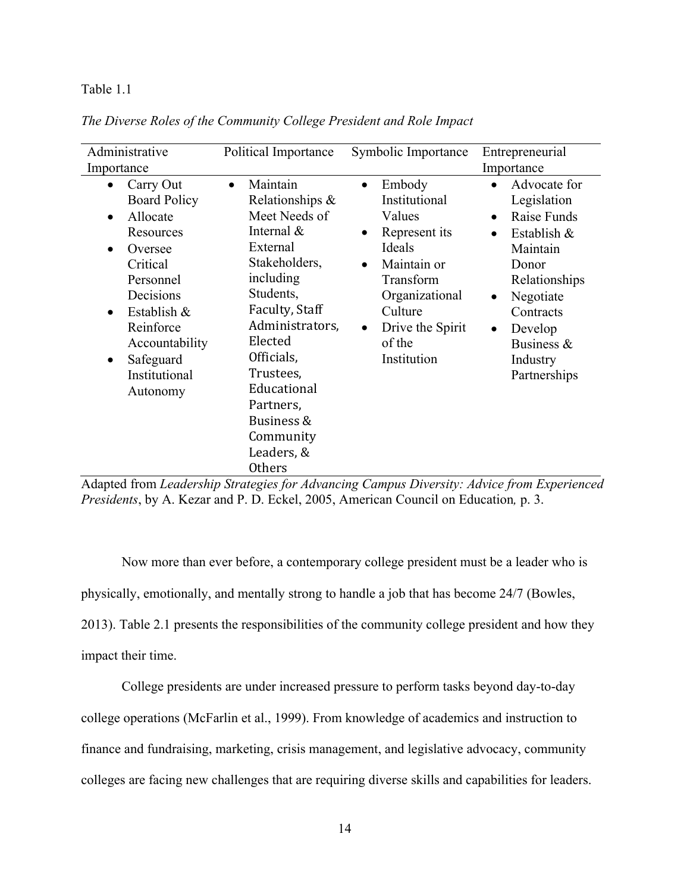# Table 1.1

| Administrative                                                                                                                                                                                                                                         | Political Importance                                                                                                                                                                                                                                                                            | Symbolic Importance                                                                                                                                                                                       | Entrepreneurial                                                                                                                                                                                                                    |  |
|--------------------------------------------------------------------------------------------------------------------------------------------------------------------------------------------------------------------------------------------------------|-------------------------------------------------------------------------------------------------------------------------------------------------------------------------------------------------------------------------------------------------------------------------------------------------|-----------------------------------------------------------------------------------------------------------------------------------------------------------------------------------------------------------|------------------------------------------------------------------------------------------------------------------------------------------------------------------------------------------------------------------------------------|--|
| Importance                                                                                                                                                                                                                                             |                                                                                                                                                                                                                                                                                                 |                                                                                                                                                                                                           | Importance                                                                                                                                                                                                                         |  |
| Carry Out<br>$\bullet$<br><b>Board Policy</b><br>Allocate<br>$\bullet$<br>Resources<br>Oversee<br>Critical<br>Personnel<br>Decisions<br>Establish &<br>$\bullet$<br>Reinforce<br>Accountability<br>Safeguard<br>$\bullet$<br>Institutional<br>Autonomy | Maintain<br>$\bullet$<br>Relationships &<br>Meet Needs of<br>Internal &<br>External<br>Stakeholders,<br>including<br>Students,<br>Faculty, Staff<br>Administrators,<br>Elected<br>Officials,<br>Trustees,<br>Educational<br>Partners,<br>Business &<br>Community<br>Leaders, &<br><b>Others</b> | Embody<br>$\bullet$<br>Institutional<br>Values<br>Represent its<br>Ideals<br>Maintain or<br>$\bullet$<br>Transform<br>Organizational<br>Culture<br>Drive the Spirit<br>$\bullet$<br>of the<br>Institution | Advocate for<br>Legislation<br>Raise Funds<br>$\bullet$<br>Establish &<br>$\bullet$<br>Maintain<br>Donor<br>Relationships<br>Negotiate<br>$\bullet$<br>Contracts<br>Develop<br>$\bullet$<br>Business &<br>Industry<br>Partnerships |  |

*The Diverse Roles of the Community College President and Role Impact*

Adapted from *Leadership Strategies for Advancing Campus Diversity: Advice from Experienced Presidents*, by A. Kezar and P. D. Eckel, 2005, American Council on Education*,* p. 3.

Now more than ever before, a contemporary college president must be a leader who is physically, emotionally, and mentally strong to handle a job that has become 24/7 (Bowles, 2013). Table 2.1 presents the responsibilities of the community college president and how they impact their time.

College presidents are under increased pressure to perform tasks beyond day-to-day college operations (McFarlin et al., 1999). From knowledge of academics and instruction to finance and fundraising, marketing, crisis management, and legislative advocacy, community colleges are facing new challenges that are requiring diverse skills and capabilities for leaders.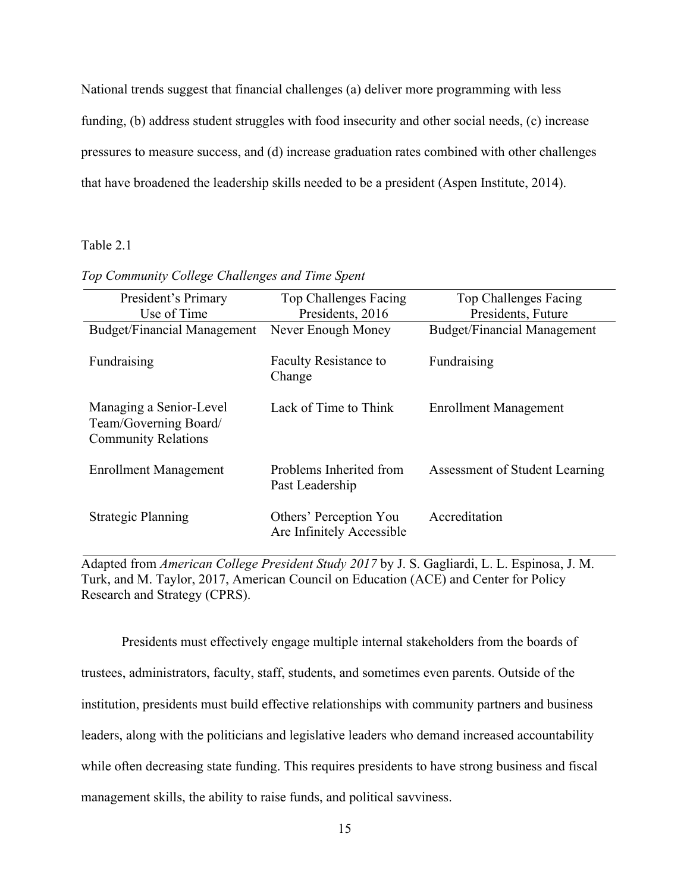National trends suggest that financial challenges (a) deliver more programming with less funding, (b) address student struggles with food insecurity and other social needs, (c) increase pressures to measure success, and (d) increase graduation rates combined with other challenges that have broadened the leadership skills needed to be a president (Aspen Institute, 2014).

# Table 2.1

| President's Primary                                                            | Top Challenges Facing                               | Top Challenges Facing              |
|--------------------------------------------------------------------------------|-----------------------------------------------------|------------------------------------|
| Use of Time                                                                    | Presidents, 2016                                    | Presidents, Future                 |
| <b>Budget/Financial Management</b>                                             | Never Enough Money                                  | <b>Budget/Financial Management</b> |
| Fundraising                                                                    | <b>Faculty Resistance to</b><br>Change              | Fundraising                        |
| Managing a Senior-Level<br>Team/Governing Board/<br><b>Community Relations</b> | Lack of Time to Think                               | <b>Enrollment Management</b>       |
| <b>Enrollment Management</b>                                                   | Problems Inherited from<br>Past Leadership          | Assessment of Student Learning     |
| Strategic Planning                                                             | Others' Perception You<br>Are Infinitely Accessible | Accreditation                      |

#### *Top Community College Challenges and Time Spent*

Adapted from *American College President Study 2017* by J. S. Gagliardi, L. L. Espinosa, J. M. Turk, and M. Taylor, 2017, American Council on Education (ACE) and Center for Policy Research and Strategy (CPRS).

Presidents must effectively engage multiple internal stakeholders from the boards of trustees, administrators, faculty, staff, students, and sometimes even parents. Outside of the institution, presidents must build effective relationships with community partners and business leaders, along with the politicians and legislative leaders who demand increased accountability while often decreasing state funding. This requires presidents to have strong business and fiscal management skills, the ability to raise funds, and political savviness.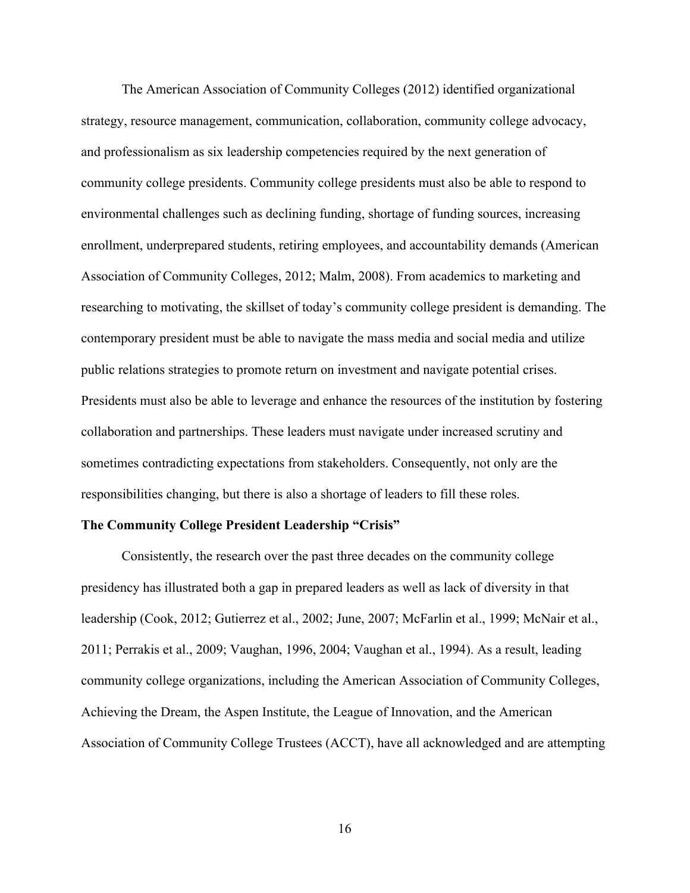The American Association of Community Colleges (2012) identified organizational strategy, resource management, communication, collaboration, community college advocacy, and professionalism as six leadership competencies required by the next generation of community college presidents. Community college presidents must also be able to respond to environmental challenges such as declining funding, shortage of funding sources, increasing enrollment, underprepared students, retiring employees, and accountability demands (American Association of Community Colleges, 2012; Malm, 2008). From academics to marketing and researching to motivating, the skillset of today's community college president is demanding. The contemporary president must be able to navigate the mass media and social media and utilize public relations strategies to promote return on investment and navigate potential crises. Presidents must also be able to leverage and enhance the resources of the institution by fostering collaboration and partnerships. These leaders must navigate under increased scrutiny and sometimes contradicting expectations from stakeholders. Consequently, not only are the responsibilities changing, but there is also a shortage of leaders to fill these roles.

# **The Community College President Leadership "Crisis"**

Consistently, the research over the past three decades on the community college presidency has illustrated both a gap in prepared leaders as well as lack of diversity in that leadership (Cook, 2012; Gutierrez et al., 2002; June, 2007; McFarlin et al., 1999; McNair et al., 2011; Perrakis et al., 2009; Vaughan, 1996, 2004; Vaughan et al., 1994). As a result, leading community college organizations, including the American Association of Community Colleges, Achieving the Dream, the Aspen Institute, the League of Innovation, and the American Association of Community College Trustees (ACCT), have all acknowledged and are attempting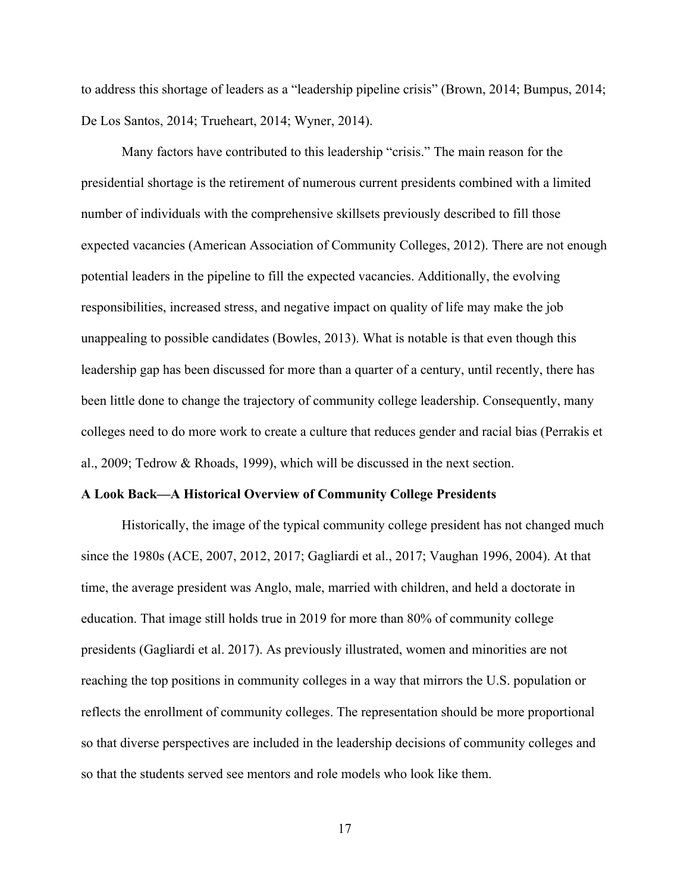to address this shortage of leaders as a "leadership pipeline crisis" (Brown, 2014; Bumpus, 2014; De Los Santos, 2014; Trueheart, 2014; Wyner, 2014).

Many factors have contributed to this leadership "crisis." The main reason for the presidential shortage is the retirement of numerous current presidents combined with a limited number of individuals with the comprehensive skillsets previously described to fill those expected vacancies (American Association of Community Colleges, 2012). There are not enough potential leaders in the pipeline to fill the expected vacancies. Additionally, the evolving responsibilities, increased stress, and negative impact on quality of life may make the job unappealing to possible candidates (Bowles, 2013). What is notable is that even though this leadership gap has been discussed for more than a quarter of a century, until recently, there has been little done to change the trajectory of community college leadership. Consequently, many colleges need to do more work to create a culture that reduces gender and racial bias (Perrakis et al., 2009; Tedrow & Rhoads, 1999), which will be discussed in the next section.

#### **A Look Back—A Historical Overview of Community College Presidents**

Historically, the image of the typical community college president has not changed much since the 1980s (ACE, 2007, 2012, 2017; Gagliardi et al., 2017; Vaughan 1996, 2004). At that time, the average president was Anglo, male, married with children, and held a doctorate in education. That image still holds true in 2019 for more than 80% of community college presidents (Gagliardi et al. 2017). As previously illustrated, women and minorities are not reaching the top positions in community colleges in a way that mirrors the U.S. population or reflects the enrollment of community colleges. The representation should be more proportional so that diverse perspectives are included in the leadership decisions of community colleges and so that the students served see mentors and role models who look like them.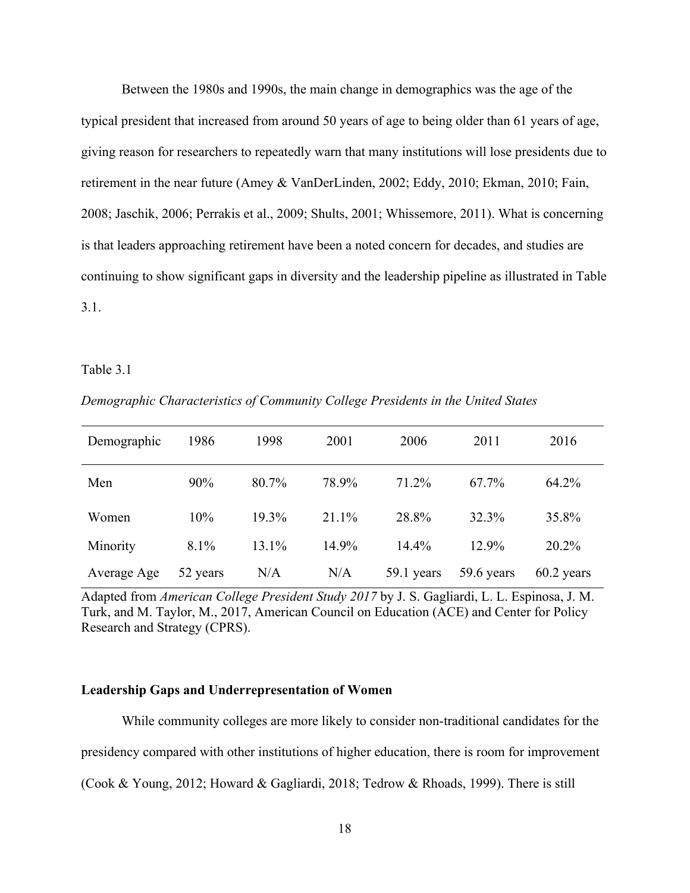Between the 1980s and 1990s, the main change in demographics was the age of the typical president that increased from around 50 years of age to being older than 61 years of age, giving reason for researchers to repeatedly warn that many institutions will lose presidents due to retirement in the near future (Amey & VanDerLinden, 2002; Eddy, 2010; Ekman, 2010; Fain, 2008; Jaschik, 2006; Perrakis et al., 2009; Shults, 2001; Whissemore, 2011). What is concerning is that leaders approaching retirement have been a noted concern for decades, and studies are continuing to show significant gaps in diversity and the leadership pipeline as illustrated in Table 3.1.

#### Table 3.1

| Demographic | 1986     | 1998  | 2001  | 2006       | 2011       | 2016         |
|-------------|----------|-------|-------|------------|------------|--------------|
| Men         | 90%      | 80.7% | 78.9% | 71.2%      | 67.7%      | 64.2%        |
| Women       | 10%      | 19.3% | 21.1% | 28.8%      | 32.3%      | 35.8%        |
| Minority    | 8.1%     | 13.1% | 14.9% | $14.4\%$   | 12.9%      | 20.2%        |
| Average Age | 52 years | N/A   | N/A   | 59.1 years | 59.6 years | $60.2$ years |

*Demographic Characteristics of Community College Presidents in the United States*

Adapted from *American College President Study 2017* by J. S. Gagliardi, L. L. Espinosa, J. M. Turk, and M. Taylor, M., 2017, American Council on Education (ACE) and Center for Policy Research and Strategy (CPRS).

# **Leadership Gaps and Underrepresentation of Women**

While community colleges are more likely to consider non-traditional candidates for the presidency compared with other institutions of higher education, there is room for improvement (Cook & Young, 2012; Howard & Gagliardi, 2018; Tedrow & Rhoads, 1999). There is still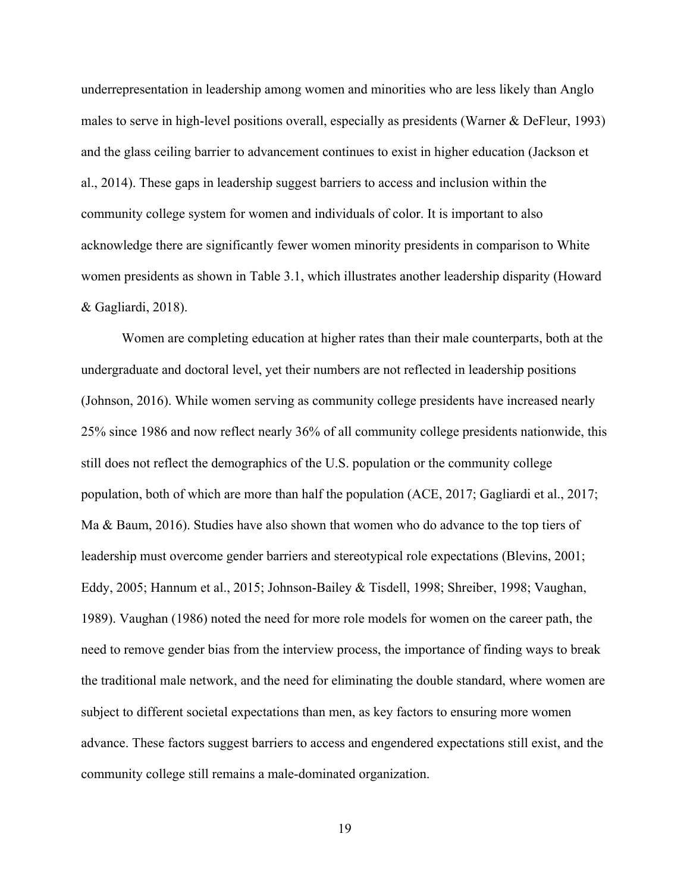underrepresentation in leadership among women and minorities who are less likely than Anglo males to serve in high-level positions overall, especially as presidents (Warner & DeFleur, 1993) and the glass ceiling barrier to advancement continues to exist in higher education (Jackson et al., 2014). These gaps in leadership suggest barriers to access and inclusion within the community college system for women and individuals of color. It is important to also acknowledge there are significantly fewer women minority presidents in comparison to White women presidents as shown in Table 3.1, which illustrates another leadership disparity (Howard & Gagliardi, 2018).

Women are completing education at higher rates than their male counterparts, both at the undergraduate and doctoral level, yet their numbers are not reflected in leadership positions (Johnson, 2016). While women serving as community college presidents have increased nearly 25% since 1986 and now reflect nearly 36% of all community college presidents nationwide, this still does not reflect the demographics of the U.S. population or the community college population, both of which are more than half the population (ACE, 2017; Gagliardi et al., 2017; Ma & Baum, 2016). Studies have also shown that women who do advance to the top tiers of leadership must overcome gender barriers and stereotypical role expectations (Blevins, 2001; Eddy, 2005; Hannum et al., 2015; Johnson-Bailey & Tisdell, 1998; Shreiber, 1998; Vaughan, 1989). Vaughan (1986) noted the need for more role models for women on the career path, the need to remove gender bias from the interview process, the importance of finding ways to break the traditional male network, and the need for eliminating the double standard, where women are subject to different societal expectations than men, as key factors to ensuring more women advance. These factors suggest barriers to access and engendered expectations still exist, and the community college still remains a male-dominated organization.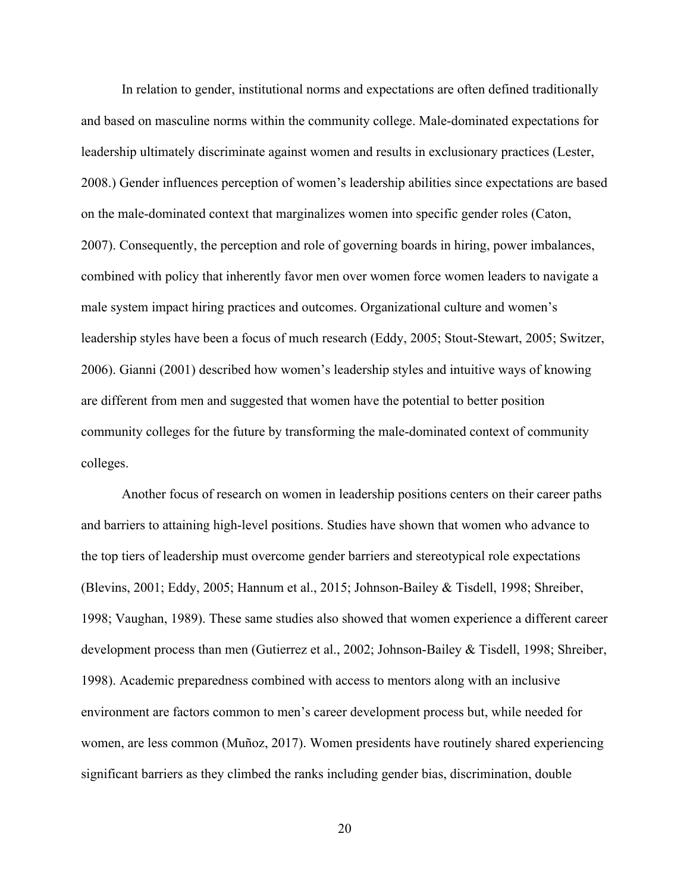In relation to gender, institutional norms and expectations are often defined traditionally and based on masculine norms within the community college. Male-dominated expectations for leadership ultimately discriminate against women and results in exclusionary practices (Lester, 2008.) Gender influences perception of women's leadership abilities since expectations are based on the male-dominated context that marginalizes women into specific gender roles (Caton, 2007). Consequently, the perception and role of governing boards in hiring, power imbalances, combined with policy that inherently favor men over women force women leaders to navigate a male system impact hiring practices and outcomes. Organizational culture and women's leadership styles have been a focus of much research (Eddy, 2005; Stout-Stewart, 2005; Switzer, 2006). Gianni (2001) described how women's leadership styles and intuitive ways of knowing are different from men and suggested that women have the potential to better position community colleges for the future by transforming the male-dominated context of community colleges.

Another focus of research on women in leadership positions centers on their career paths and barriers to attaining high-level positions. Studies have shown that women who advance to the top tiers of leadership must overcome gender barriers and stereotypical role expectations (Blevins, 2001; Eddy, 2005; Hannum et al., 2015; Johnson-Bailey & Tisdell, 1998; Shreiber, 1998; Vaughan, 1989). These same studies also showed that women experience a different career development process than men (Gutierrez et al., 2002; Johnson-Bailey & Tisdell, 1998; Shreiber, 1998). Academic preparedness combined with access to mentors along with an inclusive environment are factors common to men's career development process but, while needed for women, are less common (Muñoz, 2017). Women presidents have routinely shared experiencing significant barriers as they climbed the ranks including gender bias, discrimination, double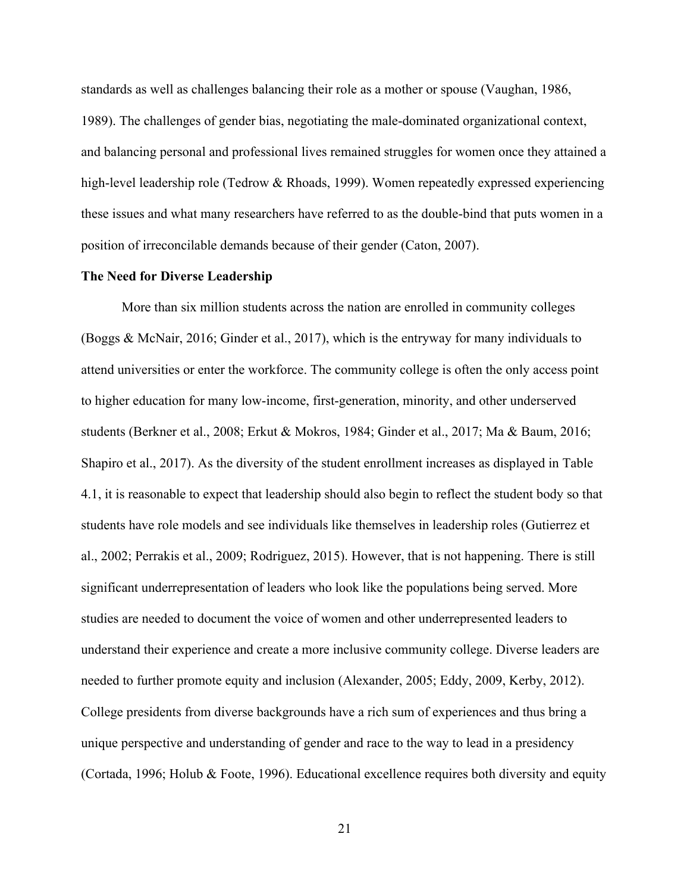standards as well as challenges balancing their role as a mother or spouse (Vaughan, 1986, 1989). The challenges of gender bias, negotiating the male-dominated organizational context, and balancing personal and professional lives remained struggles for women once they attained a high-level leadership role (Tedrow & Rhoads, 1999). Women repeatedly expressed experiencing these issues and what many researchers have referred to as the double-bind that puts women in a position of irreconcilable demands because of their gender (Caton, 2007).

#### **The Need for Diverse Leadership**

More than six million students across the nation are enrolled in community colleges (Boggs & McNair, 2016; Ginder et al., 2017), which is the entryway for many individuals to attend universities or enter the workforce. The community college is often the only access point to higher education for many low-income, first-generation, minority, and other underserved students (Berkner et al., 2008; Erkut & Mokros, 1984; Ginder et al., 2017; Ma & Baum, 2016; Shapiro et al., 2017). As the diversity of the student enrollment increases as displayed in Table 4.1, it is reasonable to expect that leadership should also begin to reflect the student body so that students have role models and see individuals like themselves in leadership roles (Gutierrez et al., 2002; Perrakis et al., 2009; Rodriguez, 2015). However, that is not happening. There is still significant underrepresentation of leaders who look like the populations being served. More studies are needed to document the voice of women and other underrepresented leaders to understand their experience and create a more inclusive community college. Diverse leaders are needed to further promote equity and inclusion (Alexander, 2005; Eddy, 2009, Kerby, 2012). College presidents from diverse backgrounds have a rich sum of experiences and thus bring a unique perspective and understanding of gender and race to the way to lead in a presidency (Cortada, 1996; Holub & Foote, 1996). Educational excellence requires both diversity and equity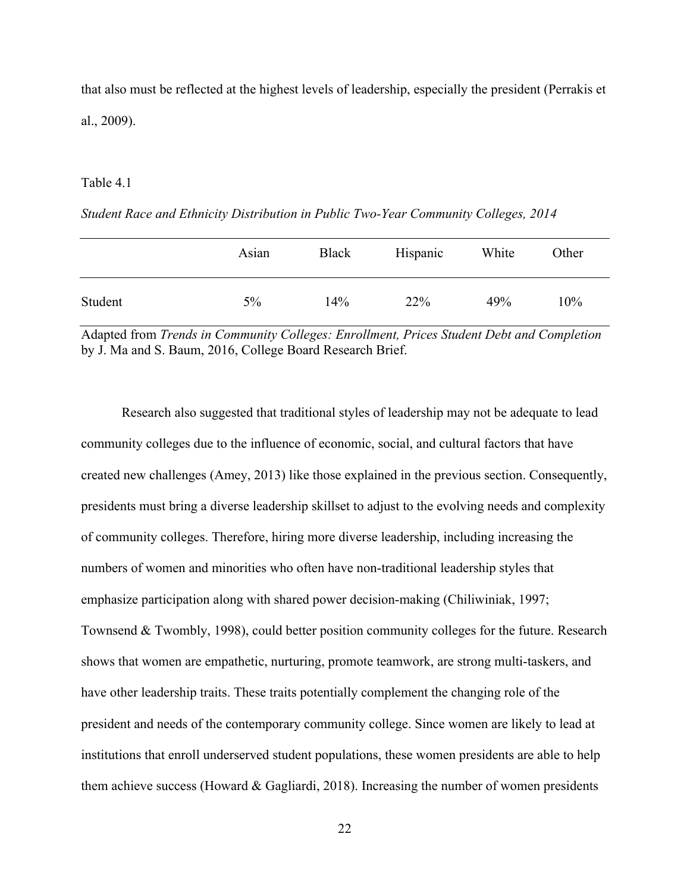that also must be reflected at the highest levels of leadership, especially the president (Perrakis et al., 2009).

## Table 4.1

|         | Asian | Black | Hispanic | White | Other |
|---------|-------|-------|----------|-------|-------|
| Student | $5\%$ | 14%   | 22%      | 49%   | 10%   |

*Student Race and Ethnicity Distribution in Public Two-Year Community Colleges, 2014*

Adapted from *Trends in Community Colleges: Enrollment, Prices Student Debt and Completion*  by J. Ma and S. Baum, 2016, College Board Research Brief.

Research also suggested that traditional styles of leadership may not be adequate to lead community colleges due to the influence of economic, social, and cultural factors that have created new challenges (Amey, 2013) like those explained in the previous section. Consequently, presidents must bring a diverse leadership skillset to adjust to the evolving needs and complexity of community colleges. Therefore, hiring more diverse leadership, including increasing the numbers of women and minorities who often have non-traditional leadership styles that emphasize participation along with shared power decision-making (Chiliwiniak, 1997; Townsend & Twombly, 1998), could better position community colleges for the future. Research shows that women are empathetic, nurturing, promote teamwork, are strong multi-taskers, and have other leadership traits. These traits potentially complement the changing role of the president and needs of the contemporary community college. Since women are likely to lead at institutions that enroll underserved student populations, these women presidents are able to help them achieve success (Howard & Gagliardi, 2018). Increasing the number of women presidents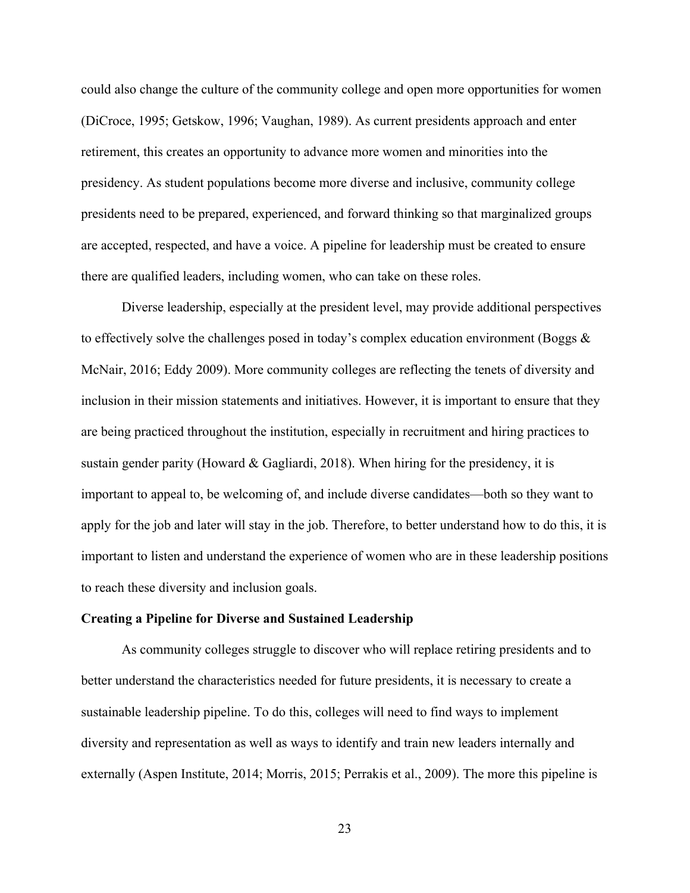could also change the culture of the community college and open more opportunities for women (DiCroce, 1995; Getskow, 1996; Vaughan, 1989). As current presidents approach and enter retirement, this creates an opportunity to advance more women and minorities into the presidency. As student populations become more diverse and inclusive, community college presidents need to be prepared, experienced, and forward thinking so that marginalized groups are accepted, respected, and have a voice. A pipeline for leadership must be created to ensure there are qualified leaders, including women, who can take on these roles.

Diverse leadership, especially at the president level, may provide additional perspectives to effectively solve the challenges posed in today's complex education environment (Boggs  $\&$ McNair, 2016; Eddy 2009). More community colleges are reflecting the tenets of diversity and inclusion in their mission statements and initiatives. However, it is important to ensure that they are being practiced throughout the institution, especially in recruitment and hiring practices to sustain gender parity (Howard & Gagliardi, 2018). When hiring for the presidency, it is important to appeal to, be welcoming of, and include diverse candidates—both so they want to apply for the job and later will stay in the job. Therefore, to better understand how to do this, it is important to listen and understand the experience of women who are in these leadership positions to reach these diversity and inclusion goals.

#### **Creating a Pipeline for Diverse and Sustained Leadership**

As community colleges struggle to discover who will replace retiring presidents and to better understand the characteristics needed for future presidents, it is necessary to create a sustainable leadership pipeline. To do this, colleges will need to find ways to implement diversity and representation as well as ways to identify and train new leaders internally and externally (Aspen Institute, 2014; Morris, 2015; Perrakis et al., 2009). The more this pipeline is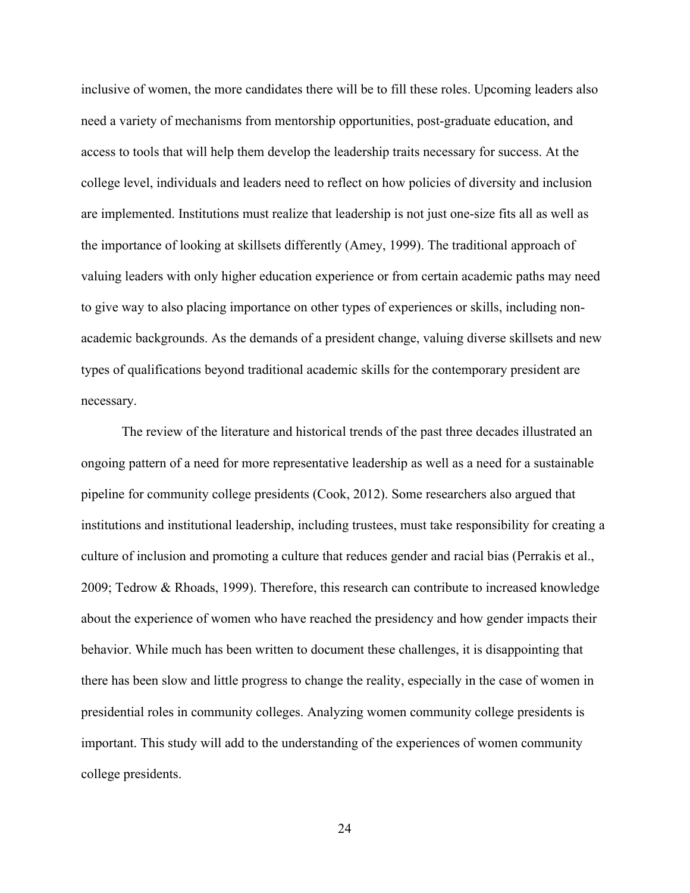inclusive of women, the more candidates there will be to fill these roles. Upcoming leaders also need a variety of mechanisms from mentorship opportunities, post-graduate education, and access to tools that will help them develop the leadership traits necessary for success. At the college level, individuals and leaders need to reflect on how policies of diversity and inclusion are implemented. Institutions must realize that leadership is not just one-size fits all as well as the importance of looking at skillsets differently (Amey, 1999). The traditional approach of valuing leaders with only higher education experience or from certain academic paths may need to give way to also placing importance on other types of experiences or skills, including nonacademic backgrounds. As the demands of a president change, valuing diverse skillsets and new types of qualifications beyond traditional academic skills for the contemporary president are necessary.

The review of the literature and historical trends of the past three decades illustrated an ongoing pattern of a need for more representative leadership as well as a need for a sustainable pipeline for community college presidents (Cook, 2012). Some researchers also argued that institutions and institutional leadership, including trustees, must take responsibility for creating a culture of inclusion and promoting a culture that reduces gender and racial bias (Perrakis et al., 2009; Tedrow & Rhoads, 1999). Therefore, this research can contribute to increased knowledge about the experience of women who have reached the presidency and how gender impacts their behavior. While much has been written to document these challenges, it is disappointing that there has been slow and little progress to change the reality, especially in the case of women in presidential roles in community colleges. Analyzing women community college presidents is important. This study will add to the understanding of the experiences of women community college presidents.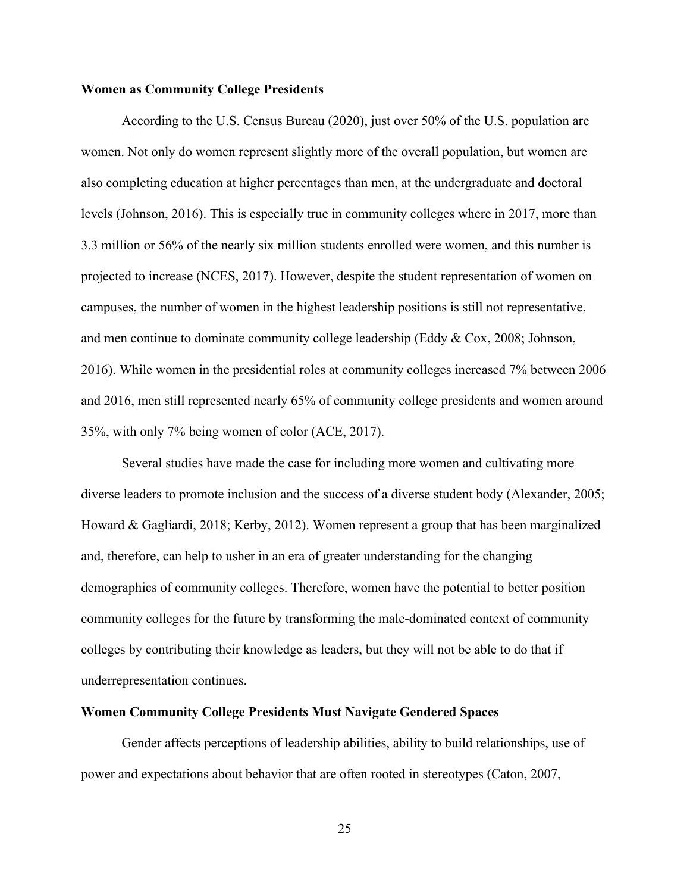# **Women as Community College Presidents**

According to the U.S. Census Bureau (2020), just over 50% of the U.S. population are women. Not only do women represent slightly more of the overall population, but women are also completing education at higher percentages than men, at the undergraduate and doctoral levels (Johnson, 2016). This is especially true in community colleges where in 2017, more than 3.3 million or 56% of the nearly six million students enrolled were women, and this number is projected to increase (NCES, 2017). However, despite the student representation of women on campuses, the number of women in the highest leadership positions is still not representative, and men continue to dominate community college leadership (Eddy & Cox, 2008; Johnson, 2016). While women in the presidential roles at community colleges increased 7% between 2006 and 2016, men still represented nearly 65% of community college presidents and women around 35%, with only 7% being women of color (ACE, 2017).

Several studies have made the case for including more women and cultivating more diverse leaders to promote inclusion and the success of a diverse student body (Alexander, 2005; Howard & Gagliardi, 2018; Kerby, 2012). Women represent a group that has been marginalized and, therefore, can help to usher in an era of greater understanding for the changing demographics of community colleges. Therefore, women have the potential to better position community colleges for the future by transforming the male-dominated context of community colleges by contributing their knowledge as leaders, but they will not be able to do that if underrepresentation continues.

#### **Women Community College Presidents Must Navigate Gendered Spaces**

Gender affects perceptions of leadership abilities, ability to build relationships, use of power and expectations about behavior that are often rooted in stereotypes (Caton, 2007,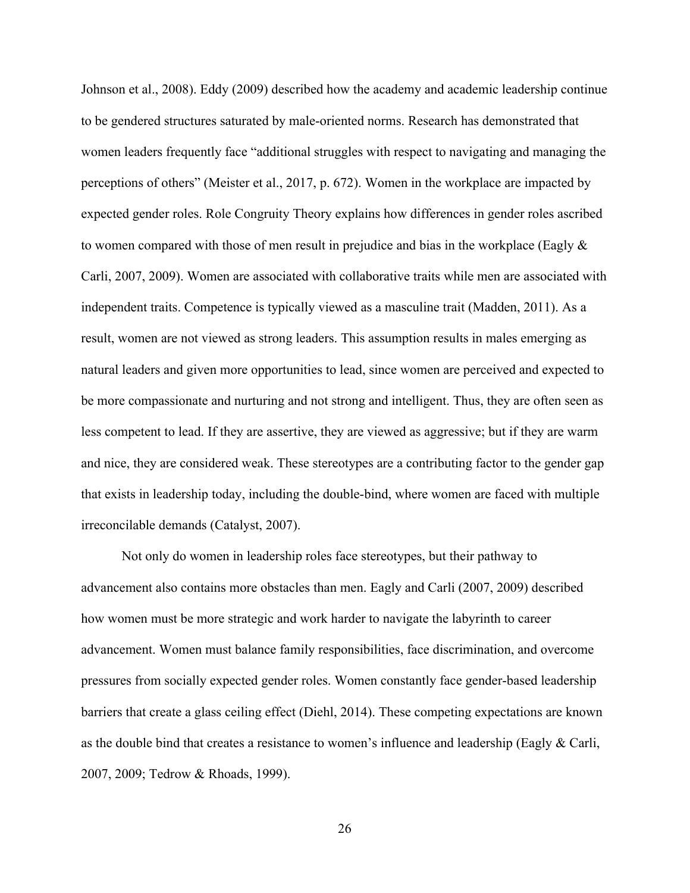Johnson et al., 2008). Eddy (2009) described how the academy and academic leadership continue to be gendered structures saturated by male-oriented norms. Research has demonstrated that women leaders frequently face "additional struggles with respect to navigating and managing the perceptions of others" (Meister et al., 2017, p. 672). Women in the workplace are impacted by expected gender roles. Role Congruity Theory explains how differences in gender roles ascribed to women compared with those of men result in prejudice and bias in the workplace (Eagly & Carli, 2007, 2009). Women are associated with collaborative traits while men are associated with independent traits. Competence is typically viewed as a masculine trait (Madden, 2011). As a result, women are not viewed as strong leaders. This assumption results in males emerging as natural leaders and given more opportunities to lead, since women are perceived and expected to be more compassionate and nurturing and not strong and intelligent. Thus, they are often seen as less competent to lead. If they are assertive, they are viewed as aggressive; but if they are warm and nice, they are considered weak. These stereotypes are a contributing factor to the gender gap that exists in leadership today, including the double-bind, where women are faced with multiple irreconcilable demands (Catalyst, 2007).

Not only do women in leadership roles face stereotypes, but their pathway to advancement also contains more obstacles than men. Eagly and Carli (2007, 2009) described how women must be more strategic and work harder to navigate the labyrinth to career advancement. Women must balance family responsibilities, face discrimination, and overcome pressures from socially expected gender roles. Women constantly face gender-based leadership barriers that create a glass ceiling effect (Diehl, 2014). These competing expectations are known as the double bind that creates a resistance to women's influence and leadership (Eagly & Carli, 2007, 2009; Tedrow & Rhoads, 1999).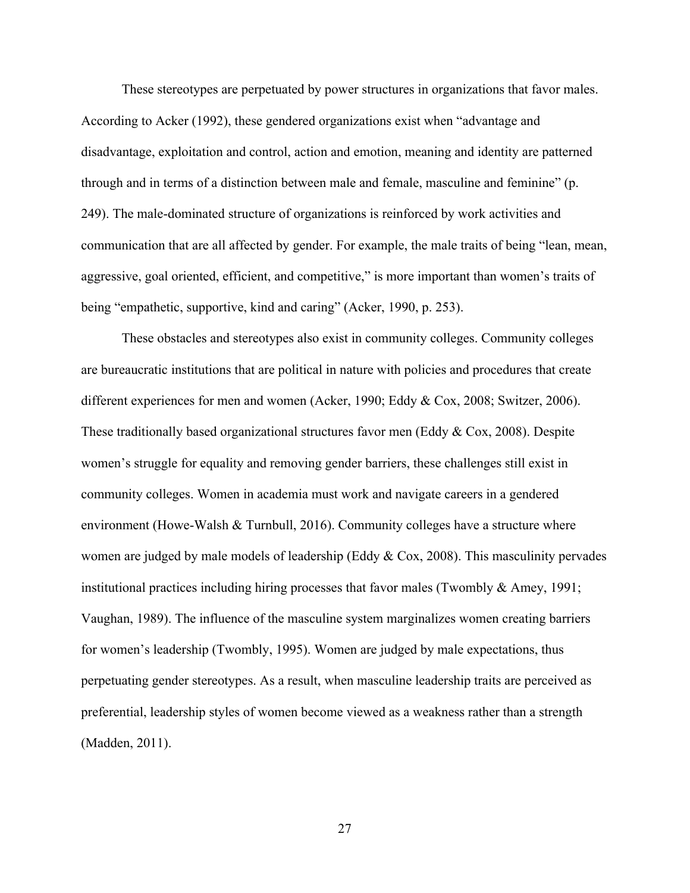These stereotypes are perpetuated by power structures in organizations that favor males. According to Acker (1992), these gendered organizations exist when "advantage and disadvantage, exploitation and control, action and emotion, meaning and identity are patterned through and in terms of a distinction between male and female, masculine and feminine" (p. 249). The male-dominated structure of organizations is reinforced by work activities and communication that are all affected by gender. For example, the male traits of being "lean, mean, aggressive, goal oriented, efficient, and competitive," is more important than women's traits of being "empathetic, supportive, kind and caring" (Acker, 1990, p. 253).

These obstacles and stereotypes also exist in community colleges. Community colleges are bureaucratic institutions that are political in nature with policies and procedures that create different experiences for men and women (Acker, 1990; Eddy & Cox, 2008; Switzer, 2006). These traditionally based organizational structures favor men (Eddy & Cox, 2008). Despite women's struggle for equality and removing gender barriers, these challenges still exist in community colleges. Women in academia must work and navigate careers in a gendered environment (Howe-Walsh & Turnbull, 2016). Community colleges have a structure where women are judged by male models of leadership (Eddy & Cox, 2008). This masculinity pervades institutional practices including hiring processes that favor males (Twombly & Amey, 1991; Vaughan, 1989). The influence of the masculine system marginalizes women creating barriers for women's leadership (Twombly, 1995). Women are judged by male expectations, thus perpetuating gender stereotypes. As a result, when masculine leadership traits are perceived as preferential, leadership styles of women become viewed as a weakness rather than a strength (Madden, 2011).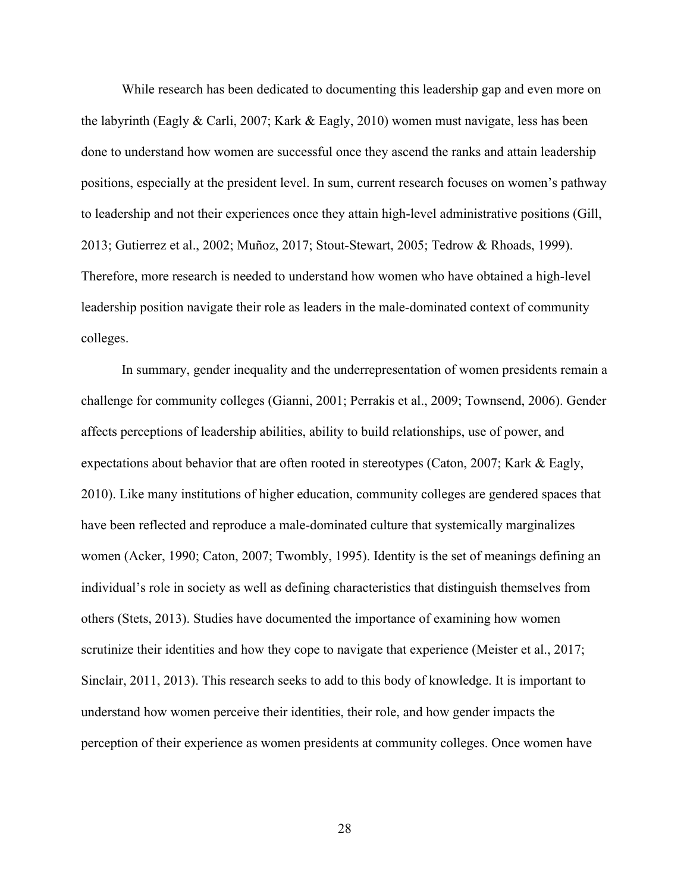While research has been dedicated to documenting this leadership gap and even more on the labyrinth (Eagly & Carli, 2007; Kark & Eagly, 2010) women must navigate, less has been done to understand how women are successful once they ascend the ranks and attain leadership positions, especially at the president level. In sum, current research focuses on women's pathway to leadership and not their experiences once they attain high-level administrative positions (Gill, 2013; Gutierrez et al., 2002; Muñoz, 2017; Stout-Stewart, 2005; Tedrow & Rhoads, 1999). Therefore, more research is needed to understand how women who have obtained a high-level leadership position navigate their role as leaders in the male-dominated context of community colleges.

In summary, gender inequality and the underrepresentation of women presidents remain a challenge for community colleges (Gianni, 2001; Perrakis et al., 2009; Townsend, 2006). Gender affects perceptions of leadership abilities, ability to build relationships, use of power, and expectations about behavior that are often rooted in stereotypes (Caton, 2007; Kark & Eagly, 2010). Like many institutions of higher education, community colleges are gendered spaces that have been reflected and reproduce a male-dominated culture that systemically marginalizes women (Acker, 1990; Caton, 2007; Twombly, 1995). Identity is the set of meanings defining an individual's role in society as well as defining characteristics that distinguish themselves from others (Stets, 2013). Studies have documented the importance of examining how women scrutinize their identities and how they cope to navigate that experience (Meister et al., 2017; Sinclair, 2011, 2013). This research seeks to add to this body of knowledge. It is important to understand how women perceive their identities, their role, and how gender impacts the perception of their experience as women presidents at community colleges. Once women have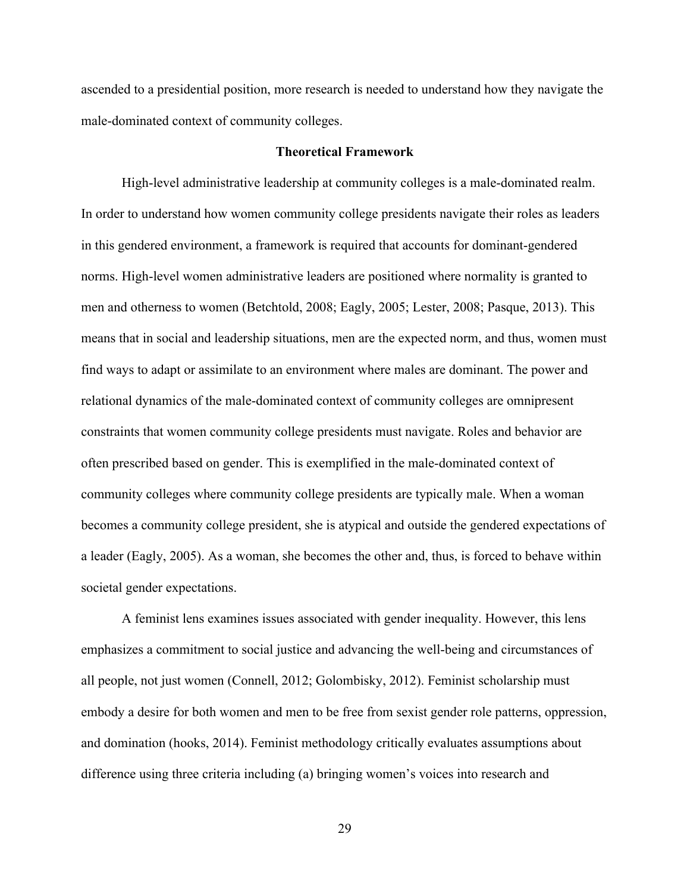ascended to a presidential position, more research is needed to understand how they navigate the male-dominated context of community colleges.

# **Theoretical Framework**

High-level administrative leadership at community colleges is a male-dominated realm. In order to understand how women community college presidents navigate their roles as leaders in this gendered environment, a framework is required that accounts for dominant-gendered norms. High-level women administrative leaders are positioned where normality is granted to men and otherness to women (Betchtold, 2008; Eagly, 2005; Lester, 2008; Pasque, 2013). This means that in social and leadership situations, men are the expected norm, and thus, women must find ways to adapt or assimilate to an environment where males are dominant. The power and relational dynamics of the male-dominated context of community colleges are omnipresent constraints that women community college presidents must navigate. Roles and behavior are often prescribed based on gender. This is exemplified in the male-dominated context of community colleges where community college presidents are typically male. When a woman becomes a community college president, she is atypical and outside the gendered expectations of a leader (Eagly, 2005). As a woman, she becomes the other and, thus, is forced to behave within societal gender expectations.

A feminist lens examines issues associated with gender inequality. However, this lens emphasizes a commitment to social justice and advancing the well-being and circumstances of all people, not just women (Connell, 2012; Golombisky, 2012). Feminist scholarship must embody a desire for both women and men to be free from sexist gender role patterns, oppression, and domination (hooks, 2014). Feminist methodology critically evaluates assumptions about difference using three criteria including (a) bringing women's voices into research and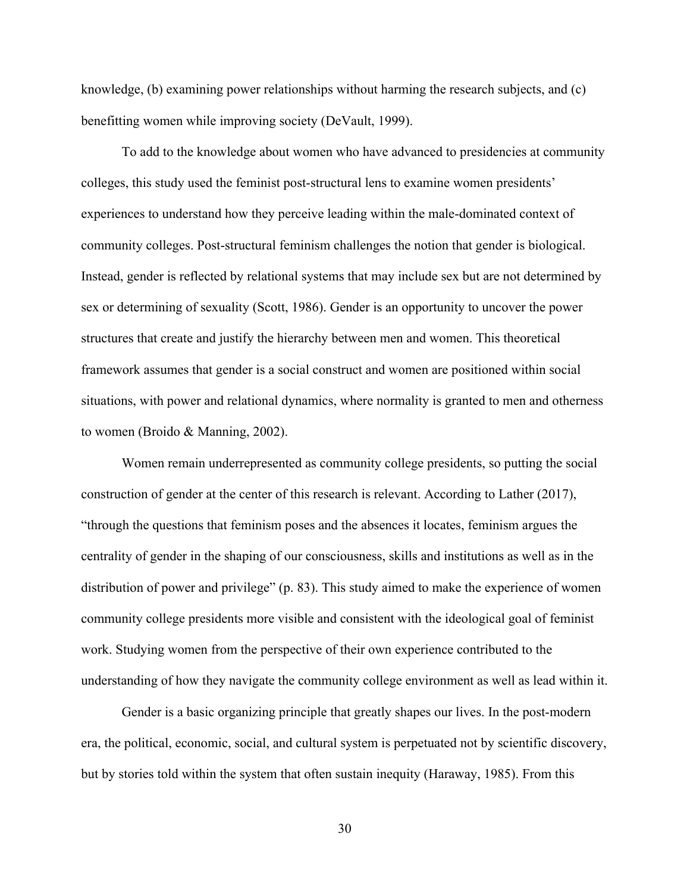knowledge, (b) examining power relationships without harming the research subjects, and (c) benefitting women while improving society (DeVault, 1999).

To add to the knowledge about women who have advanced to presidencies at community colleges, this study used the feminist post-structural lens to examine women presidents' experiences to understand how they perceive leading within the male-dominated context of community colleges. Post-structural feminism challenges the notion that gender is biological. Instead, gender is reflected by relational systems that may include sex but are not determined by sex or determining of sexuality (Scott, 1986). Gender is an opportunity to uncover the power structures that create and justify the hierarchy between men and women. This theoretical framework assumes that gender is a social construct and women are positioned within social situations, with power and relational dynamics, where normality is granted to men and otherness to women (Broido & Manning, 2002).

Women remain underrepresented as community college presidents, so putting the social construction of gender at the center of this research is relevant. According to Lather (2017), "through the questions that feminism poses and the absences it locates, feminism argues the centrality of gender in the shaping of our consciousness, skills and institutions as well as in the distribution of power and privilege" (p. 83). This study aimed to make the experience of women community college presidents more visible and consistent with the ideological goal of feminist work. Studying women from the perspective of their own experience contributed to the understanding of how they navigate the community college environment as well as lead within it.

Gender is a basic organizing principle that greatly shapes our lives. In the post-modern era, the political, economic, social, and cultural system is perpetuated not by scientific discovery, but by stories told within the system that often sustain inequity (Haraway, 1985). From this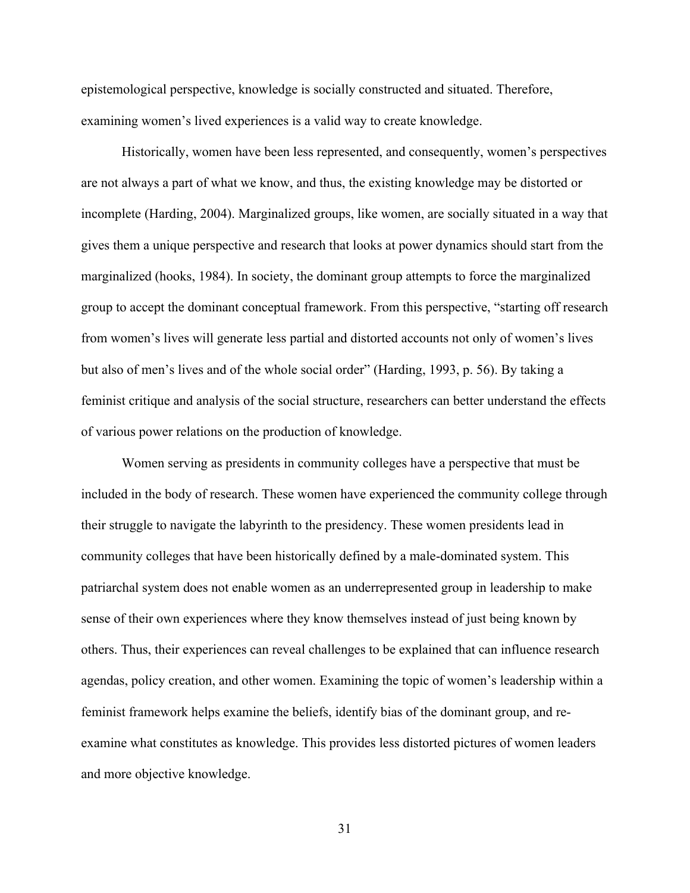epistemological perspective, knowledge is socially constructed and situated. Therefore, examining women's lived experiences is a valid way to create knowledge.

Historically, women have been less represented, and consequently, women's perspectives are not always a part of what we know, and thus, the existing knowledge may be distorted or incomplete (Harding, 2004). Marginalized groups, like women, are socially situated in a way that gives them a unique perspective and research that looks at power dynamics should start from the marginalized (hooks, 1984). In society, the dominant group attempts to force the marginalized group to accept the dominant conceptual framework. From this perspective, "starting off research from women's lives will generate less partial and distorted accounts not only of women's lives but also of men's lives and of the whole social order" (Harding, 1993, p. 56). By taking a feminist critique and analysis of the social structure, researchers can better understand the effects of various power relations on the production of knowledge.

Women serving as presidents in community colleges have a perspective that must be included in the body of research. These women have experienced the community college through their struggle to navigate the labyrinth to the presidency. These women presidents lead in community colleges that have been historically defined by a male-dominated system. This patriarchal system does not enable women as an underrepresented group in leadership to make sense of their own experiences where they know themselves instead of just being known by others. Thus, their experiences can reveal challenges to be explained that can influence research agendas, policy creation, and other women. Examining the topic of women's leadership within a feminist framework helps examine the beliefs, identify bias of the dominant group, and reexamine what constitutes as knowledge. This provides less distorted pictures of women leaders and more objective knowledge.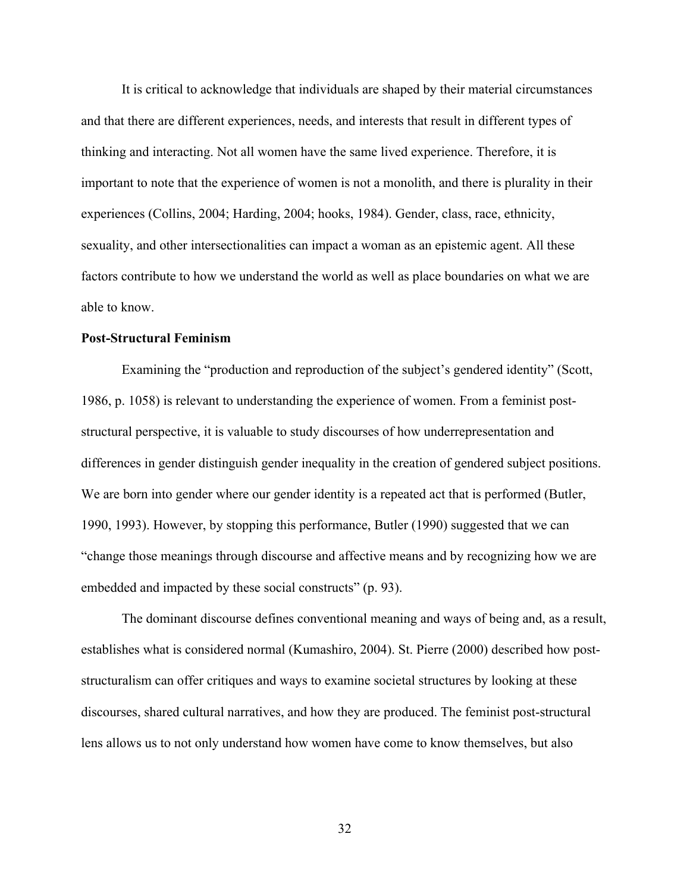It is critical to acknowledge that individuals are shaped by their material circumstances and that there are different experiences, needs, and interests that result in different types of thinking and interacting. Not all women have the same lived experience. Therefore, it is important to note that the experience of women is not a monolith, and there is plurality in their experiences (Collins, 2004; Harding, 2004; hooks, 1984). Gender, class, race, ethnicity, sexuality, and other intersectionalities can impact a woman as an epistemic agent. All these factors contribute to how we understand the world as well as place boundaries on what we are able to know.

# **Post-Structural Feminism**

Examining the "production and reproduction of the subject's gendered identity" (Scott, 1986, p. 1058) is relevant to understanding the experience of women. From a feminist poststructural perspective, it is valuable to study discourses of how underrepresentation and differences in gender distinguish gender inequality in the creation of gendered subject positions. We are born into gender where our gender identity is a repeated act that is performed (Butler, 1990, 1993). However, by stopping this performance, Butler (1990) suggested that we can "change those meanings through discourse and affective means and by recognizing how we are embedded and impacted by these social constructs" (p. 93).

The dominant discourse defines conventional meaning and ways of being and, as a result, establishes what is considered normal (Kumashiro, 2004). St. Pierre (2000) described how poststructuralism can offer critiques and ways to examine societal structures by looking at these discourses, shared cultural narratives, and how they are produced. The feminist post-structural lens allows us to not only understand how women have come to know themselves, but also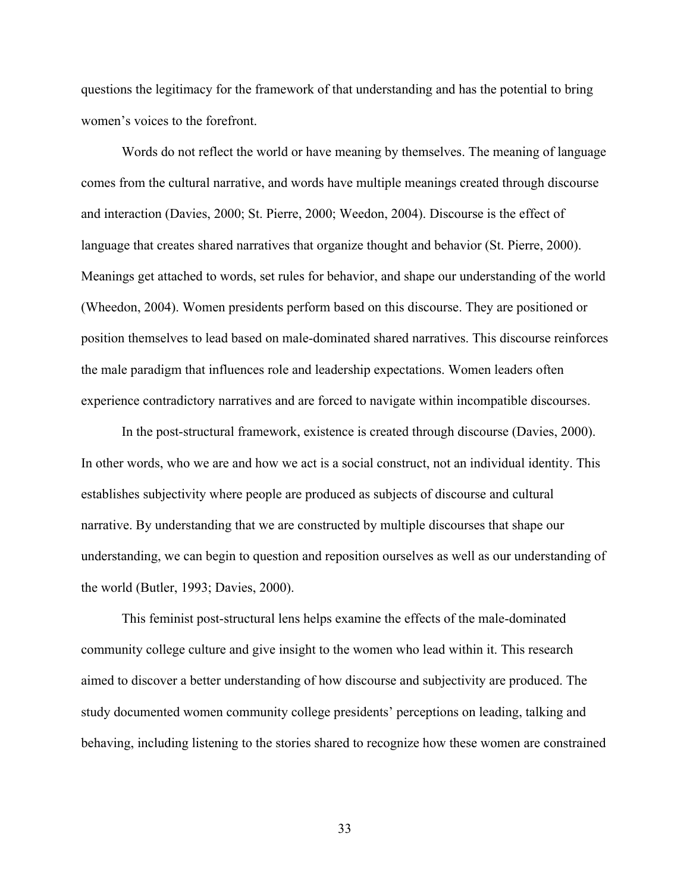questions the legitimacy for the framework of that understanding and has the potential to bring women's voices to the forefront.

Words do not reflect the world or have meaning by themselves. The meaning of language comes from the cultural narrative, and words have multiple meanings created through discourse and interaction (Davies, 2000; St. Pierre, 2000; Weedon, 2004). Discourse is the effect of language that creates shared narratives that organize thought and behavior (St. Pierre, 2000). Meanings get attached to words, set rules for behavior, and shape our understanding of the world (Wheedon, 2004). Women presidents perform based on this discourse. They are positioned or position themselves to lead based on male-dominated shared narratives. This discourse reinforces the male paradigm that influences role and leadership expectations. Women leaders often experience contradictory narratives and are forced to navigate within incompatible discourses.

In the post-structural framework, existence is created through discourse (Davies, 2000). In other words, who we are and how we act is a social construct, not an individual identity. This establishes subjectivity where people are produced as subjects of discourse and cultural narrative. By understanding that we are constructed by multiple discourses that shape our understanding, we can begin to question and reposition ourselves as well as our understanding of the world (Butler, 1993; Davies, 2000).

This feminist post-structural lens helps examine the effects of the male-dominated community college culture and give insight to the women who lead within it. This research aimed to discover a better understanding of how discourse and subjectivity are produced. The study documented women community college presidents' perceptions on leading, talking and behaving, including listening to the stories shared to recognize how these women are constrained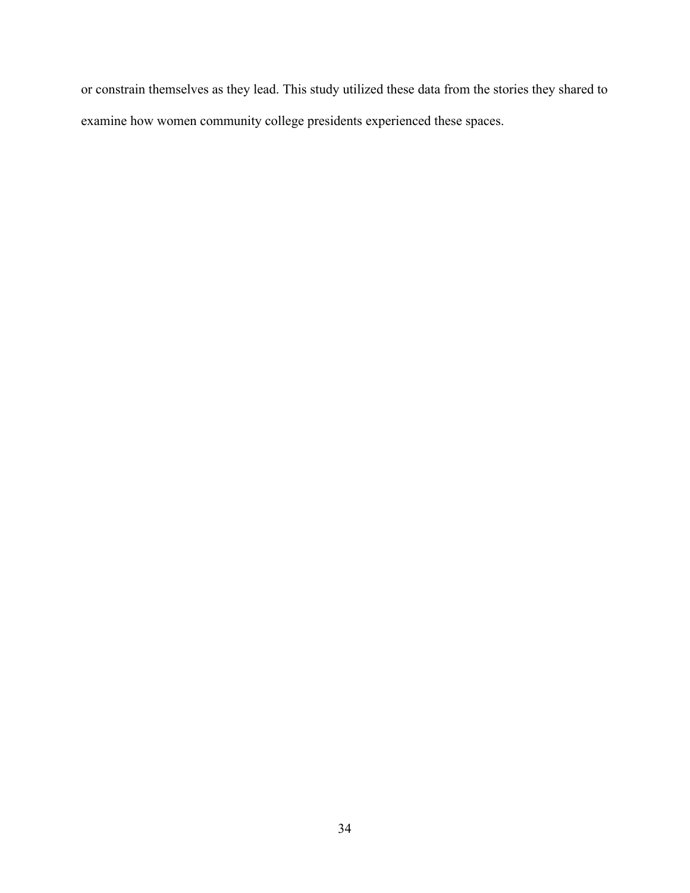or constrain themselves as they lead. This study utilized these data from the stories they shared to examine how women community college presidents experienced these spaces.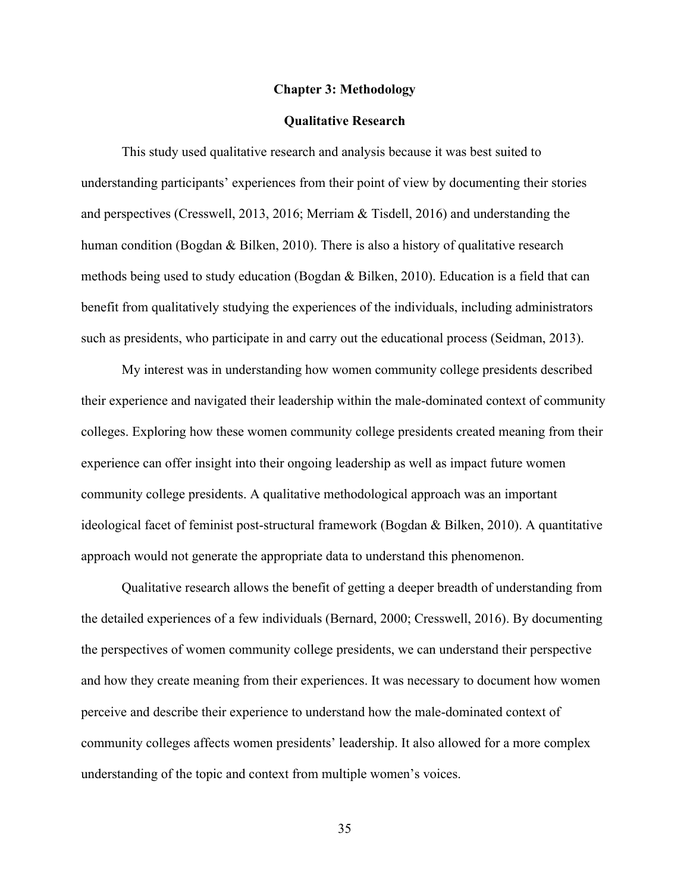#### **Chapter 3: Methodology**

# **Qualitative Research**

This study used qualitative research and analysis because it was best suited to understanding participants' experiences from their point of view by documenting their stories and perspectives (Cresswell, 2013, 2016; Merriam & Tisdell, 2016) and understanding the human condition (Bogdan & Bilken, 2010). There is also a history of qualitative research methods being used to study education (Bogdan & Bilken, 2010). Education is a field that can benefit from qualitatively studying the experiences of the individuals, including administrators such as presidents, who participate in and carry out the educational process (Seidman, 2013).

My interest was in understanding how women community college presidents described their experience and navigated their leadership within the male-dominated context of community colleges. Exploring how these women community college presidents created meaning from their experience can offer insight into their ongoing leadership as well as impact future women community college presidents. A qualitative methodological approach was an important ideological facet of feminist post-structural framework (Bogdan & Bilken, 2010). A quantitative approach would not generate the appropriate data to understand this phenomenon.

Qualitative research allows the benefit of getting a deeper breadth of understanding from the detailed experiences of a few individuals (Bernard, 2000; Cresswell, 2016). By documenting the perspectives of women community college presidents, we can understand their perspective and how they create meaning from their experiences. It was necessary to document how women perceive and describe their experience to understand how the male-dominated context of community colleges affects women presidents' leadership. It also allowed for a more complex understanding of the topic and context from multiple women's voices.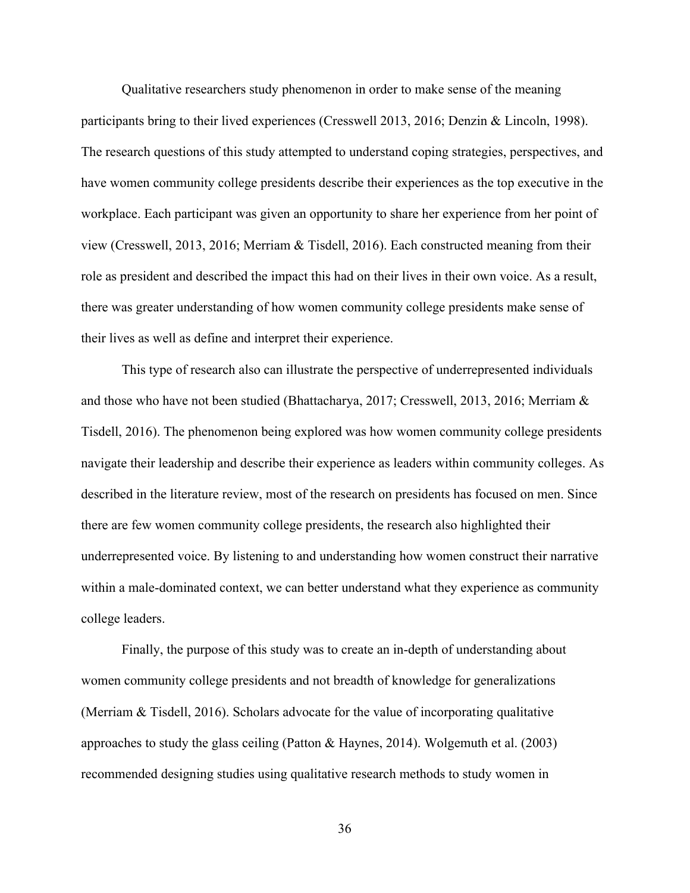Qualitative researchers study phenomenon in order to make sense of the meaning participants bring to their lived experiences (Cresswell 2013, 2016; Denzin & Lincoln, 1998). The research questions of this study attempted to understand coping strategies, perspectives, and have women community college presidents describe their experiences as the top executive in the workplace. Each participant was given an opportunity to share her experience from her point of view (Cresswell, 2013, 2016; Merriam & Tisdell, 2016). Each constructed meaning from their role as president and described the impact this had on their lives in their own voice. As a result, there was greater understanding of how women community college presidents make sense of their lives as well as define and interpret their experience.

This type of research also can illustrate the perspective of underrepresented individuals and those who have not been studied (Bhattacharya, 2017; Cresswell, 2013, 2016; Merriam & Tisdell, 2016). The phenomenon being explored was how women community college presidents navigate their leadership and describe their experience as leaders within community colleges. As described in the literature review, most of the research on presidents has focused on men. Since there are few women community college presidents, the research also highlighted their underrepresented voice. By listening to and understanding how women construct their narrative within a male-dominated context, we can better understand what they experience as community college leaders.

Finally, the purpose of this study was to create an in-depth of understanding about women community college presidents and not breadth of knowledge for generalizations (Merriam & Tisdell, 2016). Scholars advocate for the value of incorporating qualitative approaches to study the glass ceiling (Patton & Haynes, 2014). Wolgemuth et al. (2003) recommended designing studies using qualitative research methods to study women in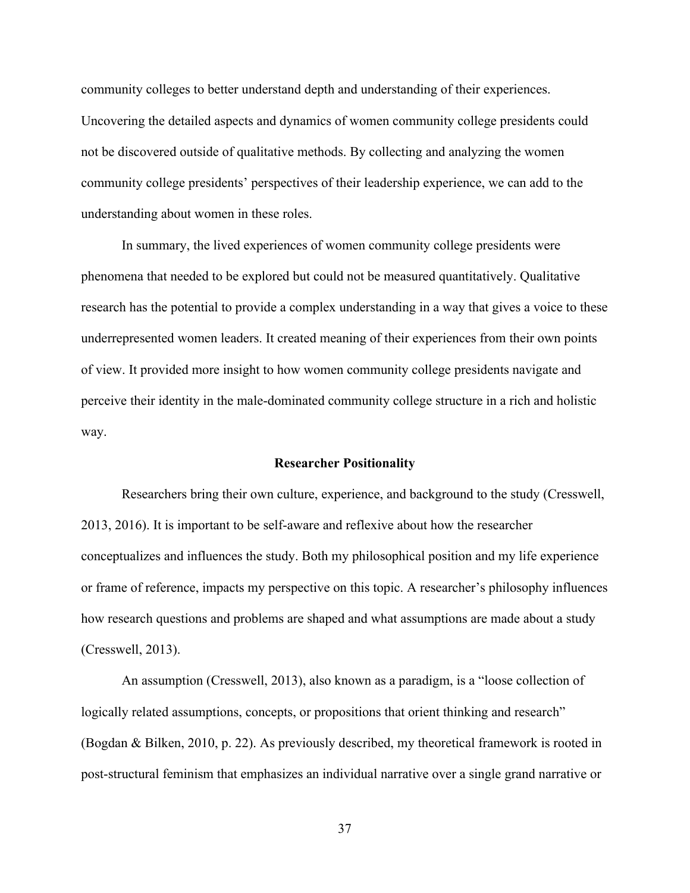community colleges to better understand depth and understanding of their experiences. Uncovering the detailed aspects and dynamics of women community college presidents could not be discovered outside of qualitative methods. By collecting and analyzing the women community college presidents' perspectives of their leadership experience, we can add to the understanding about women in these roles.

In summary, the lived experiences of women community college presidents were phenomena that needed to be explored but could not be measured quantitatively. Qualitative research has the potential to provide a complex understanding in a way that gives a voice to these underrepresented women leaders. It created meaning of their experiences from their own points of view. It provided more insight to how women community college presidents navigate and perceive their identity in the male-dominated community college structure in a rich and holistic way.

#### **Researcher Positionality**

Researchers bring their own culture, experience, and background to the study (Cresswell, 2013, 2016). It is important to be self-aware and reflexive about how the researcher conceptualizes and influences the study. Both my philosophical position and my life experience or frame of reference, impacts my perspective on this topic. A researcher's philosophy influences how research questions and problems are shaped and what assumptions are made about a study (Cresswell, 2013).

An assumption (Cresswell, 2013), also known as a paradigm, is a "loose collection of logically related assumptions, concepts, or propositions that orient thinking and research" (Bogdan & Bilken, 2010, p. 22). As previously described, my theoretical framework is rooted in post-structural feminism that emphasizes an individual narrative over a single grand narrative or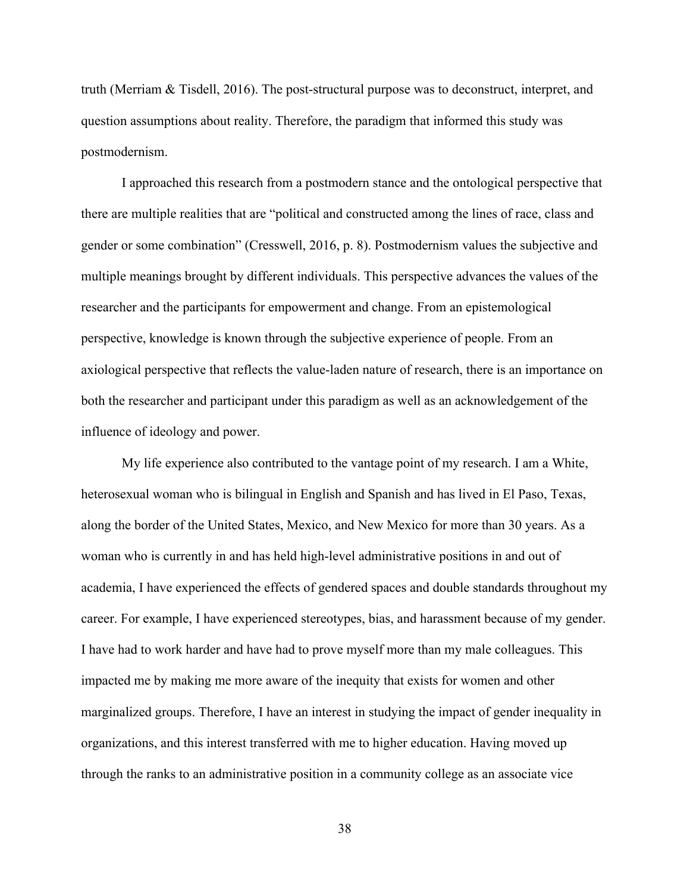truth (Merriam & Tisdell, 2016). The post-structural purpose was to deconstruct, interpret, and question assumptions about reality. Therefore, the paradigm that informed this study was postmodernism.

I approached this research from a postmodern stance and the ontological perspective that there are multiple realities that are "political and constructed among the lines of race, class and gender or some combination" (Cresswell, 2016, p. 8). Postmodernism values the subjective and multiple meanings brought by different individuals. This perspective advances the values of the researcher and the participants for empowerment and change. From an epistemological perspective, knowledge is known through the subjective experience of people. From an axiological perspective that reflects the value-laden nature of research, there is an importance on both the researcher and participant under this paradigm as well as an acknowledgement of the influence of ideology and power.

My life experience also contributed to the vantage point of my research. I am a White, heterosexual woman who is bilingual in English and Spanish and has lived in El Paso, Texas, along the border of the United States, Mexico, and New Mexico for more than 30 years. As a woman who is currently in and has held high-level administrative positions in and out of academia, I have experienced the effects of gendered spaces and double standards throughout my career. For example, I have experienced stereotypes, bias, and harassment because of my gender. I have had to work harder and have had to prove myself more than my male colleagues. This impacted me by making me more aware of the inequity that exists for women and other marginalized groups. Therefore, I have an interest in studying the impact of gender inequality in organizations, and this interest transferred with me to higher education. Having moved up through the ranks to an administrative position in a community college as an associate vice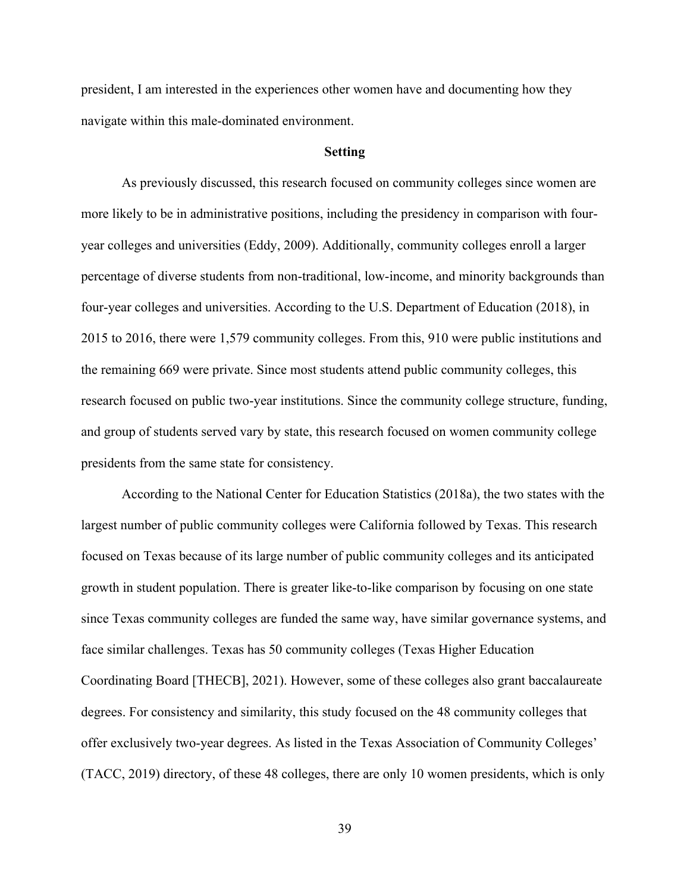president, I am interested in the experiences other women have and documenting how they navigate within this male-dominated environment.

#### **Setting**

As previously discussed, this research focused on community colleges since women are more likely to be in administrative positions, including the presidency in comparison with fouryear colleges and universities (Eddy, 2009). Additionally, community colleges enroll a larger percentage of diverse students from non-traditional, low-income, and minority backgrounds than four-year colleges and universities. According to the U.S. Department of Education (2018), in 2015 to 2016, there were 1,579 community colleges. From this, 910 were public institutions and the remaining 669 were private. Since most students attend public community colleges, this research focused on public two-year institutions. Since the community college structure, funding, and group of students served vary by state, this research focused on women community college presidents from the same state for consistency.

According to the National Center for Education Statistics (2018a), the two states with the largest number of public community colleges were California followed by Texas. This research focused on Texas because of its large number of public community colleges and its anticipated growth in student population. There is greater like-to-like comparison by focusing on one state since Texas community colleges are funded the same way, have similar governance systems, and face similar challenges. Texas has 50 community colleges (Texas Higher Education Coordinating Board [THECB], 2021). However, some of these colleges also grant baccalaureate degrees. For consistency and similarity, this study focused on the 48 community colleges that offer exclusively two-year degrees. As listed in the Texas Association of Community Colleges' (TACC, 2019) directory, of these 48 colleges, there are only 10 women presidents, which is only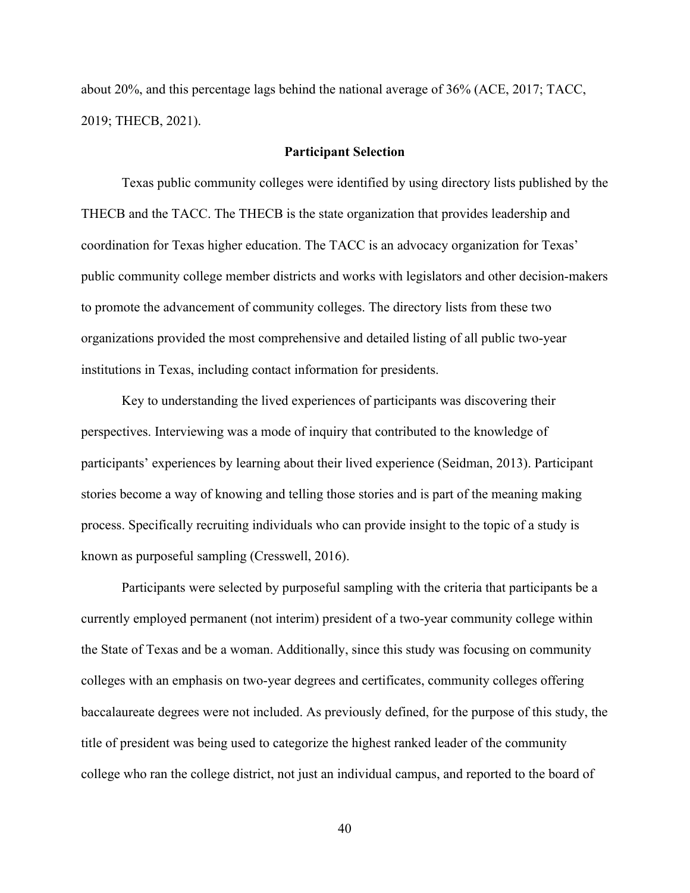about 20%, and this percentage lags behind the national average of 36% (ACE, 2017; TACC, 2019; THECB, 2021).

# **Participant Selection**

Texas public community colleges were identified by using directory lists published by the THECB and the TACC. The THECB is the state organization that provides leadership and coordination for Texas higher education. The TACC is an advocacy organization for Texas' public community college member districts and works with legislators and other decision-makers to promote the advancement of community colleges. The directory lists from these two organizations provided the most comprehensive and detailed listing of all public two-year institutions in Texas, including contact information for presidents.

Key to understanding the lived experiences of participants was discovering their perspectives. Interviewing was a mode of inquiry that contributed to the knowledge of participants' experiences by learning about their lived experience (Seidman, 2013). Participant stories become a way of knowing and telling those stories and is part of the meaning making process. Specifically recruiting individuals who can provide insight to the topic of a study is known as purposeful sampling (Cresswell, 2016).

Participants were selected by purposeful sampling with the criteria that participants be a currently employed permanent (not interim) president of a two-year community college within the State of Texas and be a woman. Additionally, since this study was focusing on community colleges with an emphasis on two-year degrees and certificates, community colleges offering baccalaureate degrees were not included. As previously defined, for the purpose of this study, the title of president was being used to categorize the highest ranked leader of the community college who ran the college district, not just an individual campus, and reported to the board of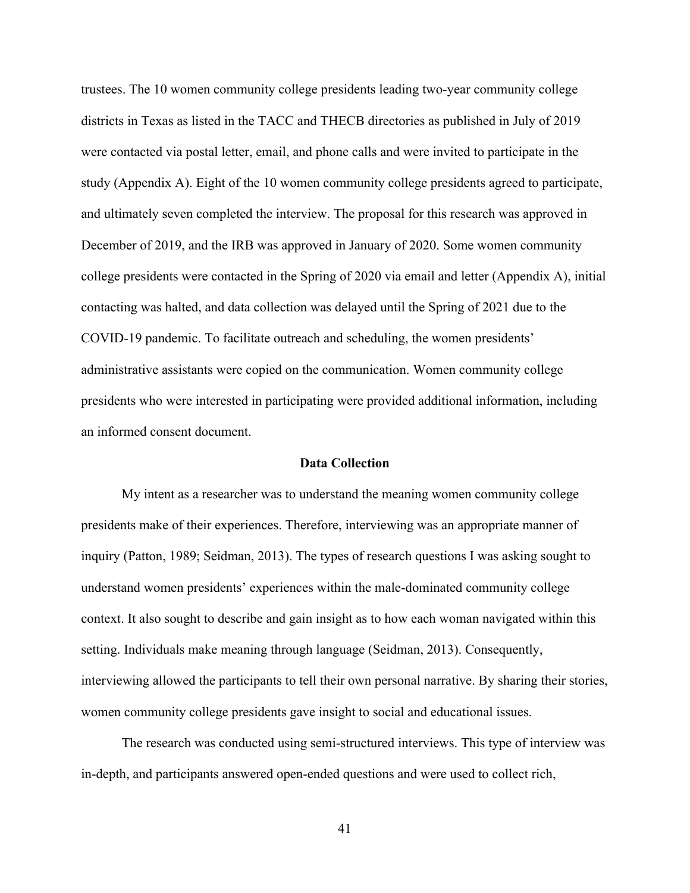trustees. The 10 women community college presidents leading two-year community college districts in Texas as listed in the TACC and THECB directories as published in July of 2019 were contacted via postal letter, email, and phone calls and were invited to participate in the study (Appendix A). Eight of the 10 women community college presidents agreed to participate, and ultimately seven completed the interview. The proposal for this research was approved in December of 2019, and the IRB was approved in January of 2020. Some women community college presidents were contacted in the Spring of 2020 via email and letter (Appendix A), initial contacting was halted, and data collection was delayed until the Spring of 2021 due to the COVID-19 pandemic. To facilitate outreach and scheduling, the women presidents' administrative assistants were copied on the communication. Women community college presidents who were interested in participating were provided additional information, including an informed consent document.

# **Data Collection**

My intent as a researcher was to understand the meaning women community college presidents make of their experiences. Therefore, interviewing was an appropriate manner of inquiry (Patton, 1989; Seidman, 2013). The types of research questions I was asking sought to understand women presidents' experiences within the male-dominated community college context. It also sought to describe and gain insight as to how each woman navigated within this setting. Individuals make meaning through language (Seidman, 2013). Consequently, interviewing allowed the participants to tell their own personal narrative. By sharing their stories, women community college presidents gave insight to social and educational issues.

The research was conducted using semi-structured interviews. This type of interview was in-depth, and participants answered open-ended questions and were used to collect rich,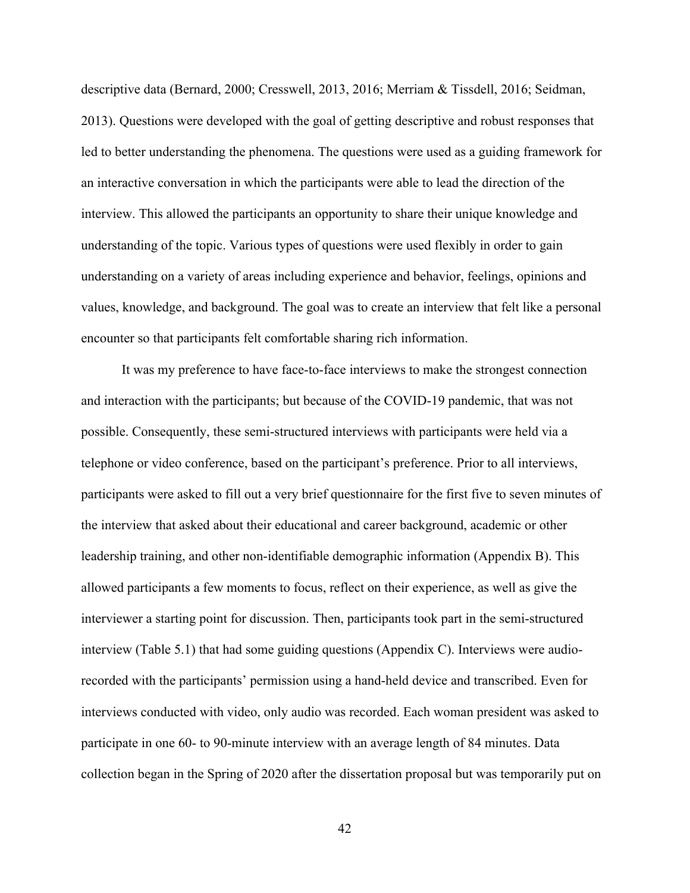descriptive data (Bernard, 2000; Cresswell, 2013, 2016; Merriam & Tissdell, 2016; Seidman, 2013). Questions were developed with the goal of getting descriptive and robust responses that led to better understanding the phenomena. The questions were used as a guiding framework for an interactive conversation in which the participants were able to lead the direction of the interview. This allowed the participants an opportunity to share their unique knowledge and understanding of the topic. Various types of questions were used flexibly in order to gain understanding on a variety of areas including experience and behavior, feelings, opinions and values, knowledge, and background. The goal was to create an interview that felt like a personal encounter so that participants felt comfortable sharing rich information.

It was my preference to have face-to-face interviews to make the strongest connection and interaction with the participants; but because of the COVID-19 pandemic, that was not possible. Consequently, these semi-structured interviews with participants were held via a telephone or video conference, based on the participant's preference. Prior to all interviews, participants were asked to fill out a very brief questionnaire for the first five to seven minutes of the interview that asked about their educational and career background, academic or other leadership training, and other non-identifiable demographic information (Appendix B). This allowed participants a few moments to focus, reflect on their experience, as well as give the interviewer a starting point for discussion. Then, participants took part in the semi-structured interview (Table 5.1) that had some guiding questions (Appendix C). Interviews were audiorecorded with the participants' permission using a hand-held device and transcribed. Even for interviews conducted with video, only audio was recorded. Each woman president was asked to participate in one 60- to 90-minute interview with an average length of 84 minutes. Data collection began in the Spring of 2020 after the dissertation proposal but was temporarily put on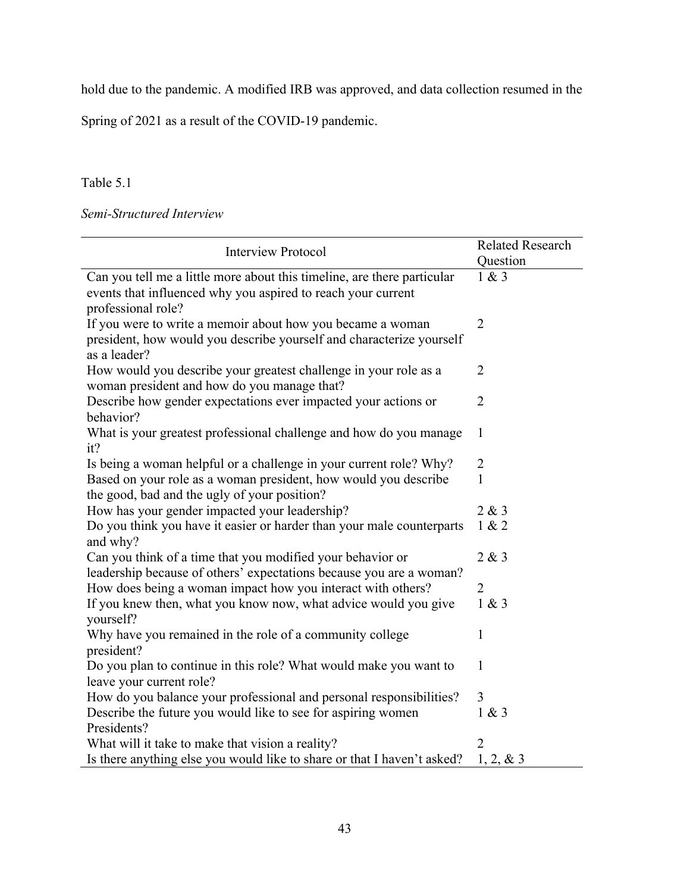hold due to the pandemic. A modified IRB was approved, and data collection resumed in the

Spring of 2021 as a result of the COVID-19 pandemic.

Table 5.1

*Semi-Structured Interview*

| <b>Interview Protocol</b>                                                                                                                                     | <b>Related Research</b><br>Question |
|---------------------------------------------------------------------------------------------------------------------------------------------------------------|-------------------------------------|
| Can you tell me a little more about this timeline, are there particular<br>events that influenced why you aspired to reach your current<br>professional role? | 1 & 3                               |
| If you were to write a memoir about how you became a woman<br>president, how would you describe yourself and characterize yourself<br>as a leader?            | $\overline{2}$                      |
| How would you describe your greatest challenge in your role as a<br>woman president and how do you manage that?                                               | $\overline{2}$                      |
| Describe how gender expectations ever impacted your actions or<br>behavior?                                                                                   | $\overline{2}$                      |
| What is your greatest professional challenge and how do you manage<br>it?                                                                                     | 1                                   |
| Is being a woman helpful or a challenge in your current role? Why?                                                                                            | $\overline{2}$                      |
| Based on your role as a woman president, how would you describe<br>the good, bad and the ugly of your position?                                               | 1                                   |
| How has your gender impacted your leadership?                                                                                                                 | 2 & 3                               |
| Do you think you have it easier or harder than your male counterparts<br>and why?                                                                             | 1 & 2                               |
| Can you think of a time that you modified your behavior or<br>leadership because of others' expectations because you are a woman?                             | 2 & 3                               |
| How does being a woman impact how you interact with others?                                                                                                   | $\overline{2}$                      |
| If you knew then, what you know now, what advice would you give<br>yourself?                                                                                  | 1 & 3                               |
| Why have you remained in the role of a community college<br>president?                                                                                        | 1                                   |
| Do you plan to continue in this role? What would make you want to<br>leave your current role?                                                                 | $\mathbf{1}$                        |
| How do you balance your professional and personal responsibilities?                                                                                           | $\overline{3}$                      |
| Describe the future you would like to see for aspiring women<br>Presidents?                                                                                   | 1 & 3                               |
| What will it take to make that vision a reality?                                                                                                              | 2                                   |
| Is there anything else you would like to share or that I haven't asked?                                                                                       | 1, 2, 8, 3                          |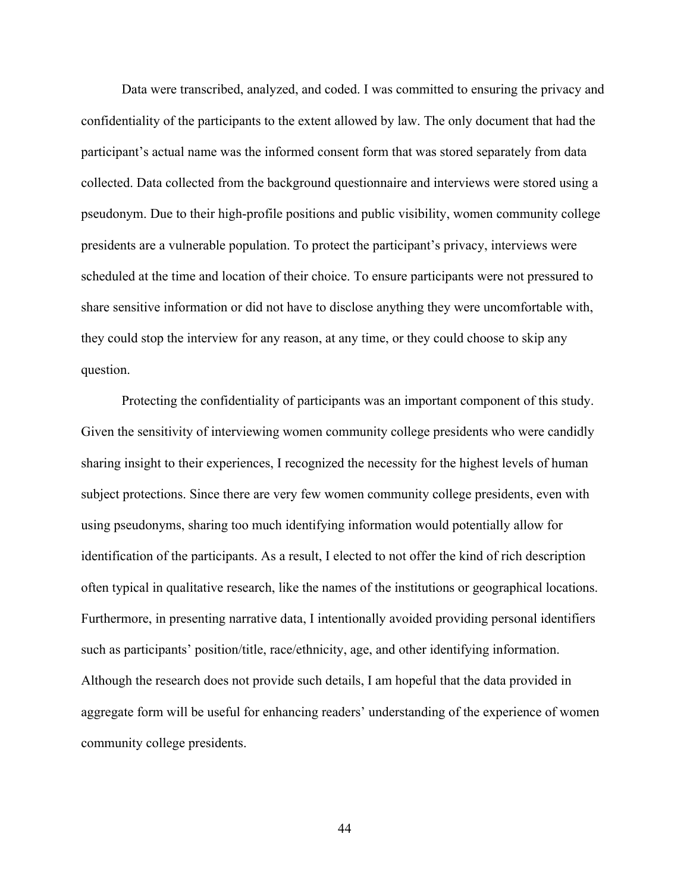Data were transcribed, analyzed, and coded. I was committed to ensuring the privacy and confidentiality of the participants to the extent allowed by law. The only document that had the participant's actual name was the informed consent form that was stored separately from data collected. Data collected from the background questionnaire and interviews were stored using a pseudonym. Due to their high-profile positions and public visibility, women community college presidents are a vulnerable population. To protect the participant's privacy, interviews were scheduled at the time and location of their choice. To ensure participants were not pressured to share sensitive information or did not have to disclose anything they were uncomfortable with, they could stop the interview for any reason, at any time, or they could choose to skip any question.

Protecting the confidentiality of participants was an important component of this study. Given the sensitivity of interviewing women community college presidents who were candidly sharing insight to their experiences, I recognized the necessity for the highest levels of human subject protections. Since there are very few women community college presidents, even with using pseudonyms, sharing too much identifying information would potentially allow for identification of the participants. As a result, I elected to not offer the kind of rich description often typical in qualitative research, like the names of the institutions or geographical locations. Furthermore, in presenting narrative data, I intentionally avoided providing personal identifiers such as participants' position/title, race/ethnicity, age, and other identifying information. Although the research does not provide such details, I am hopeful that the data provided in aggregate form will be useful for enhancing readers' understanding of the experience of women community college presidents.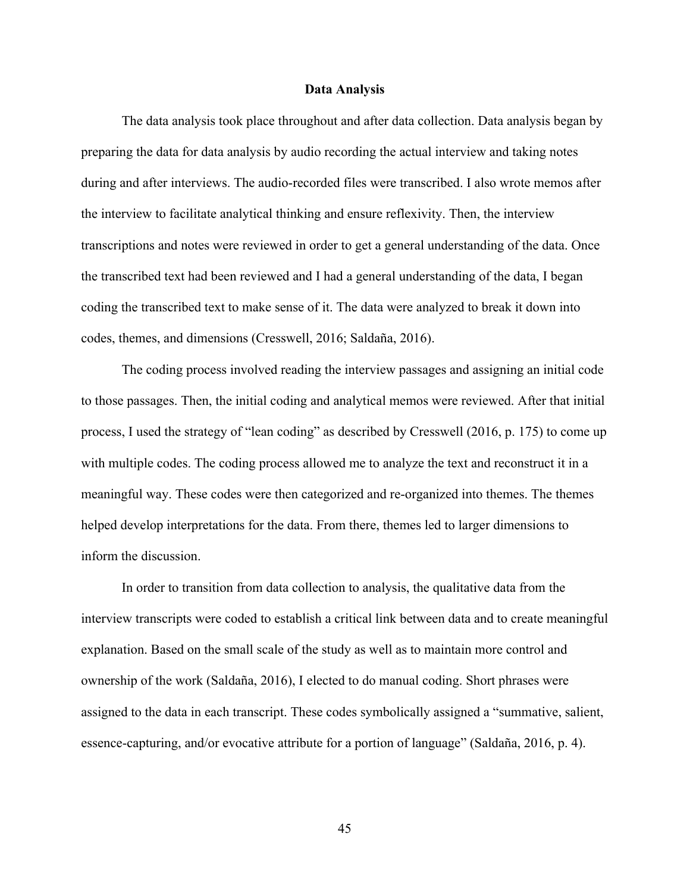#### **Data Analysis**

The data analysis took place throughout and after data collection. Data analysis began by preparing the data for data analysis by audio recording the actual interview and taking notes during and after interviews. The audio-recorded files were transcribed. I also wrote memos after the interview to facilitate analytical thinking and ensure reflexivity. Then, the interview transcriptions and notes were reviewed in order to get a general understanding of the data. Once the transcribed text had been reviewed and I had a general understanding of the data, I began coding the transcribed text to make sense of it. The data were analyzed to break it down into codes, themes, and dimensions (Cresswell, 2016; Saldaña, 2016).

The coding process involved reading the interview passages and assigning an initial code to those passages. Then, the initial coding and analytical memos were reviewed. After that initial process, I used the strategy of "lean coding" as described by Cresswell (2016, p. 175) to come up with multiple codes. The coding process allowed me to analyze the text and reconstruct it in a meaningful way. These codes were then categorized and re-organized into themes. The themes helped develop interpretations for the data. From there, themes led to larger dimensions to inform the discussion.

In order to transition from data collection to analysis, the qualitative data from the interview transcripts were coded to establish a critical link between data and to create meaningful explanation. Based on the small scale of the study as well as to maintain more control and ownership of the work (Saldaña, 2016), I elected to do manual coding. Short phrases were assigned to the data in each transcript. These codes symbolically assigned a "summative, salient, essence-capturing, and/or evocative attribute for a portion of language" (Saldaña, 2016, p. 4).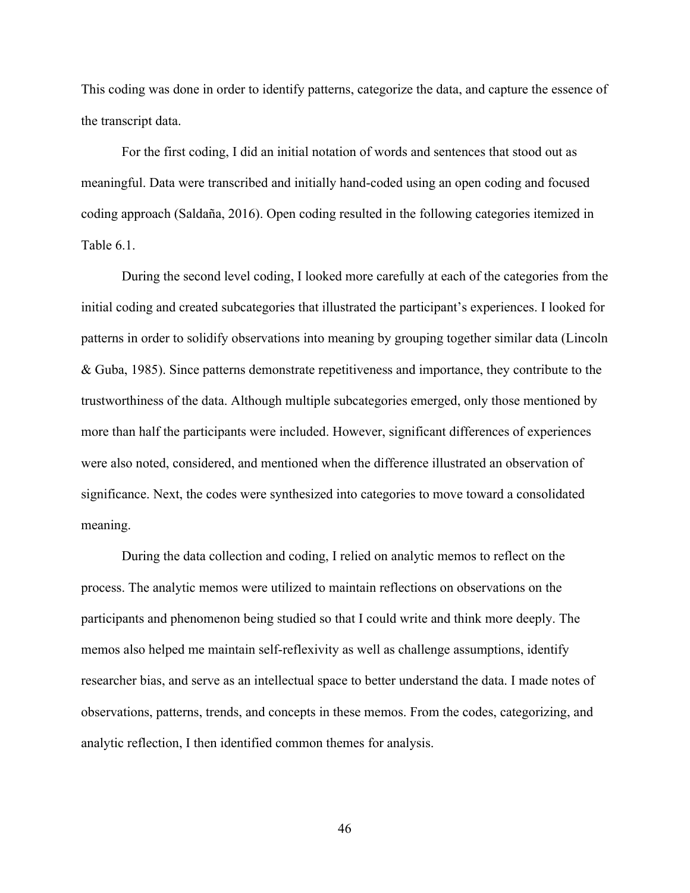This coding was done in order to identify patterns, categorize the data, and capture the essence of the transcript data.

For the first coding, I did an initial notation of words and sentences that stood out as meaningful. Data were transcribed and initially hand-coded using an open coding and focused coding approach (Saldaña, 2016). Open coding resulted in the following categories itemized in Table 6.1.

During the second level coding, I looked more carefully at each of the categories from the initial coding and created subcategories that illustrated the participant's experiences. I looked for patterns in order to solidify observations into meaning by grouping together similar data (Lincoln & Guba, 1985). Since patterns demonstrate repetitiveness and importance, they contribute to the trustworthiness of the data. Although multiple subcategories emerged, only those mentioned by more than half the participants were included. However, significant differences of experiences were also noted, considered, and mentioned when the difference illustrated an observation of significance. Next, the codes were synthesized into categories to move toward a consolidated meaning.

During the data collection and coding, I relied on analytic memos to reflect on the process. The analytic memos were utilized to maintain reflections on observations on the participants and phenomenon being studied so that I could write and think more deeply. The memos also helped me maintain self-reflexivity as well as challenge assumptions, identify researcher bias, and serve as an intellectual space to better understand the data. I made notes of observations, patterns, trends, and concepts in these memos. From the codes, categorizing, and analytic reflection, I then identified common themes for analysis.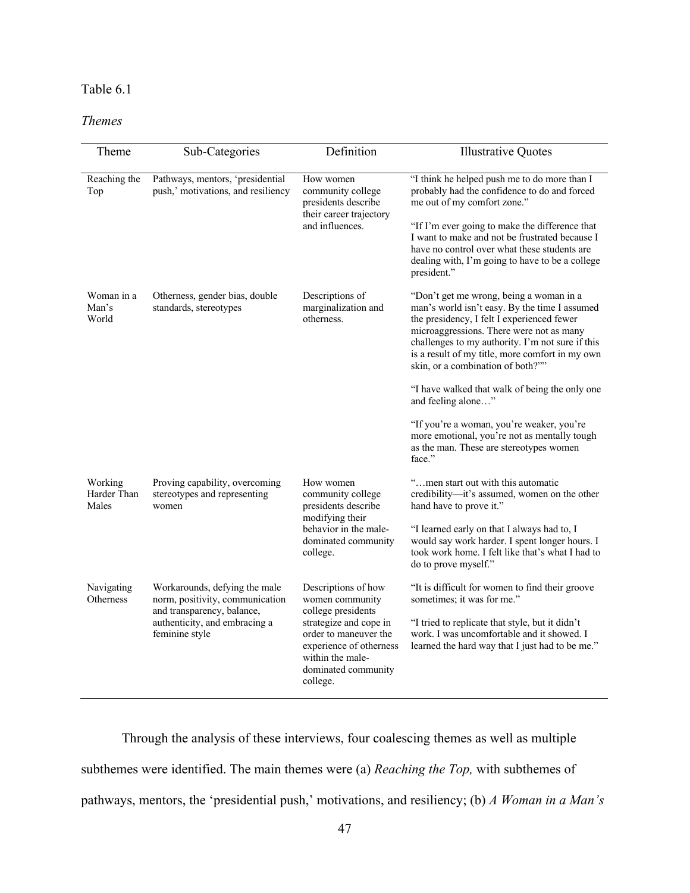# Table 6.1

# *Themes*

| Theme                                                                                                                                                                                                | Sub-Categories                                                                                                                                                                                                                  | Definition                                                                                                                                                                | <b>Illustrative Quotes</b>                                                                                                                                                                                                                                                                                                     |
|------------------------------------------------------------------------------------------------------------------------------------------------------------------------------------------------------|---------------------------------------------------------------------------------------------------------------------------------------------------------------------------------------------------------------------------------|---------------------------------------------------------------------------------------------------------------------------------------------------------------------------|--------------------------------------------------------------------------------------------------------------------------------------------------------------------------------------------------------------------------------------------------------------------------------------------------------------------------------|
|                                                                                                                                                                                                      |                                                                                                                                                                                                                                 |                                                                                                                                                                           |                                                                                                                                                                                                                                                                                                                                |
| Pathways, mentors, 'presidential<br>Reaching the<br>How women<br>push,' motivations, and resiliency<br>community college<br>Top<br>presidents describe<br>their career trajectory<br>and influences. | "I think he helped push me to do more than I<br>probably had the confidence to do and forced<br>me out of my comfort zone."<br>"If I'm ever going to make the difference that<br>I want to make and not be frustrated because I |                                                                                                                                                                           |                                                                                                                                                                                                                                                                                                                                |
|                                                                                                                                                                                                      |                                                                                                                                                                                                                                 |                                                                                                                                                                           | have no control over what these students are<br>dealing with, I'm going to have to be a college<br>president."                                                                                                                                                                                                                 |
| Woman in a<br>Man's<br>World                                                                                                                                                                         | Otherness, gender bias, double<br>standards, stereotypes                                                                                                                                                                        | Descriptions of<br>marginalization and<br>otherness.                                                                                                                      | "Don't get me wrong, being a woman in a<br>man's world isn't easy. By the time I assumed<br>the presidency, I felt I experienced fewer<br>microaggressions. There were not as many<br>challenges to my authority. I'm not sure if this<br>is a result of my title, more comfort in my own<br>skin, or a combination of both?"" |
|                                                                                                                                                                                                      |                                                                                                                                                                                                                                 |                                                                                                                                                                           | "I have walked that walk of being the only one<br>and feeling alone"                                                                                                                                                                                                                                                           |
|                                                                                                                                                                                                      |                                                                                                                                                                                                                                 |                                                                                                                                                                           | "If you're a woman, you're weaker, you're<br>more emotional, you're not as mentally tough<br>as the man. These are stereotypes women<br>face."                                                                                                                                                                                 |
| Working<br>Harder Than<br>Males                                                                                                                                                                      | Proving capability, overcoming<br>stereotypes and representing<br>women                                                                                                                                                         | How women<br>community college<br>presidents describe                                                                                                                     | "men start out with this automatic<br>credibility-it's assumed, women on the other<br>hand have to prove it."                                                                                                                                                                                                                  |
|                                                                                                                                                                                                      | modifying their<br>behavior in the male-<br>dominated community<br>college.                                                                                                                                                     | "I learned early on that I always had to, I<br>would say work harder. I spent longer hours. I<br>took work home. I felt like that's what I had to<br>do to prove myself." |                                                                                                                                                                                                                                                                                                                                |
| Navigating<br>Workarounds, defying the male<br>norm, positivity, communication<br>Otherness<br>and transparency, balance,<br>authenticity, and embracing a<br>feminine style                         | Descriptions of how<br>women community<br>college presidents<br>strategize and cope in<br>order to maneuver the<br>experience of otherness<br>within the male-<br>dominated community<br>college.                               | "It is difficult for women to find their groove<br>sometimes; it was for me."                                                                                             |                                                                                                                                                                                                                                                                                                                                |
|                                                                                                                                                                                                      |                                                                                                                                                                                                                                 | "I tried to replicate that style, but it didn't<br>work. I was uncomfortable and it showed. I<br>learned the hard way that I just had to be me."                          |                                                                                                                                                                                                                                                                                                                                |

Through the analysis of these interviews, four coalescing themes as well as multiple subthemes were identified. The main themes were (a) *Reaching the Top,* with subthemes of pathways, mentors, the 'presidential push,' motivations, and resiliency; (b) *A Woman in a Man's*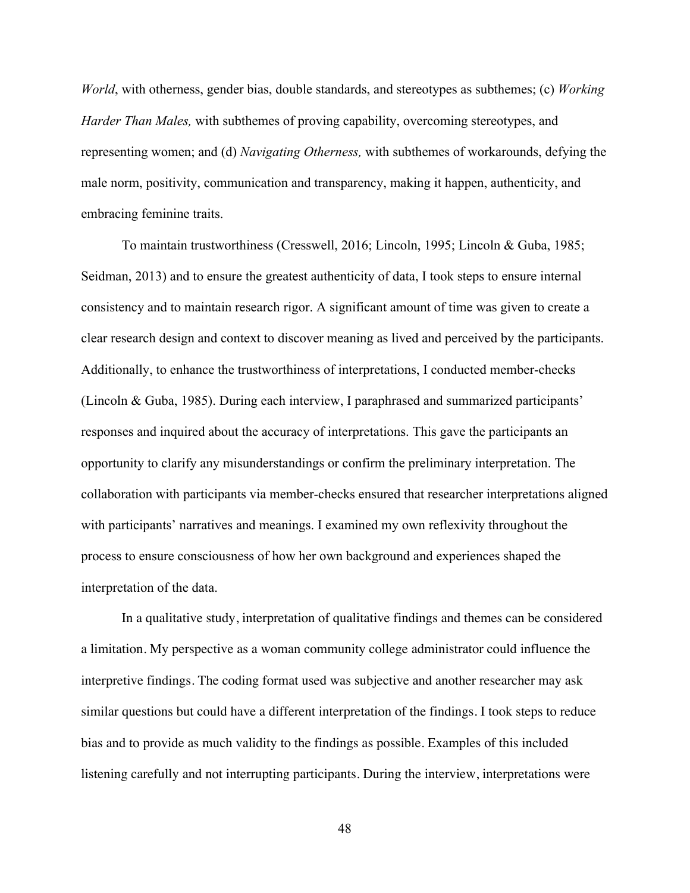*World*, with otherness, gender bias, double standards, and stereotypes as subthemes; (c) *Working Harder Than Males,* with subthemes of proving capability, overcoming stereotypes, and representing women; and (d) *Navigating Otherness,* with subthemes of workarounds, defying the male norm, positivity, communication and transparency, making it happen, authenticity, and embracing feminine traits.

To maintain trustworthiness (Cresswell, 2016; Lincoln, 1995; Lincoln & Guba, 1985; Seidman, 2013) and to ensure the greatest authenticity of data, I took steps to ensure internal consistency and to maintain research rigor. A significant amount of time was given to create a clear research design and context to discover meaning as lived and perceived by the participants. Additionally, to enhance the trustworthiness of interpretations, I conducted member-checks (Lincoln & Guba, 1985). During each interview, I paraphrased and summarized participants' responses and inquired about the accuracy of interpretations. This gave the participants an opportunity to clarify any misunderstandings or confirm the preliminary interpretation. The collaboration with participants via member-checks ensured that researcher interpretations aligned with participants' narratives and meanings. I examined my own reflexivity throughout the process to ensure consciousness of how her own background and experiences shaped the interpretation of the data.

In a qualitative study, interpretation of qualitative findings and themes can be considered a limitation. My perspective as a woman community college administrator could influence the interpretive findings. The coding format used was subjective and another researcher may ask similar questions but could have a different interpretation of the findings. I took steps to reduce bias and to provide as much validity to the findings as possible. Examples of this included listening carefully and not interrupting participants. During the interview, interpretations were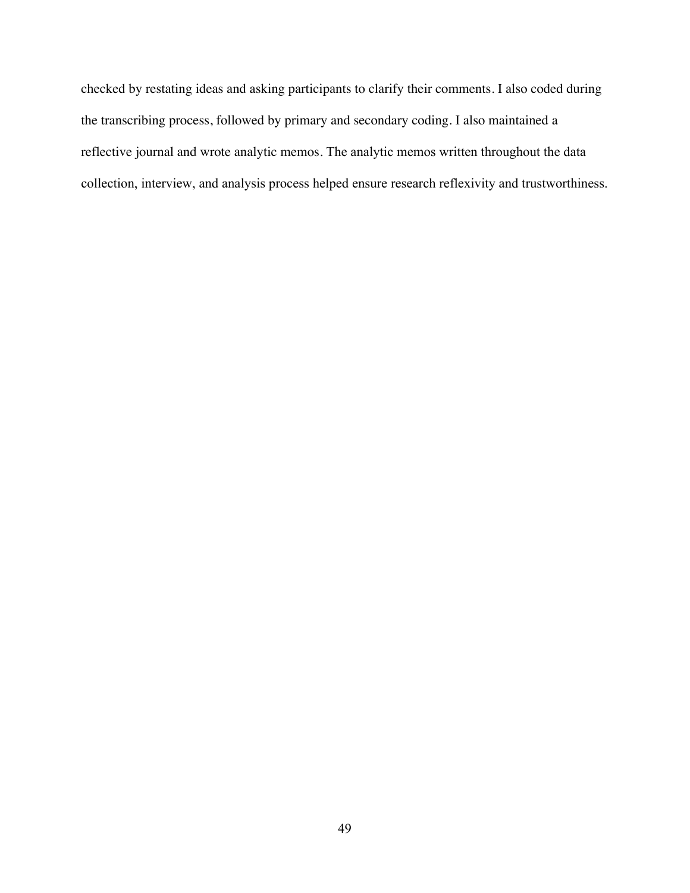checked by restating ideas and asking participants to clarify their comments. I also coded during the transcribing process, followed by primary and secondary coding. I also maintained a reflective journal and wrote analytic memos. The analytic memos written throughout the data collection, interview, and analysis process helped ensure research reflexivity and trustworthiness.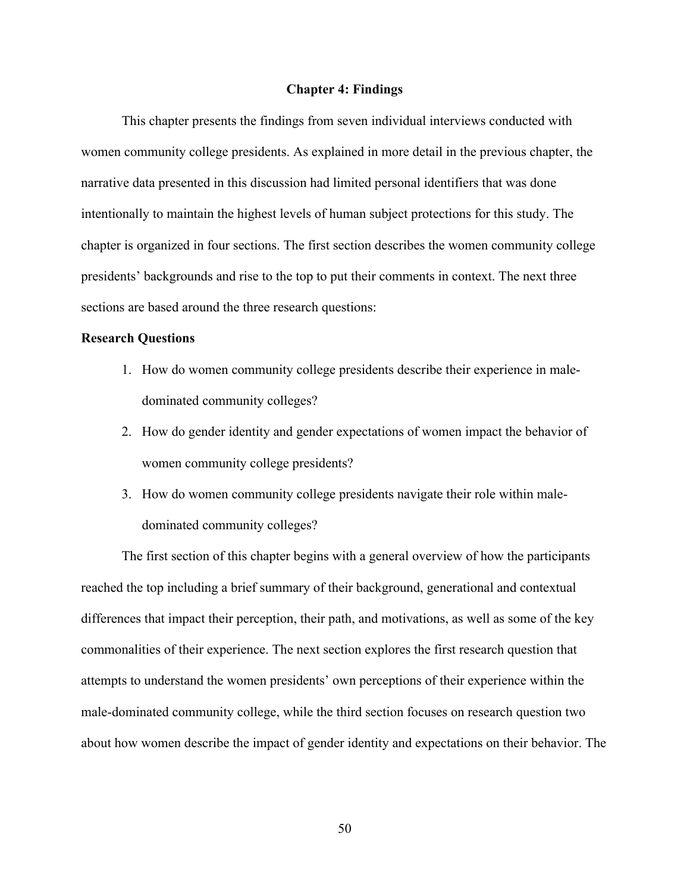#### **Chapter 4: Findings**

This chapter presents the findings from seven individual interviews conducted with women community college presidents. As explained in more detail in the previous chapter, the narrative data presented in this discussion had limited personal identifiers that was done intentionally to maintain the highest levels of human subject protections for this study. The chapter is organized in four sections. The first section describes the women community college presidents' backgrounds and rise to the top to put their comments in context. The next three sections are based around the three research questions:

# **Research Questions**

- 1. How do women community college presidents describe their experience in maledominated community colleges?
- 2. How do gender identity and gender expectations of women impact the behavior of women community college presidents?
- 3. How do women community college presidents navigate their role within maledominated community colleges?

The first section of this chapter begins with a general overview of how the participants reached the top including a brief summary of their background, generational and contextual differences that impact their perception, their path, and motivations, as well as some of the key commonalities of their experience. The next section explores the first research question that attempts to understand the women presidents' own perceptions of their experience within the male-dominated community college, while the third section focuses on research question two about how women describe the impact of gender identity and expectations on their behavior. The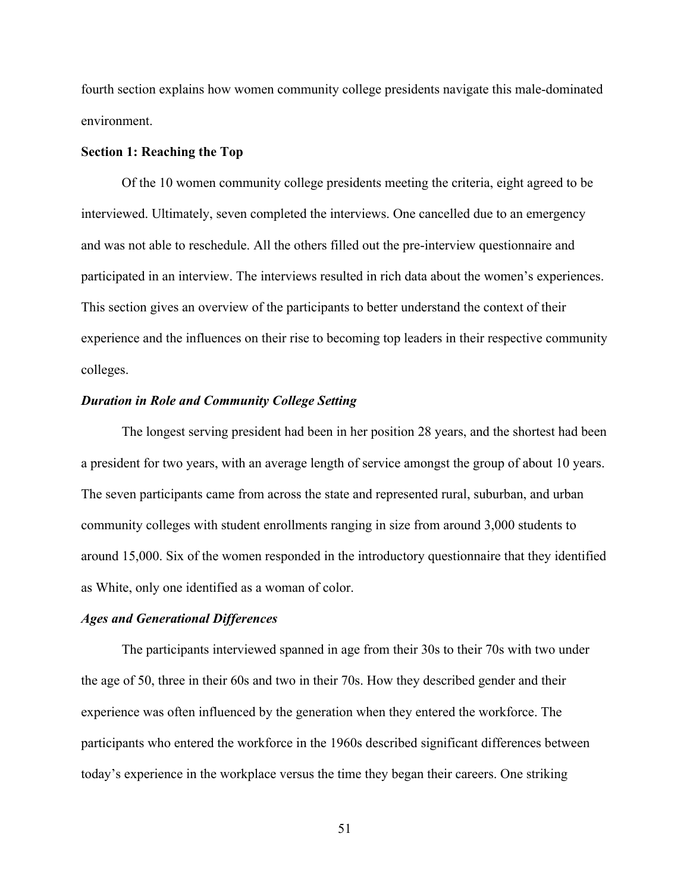fourth section explains how women community college presidents navigate this male-dominated environment.

#### **Section 1: Reaching the Top**

Of the 10 women community college presidents meeting the criteria, eight agreed to be interviewed. Ultimately, seven completed the interviews. One cancelled due to an emergency and was not able to reschedule. All the others filled out the pre-interview questionnaire and participated in an interview. The interviews resulted in rich data about the women's experiences. This section gives an overview of the participants to better understand the context of their experience and the influences on their rise to becoming top leaders in their respective community colleges.

# *Duration in Role and Community College Setting*

The longest serving president had been in her position 28 years, and the shortest had been a president for two years, with an average length of service amongst the group of about 10 years. The seven participants came from across the state and represented rural, suburban, and urban community colleges with student enrollments ranging in size from around 3,000 students to around 15,000. Six of the women responded in the introductory questionnaire that they identified as White, only one identified as a woman of color.

# *Ages and Generational Differences*

The participants interviewed spanned in age from their 30s to their 70s with two under the age of 50, three in their 60s and two in their 70s. How they described gender and their experience was often influenced by the generation when they entered the workforce. The participants who entered the workforce in the 1960s described significant differences between today's experience in the workplace versus the time they began their careers. One striking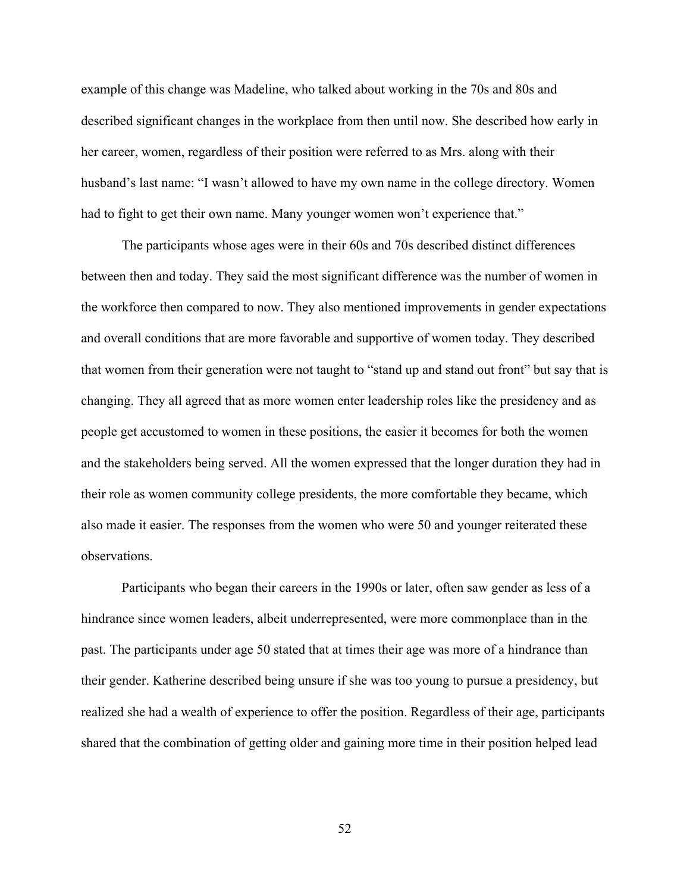example of this change was Madeline, who talked about working in the 70s and 80s and described significant changes in the workplace from then until now. She described how early in her career, women, regardless of their position were referred to as Mrs. along with their husband's last name: "I wasn't allowed to have my own name in the college directory. Women had to fight to get their own name. Many younger women won't experience that."

The participants whose ages were in their 60s and 70s described distinct differences between then and today. They said the most significant difference was the number of women in the workforce then compared to now. They also mentioned improvements in gender expectations and overall conditions that are more favorable and supportive of women today. They described that women from their generation were not taught to "stand up and stand out front" but say that is changing. They all agreed that as more women enter leadership roles like the presidency and as people get accustomed to women in these positions, the easier it becomes for both the women and the stakeholders being served. All the women expressed that the longer duration they had in their role as women community college presidents, the more comfortable they became, which also made it easier. The responses from the women who were 50 and younger reiterated these observations.

Participants who began their careers in the 1990s or later, often saw gender as less of a hindrance since women leaders, albeit underrepresented, were more commonplace than in the past. The participants under age 50 stated that at times their age was more of a hindrance than their gender. Katherine described being unsure if she was too young to pursue a presidency, but realized she had a wealth of experience to offer the position. Regardless of their age, participants shared that the combination of getting older and gaining more time in their position helped lead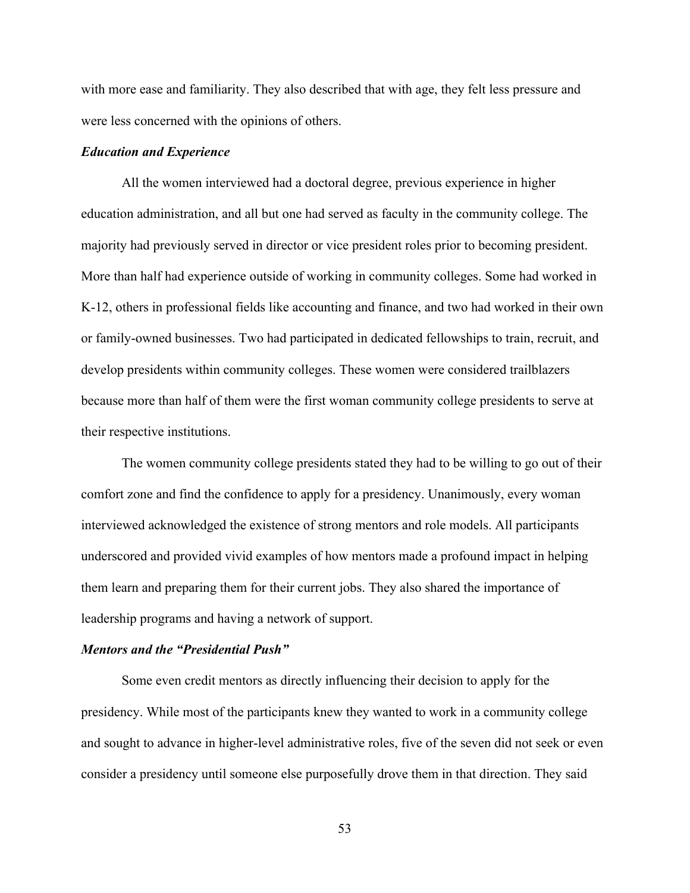with more ease and familiarity. They also described that with age, they felt less pressure and were less concerned with the opinions of others.

# *Education and Experience*

All the women interviewed had a doctoral degree, previous experience in higher education administration, and all but one had served as faculty in the community college. The majority had previously served in director or vice president roles prior to becoming president. More than half had experience outside of working in community colleges. Some had worked in K-12, others in professional fields like accounting and finance, and two had worked in their own or family-owned businesses. Two had participated in dedicated fellowships to train, recruit, and develop presidents within community colleges. These women were considered trailblazers because more than half of them were the first woman community college presidents to serve at their respective institutions.

The women community college presidents stated they had to be willing to go out of their comfort zone and find the confidence to apply for a presidency. Unanimously, every woman interviewed acknowledged the existence of strong mentors and role models. All participants underscored and provided vivid examples of how mentors made a profound impact in helping them learn and preparing them for their current jobs. They also shared the importance of leadership programs and having a network of support.

# *Mentors and the "Presidential Push"*

Some even credit mentors as directly influencing their decision to apply for the presidency. While most of the participants knew they wanted to work in a community college and sought to advance in higher-level administrative roles, five of the seven did not seek or even consider a presidency until someone else purposefully drove them in that direction. They said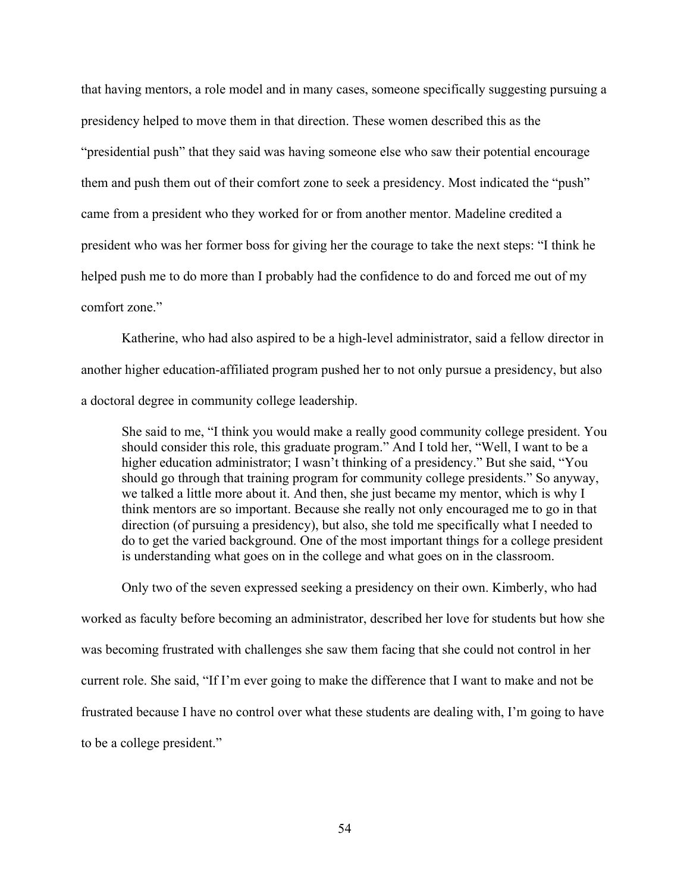that having mentors, a role model and in many cases, someone specifically suggesting pursuing a presidency helped to move them in that direction. These women described this as the "presidential push" that they said was having someone else who saw their potential encourage them and push them out of their comfort zone to seek a presidency. Most indicated the "push" came from a president who they worked for or from another mentor. Madeline credited a president who was her former boss for giving her the courage to take the next steps: "I think he helped push me to do more than I probably had the confidence to do and forced me out of my comfort zone."

Katherine, who had also aspired to be a high-level administrator, said a fellow director in another higher education-affiliated program pushed her to not only pursue a presidency, but also a doctoral degree in community college leadership.

She said to me, "I think you would make a really good community college president. You should consider this role, this graduate program." And I told her, "Well, I want to be a higher education administrator; I wasn't thinking of a presidency." But she said, "You should go through that training program for community college presidents." So anyway, we talked a little more about it. And then, she just became my mentor, which is why I think mentors are so important. Because she really not only encouraged me to go in that direction (of pursuing a presidency), but also, she told me specifically what I needed to do to get the varied background. One of the most important things for a college president is understanding what goes on in the college and what goes on in the classroom.

Only two of the seven expressed seeking a presidency on their own. Kimberly, who had worked as faculty before becoming an administrator, described her love for students but how she was becoming frustrated with challenges she saw them facing that she could not control in her current role. She said, "If I'm ever going to make the difference that I want to make and not be frustrated because I have no control over what these students are dealing with, I'm going to have to be a college president."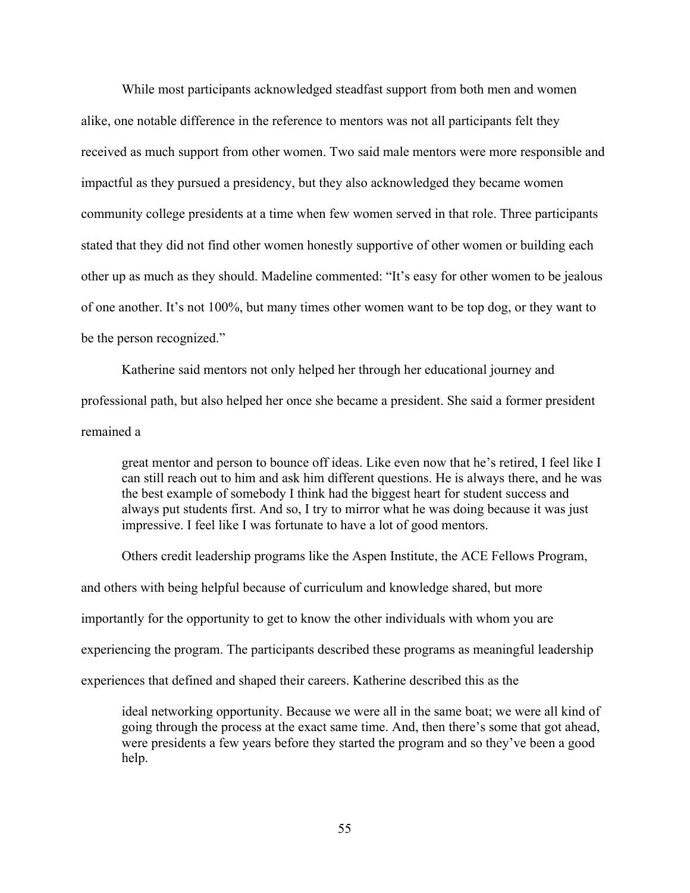While most participants acknowledged steadfast support from both men and women alike, one notable difference in the reference to mentors was not all participants felt they received as much support from other women. Two said male mentors were more responsible and impactful as they pursued a presidency, but they also acknowledged they became women community college presidents at a time when few women served in that role. Three participants stated that they did not find other women honestly supportive of other women or building each other up as much as they should. Madeline commented: "It's easy for other women to be jealous of one another. It's not 100%, but many times other women want to be top dog, or they want to be the person recognized."

Katherine said mentors not only helped her through her educational journey and professional path, but also helped her once she became a president. She said a former president remained a

great mentor and person to bounce off ideas. Like even now that he's retired, I feel like I can still reach out to him and ask him different questions. He is always there, and he was the best example of somebody I think had the biggest heart for student success and always put students first. And so, I try to mirror what he was doing because it was just impressive. I feel like I was fortunate to have a lot of good mentors.

Others credit leadership programs like the Aspen Institute, the ACE Fellows Program, and others with being helpful because of curriculum and knowledge shared, but more importantly for the opportunity to get to know the other individuals with whom you are experiencing the program. The participants described these programs as meaningful leadership experiences that defined and shaped their careers. Katherine described this as the

ideal networking opportunity. Because we were all in the same boat; we were all kind of going through the process at the exact same time. And, then there's some that got ahead, were presidents a few years before they started the program and so they've been a good help.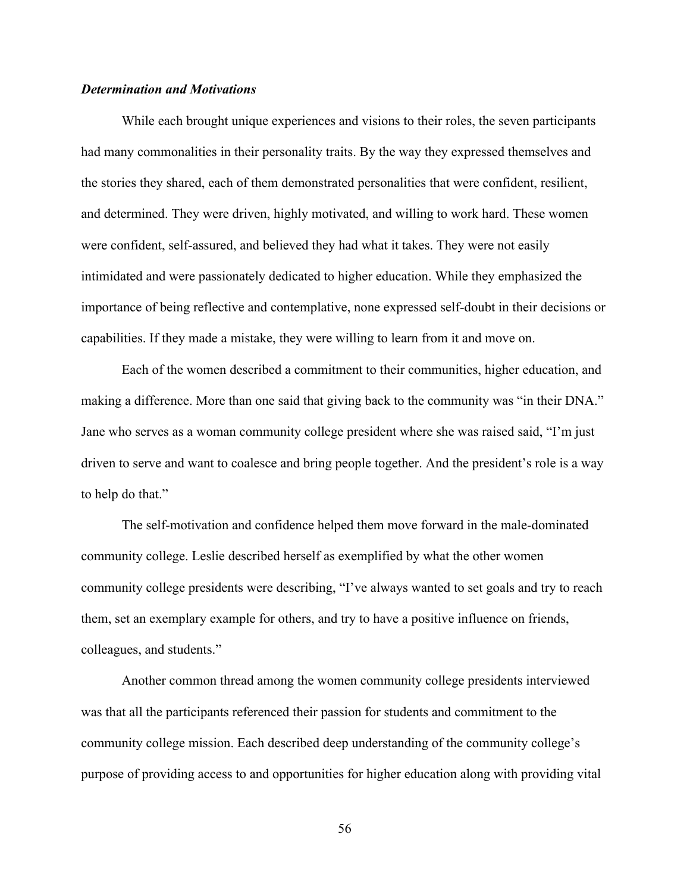# *Determination and Motivations*

While each brought unique experiences and visions to their roles, the seven participants had many commonalities in their personality traits. By the way they expressed themselves and the stories they shared, each of them demonstrated personalities that were confident, resilient, and determined. They were driven, highly motivated, and willing to work hard. These women were confident, self-assured, and believed they had what it takes. They were not easily intimidated and were passionately dedicated to higher education. While they emphasized the importance of being reflective and contemplative, none expressed self-doubt in their decisions or capabilities. If they made a mistake, they were willing to learn from it and move on.

Each of the women described a commitment to their communities, higher education, and making a difference. More than one said that giving back to the community was "in their DNA." Jane who serves as a woman community college president where she was raised said, "I'm just driven to serve and want to coalesce and bring people together. And the president's role is a way to help do that."

The self-motivation and confidence helped them move forward in the male-dominated community college. Leslie described herself as exemplified by what the other women community college presidents were describing, "I've always wanted to set goals and try to reach them, set an exemplary example for others, and try to have a positive influence on friends, colleagues, and students."

Another common thread among the women community college presidents interviewed was that all the participants referenced their passion for students and commitment to the community college mission. Each described deep understanding of the community college's purpose of providing access to and opportunities for higher education along with providing vital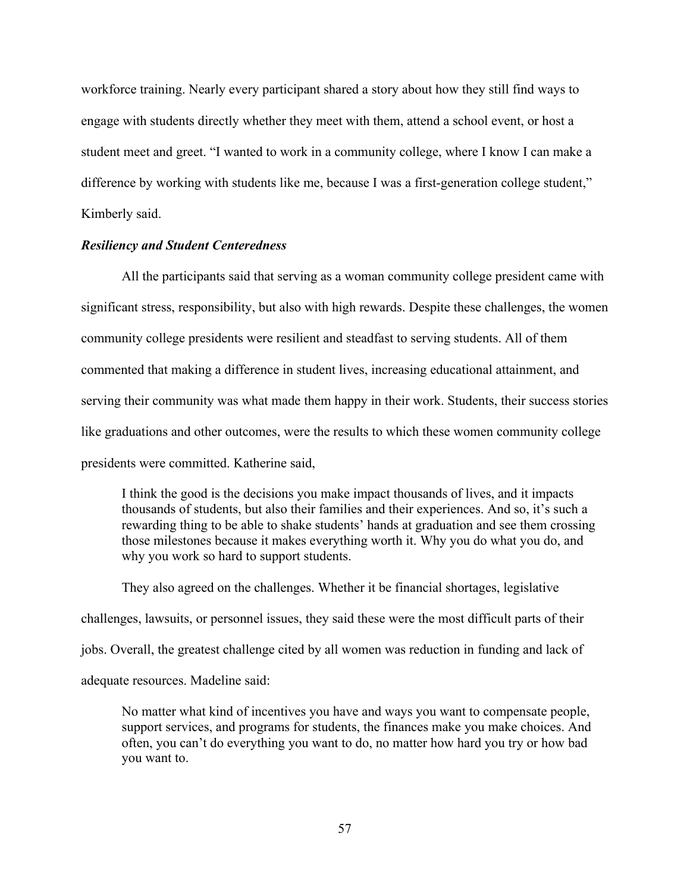workforce training. Nearly every participant shared a story about how they still find ways to engage with students directly whether they meet with them, attend a school event, or host a student meet and greet. "I wanted to work in a community college, where I know I can make a difference by working with students like me, because I was a first-generation college student," Kimberly said.

# *Resiliency and Student Centeredness*

All the participants said that serving as a woman community college president came with significant stress, responsibility, but also with high rewards. Despite these challenges, the women community college presidents were resilient and steadfast to serving students. All of them commented that making a difference in student lives, increasing educational attainment, and serving their community was what made them happy in their work. Students, their success stories like graduations and other outcomes, were the results to which these women community college presidents were committed. Katherine said,

I think the good is the decisions you make impact thousands of lives, and it impacts thousands of students, but also their families and their experiences. And so, it's such a rewarding thing to be able to shake students' hands at graduation and see them crossing those milestones because it makes everything worth it. Why you do what you do, and why you work so hard to support students.

They also agreed on the challenges. Whether it be financial shortages, legislative challenges, lawsuits, or personnel issues, they said these were the most difficult parts of their jobs. Overall, the greatest challenge cited by all women was reduction in funding and lack of adequate resources. Madeline said:

No matter what kind of incentives you have and ways you want to compensate people, support services, and programs for students, the finances make you make choices. And often, you can't do everything you want to do, no matter how hard you try or how bad you want to.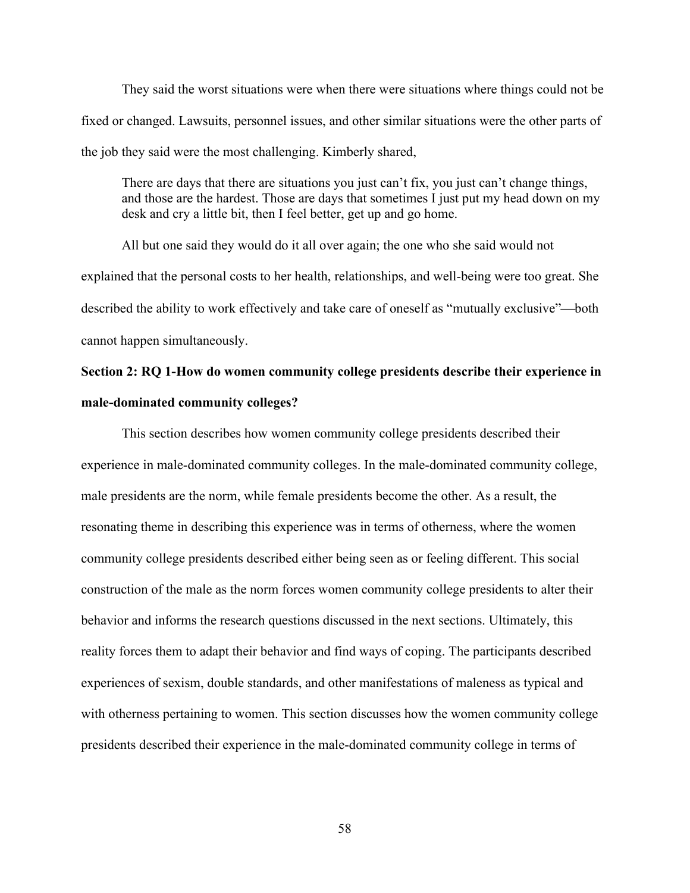They said the worst situations were when there were situations where things could not be fixed or changed. Lawsuits, personnel issues, and other similar situations were the other parts of the job they said were the most challenging. Kimberly shared,

There are days that there are situations you just can't fix, you just can't change things, and those are the hardest. Those are days that sometimes I just put my head down on my desk and cry a little bit, then I feel better, get up and go home.

All but one said they would do it all over again; the one who she said would not explained that the personal costs to her health, relationships, and well-being were too great. She described the ability to work effectively and take care of oneself as "mutually exclusive"—both cannot happen simultaneously.

# **Section 2: RQ 1-How do women community college presidents describe their experience in male-dominated community colleges?**

This section describes how women community college presidents described their experience in male-dominated community colleges. In the male-dominated community college, male presidents are the norm, while female presidents become the other. As a result, the resonating theme in describing this experience was in terms of otherness, where the women community college presidents described either being seen as or feeling different. This social construction of the male as the norm forces women community college presidents to alter their behavior and informs the research questions discussed in the next sections. Ultimately, this reality forces them to adapt their behavior and find ways of coping. The participants described experiences of sexism, double standards, and other manifestations of maleness as typical and with otherness pertaining to women. This section discusses how the women community college presidents described their experience in the male-dominated community college in terms of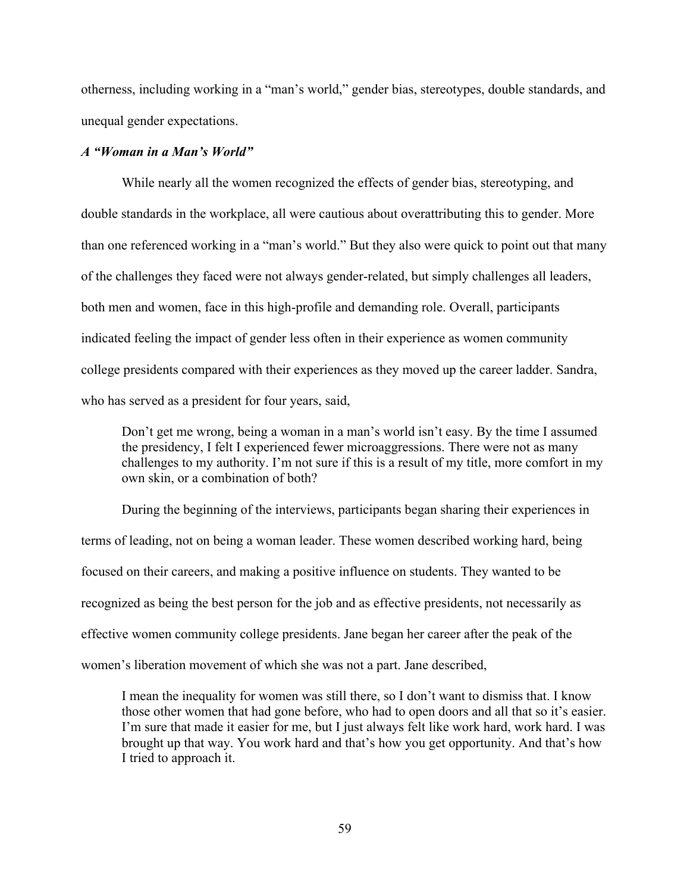otherness, including working in a "man's world," gender bias, stereotypes, double standards, and unequal gender expectations.

# *A "Woman in a Man's World"*

While nearly all the women recognized the effects of gender bias, stereotyping, and double standards in the workplace, all were cautious about overattributing this to gender. More than one referenced working in a "man's world." But they also were quick to point out that many of the challenges they faced were not always gender-related, but simply challenges all leaders, both men and women, face in this high-profile and demanding role. Overall, participants indicated feeling the impact of gender less often in their experience as women community college presidents compared with their experiences as they moved up the career ladder. Sandra, who has served as a president for four years, said,

Don't get me wrong, being a woman in a man's world isn't easy. By the time I assumed the presidency, I felt I experienced fewer microaggressions. There were not as many challenges to my authority. I'm not sure if this is a result of my title, more comfort in my own skin, or a combination of both?

During the beginning of the interviews, participants began sharing their experiences in terms of leading, not on being a woman leader. These women described working hard, being focused on their careers, and making a positive influence on students. They wanted to be recognized as being the best person for the job and as effective presidents, not necessarily as effective women community college presidents. Jane began her career after the peak of the women's liberation movement of which she was not a part. Jane described,

I mean the inequality for women was still there, so I don't want to dismiss that. I know those other women that had gone before, who had to open doors and all that so it's easier. I'm sure that made it easier for me, but I just always felt like work hard, work hard. I was brought up that way. You work hard and that's how you get opportunity. And that's how I tried to approach it.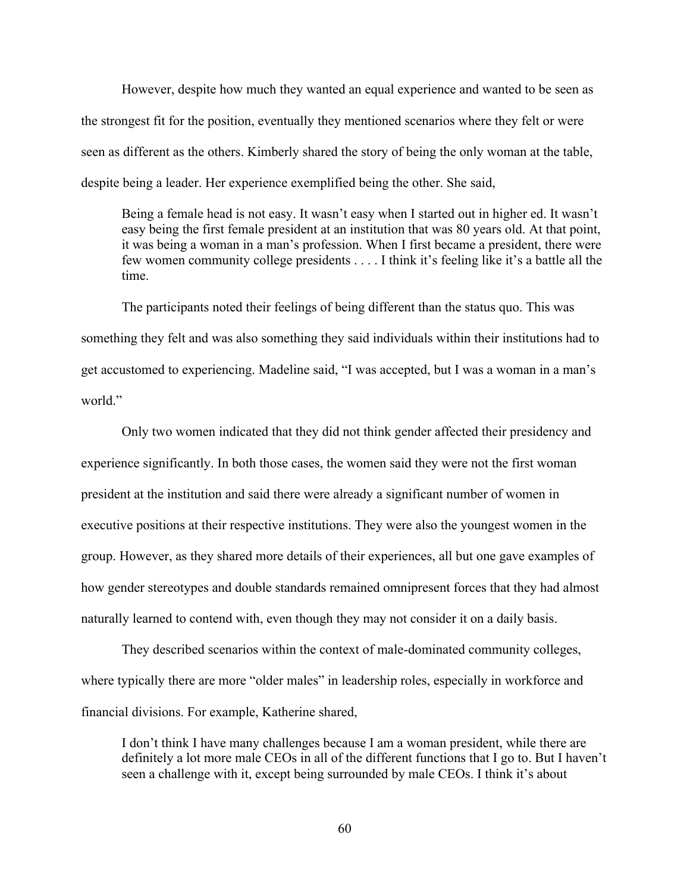However, despite how much they wanted an equal experience and wanted to be seen as the strongest fit for the position, eventually they mentioned scenarios where they felt or were seen as different as the others. Kimberly shared the story of being the only woman at the table, despite being a leader. Her experience exemplified being the other. She said,

Being a female head is not easy. It wasn't easy when I started out in higher ed. It wasn't easy being the first female president at an institution that was 80 years old. At that point, it was being a woman in a man's profession. When I first became a president, there were few women community college presidents . . . . I think it's feeling like it's a battle all the time.

The participants noted their feelings of being different than the status quo. This was something they felt and was also something they said individuals within their institutions had to get accustomed to experiencing. Madeline said, "I was accepted, but I was a woman in a man's world."

Only two women indicated that they did not think gender affected their presidency and experience significantly. In both those cases, the women said they were not the first woman president at the institution and said there were already a significant number of women in executive positions at their respective institutions. They were also the youngest women in the group. However, as they shared more details of their experiences, all but one gave examples of how gender stereotypes and double standards remained omnipresent forces that they had almost naturally learned to contend with, even though they may not consider it on a daily basis.

They described scenarios within the context of male-dominated community colleges, where typically there are more "older males" in leadership roles, especially in workforce and financial divisions. For example, Katherine shared,

I don't think I have many challenges because I am a woman president, while there are definitely a lot more male CEOs in all of the different functions that I go to. But I haven't seen a challenge with it, except being surrounded by male CEOs. I think it's about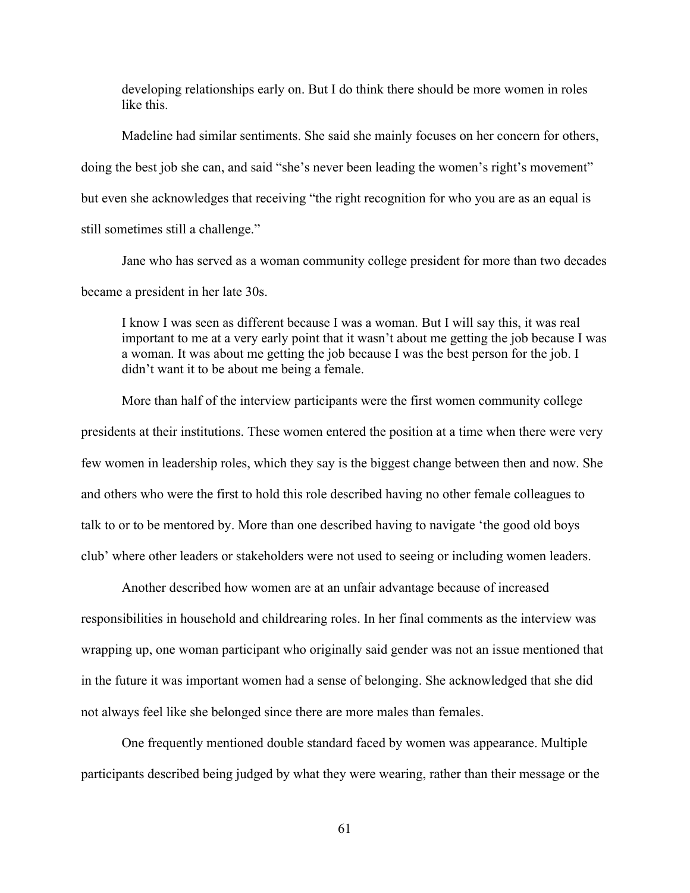developing relationships early on. But I do think there should be more women in roles like this.

Madeline had similar sentiments. She said she mainly focuses on her concern for others, doing the best job she can, and said "she's never been leading the women's right's movement" but even she acknowledges that receiving "the right recognition for who you are as an equal is still sometimes still a challenge."

Jane who has served as a woman community college president for more than two decades became a president in her late 30s.

I know I was seen as different because I was a woman. But I will say this, it was real important to me at a very early point that it wasn't about me getting the job because I was a woman. It was about me getting the job because I was the best person for the job. I didn't want it to be about me being a female.

More than half of the interview participants were the first women community college presidents at their institutions. These women entered the position at a time when there were very few women in leadership roles, which they say is the biggest change between then and now. She and others who were the first to hold this role described having no other female colleagues to talk to or to be mentored by. More than one described having to navigate 'the good old boys club' where other leaders or stakeholders were not used to seeing or including women leaders.

Another described how women are at an unfair advantage because of increased responsibilities in household and childrearing roles. In her final comments as the interview was wrapping up, one woman participant who originally said gender was not an issue mentioned that in the future it was important women had a sense of belonging. She acknowledged that she did not always feel like she belonged since there are more males than females.

One frequently mentioned double standard faced by women was appearance. Multiple participants described being judged by what they were wearing, rather than their message or the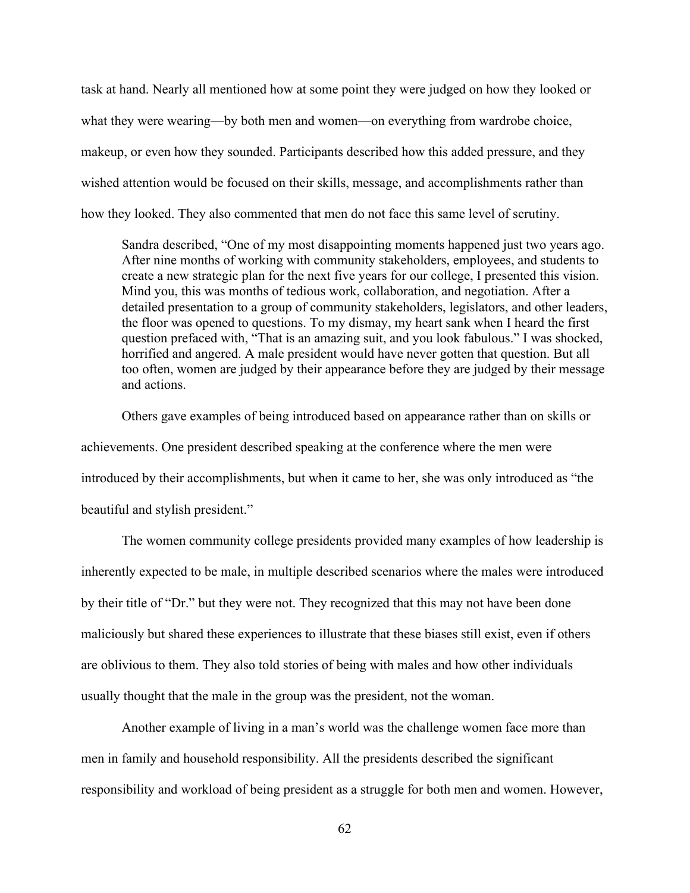task at hand. Nearly all mentioned how at some point they were judged on how they looked or what they were wearing—by both men and women—on everything from wardrobe choice, makeup, or even how they sounded. Participants described how this added pressure, and they wished attention would be focused on their skills, message, and accomplishments rather than how they looked. They also commented that men do not face this same level of scrutiny.

Sandra described, "One of my most disappointing moments happened just two years ago. After nine months of working with community stakeholders, employees, and students to create a new strategic plan for the next five years for our college, I presented this vision. Mind you, this was months of tedious work, collaboration, and negotiation. After a detailed presentation to a group of community stakeholders, legislators, and other leaders, the floor was opened to questions. To my dismay, my heart sank when I heard the first question prefaced with, "That is an amazing suit, and you look fabulous." I was shocked, horrified and angered. A male president would have never gotten that question. But all too often, women are judged by their appearance before they are judged by their message and actions.

Others gave examples of being introduced based on appearance rather than on skills or achievements. One president described speaking at the conference where the men were introduced by their accomplishments, but when it came to her, she was only introduced as "the beautiful and stylish president."

The women community college presidents provided many examples of how leadership is inherently expected to be male, in multiple described scenarios where the males were introduced by their title of "Dr." but they were not. They recognized that this may not have been done maliciously but shared these experiences to illustrate that these biases still exist, even if others are oblivious to them. They also told stories of being with males and how other individuals usually thought that the male in the group was the president, not the woman.

Another example of living in a man's world was the challenge women face more than men in family and household responsibility. All the presidents described the significant responsibility and workload of being president as a struggle for both men and women. However,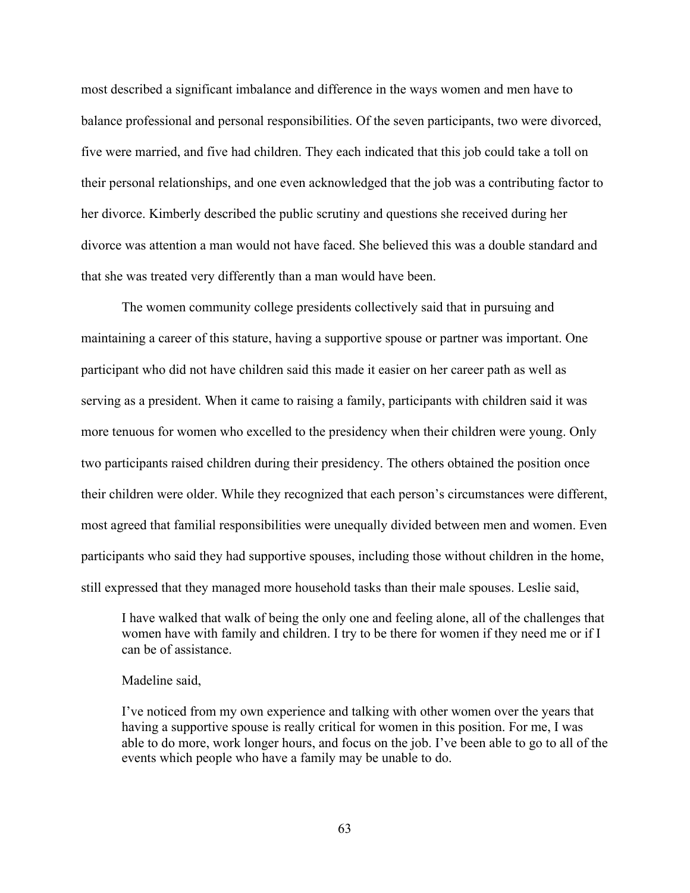most described a significant imbalance and difference in the ways women and men have to balance professional and personal responsibilities. Of the seven participants, two were divorced, five were married, and five had children. They each indicated that this job could take a toll on their personal relationships, and one even acknowledged that the job was a contributing factor to her divorce. Kimberly described the public scrutiny and questions she received during her divorce was attention a man would not have faced. She believed this was a double standard and that she was treated very differently than a man would have been.

The women community college presidents collectively said that in pursuing and maintaining a career of this stature, having a supportive spouse or partner was important. One participant who did not have children said this made it easier on her career path as well as serving as a president. When it came to raising a family, participants with children said it was more tenuous for women who excelled to the presidency when their children were young. Only two participants raised children during their presidency. The others obtained the position once their children were older. While they recognized that each person's circumstances were different, most agreed that familial responsibilities were unequally divided between men and women. Even participants who said they had supportive spouses, including those without children in the home, still expressed that they managed more household tasks than their male spouses. Leslie said,

I have walked that walk of being the only one and feeling alone, all of the challenges that women have with family and children. I try to be there for women if they need me or if I can be of assistance.

## Madeline said,

I've noticed from my own experience and talking with other women over the years that having a supportive spouse is really critical for women in this position. For me, I was able to do more, work longer hours, and focus on the job. I've been able to go to all of the events which people who have a family may be unable to do.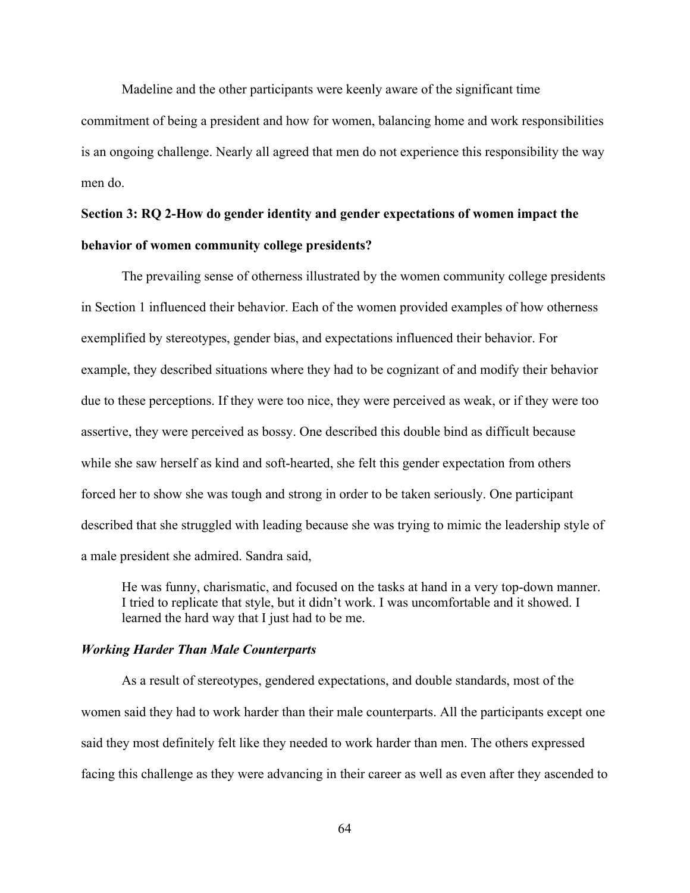Madeline and the other participants were keenly aware of the significant time commitment of being a president and how for women, balancing home and work responsibilities is an ongoing challenge. Nearly all agreed that men do not experience this responsibility the way men do.

# **Section 3: RQ 2-How do gender identity and gender expectations of women impact the behavior of women community college presidents?**

The prevailing sense of otherness illustrated by the women community college presidents in Section 1 influenced their behavior. Each of the women provided examples of how otherness exemplified by stereotypes, gender bias, and expectations influenced their behavior. For example, they described situations where they had to be cognizant of and modify their behavior due to these perceptions. If they were too nice, they were perceived as weak, or if they were too assertive, they were perceived as bossy. One described this double bind as difficult because while she saw herself as kind and soft-hearted, she felt this gender expectation from others forced her to show she was tough and strong in order to be taken seriously. One participant described that she struggled with leading because she was trying to mimic the leadership style of a male president she admired. Sandra said,

He was funny, charismatic, and focused on the tasks at hand in a very top-down manner. I tried to replicate that style, but it didn't work. I was uncomfortable and it showed. I learned the hard way that I just had to be me.

## *Working Harder Than Male Counterparts*

As a result of stereotypes, gendered expectations, and double standards, most of the women said they had to work harder than their male counterparts. All the participants except one said they most definitely felt like they needed to work harder than men. The others expressed facing this challenge as they were advancing in their career as well as even after they ascended to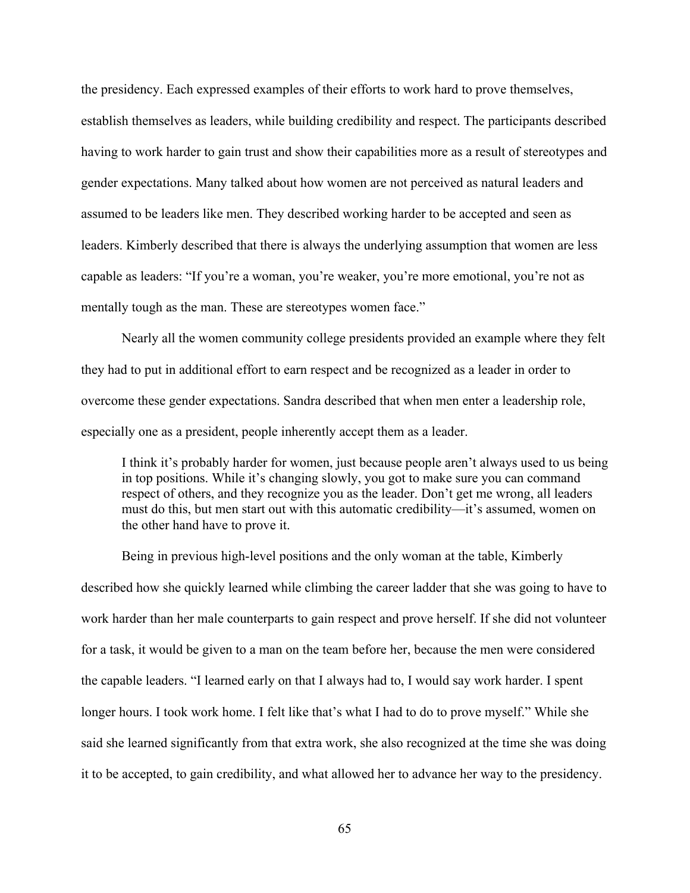the presidency. Each expressed examples of their efforts to work hard to prove themselves, establish themselves as leaders, while building credibility and respect. The participants described having to work harder to gain trust and show their capabilities more as a result of stereotypes and gender expectations. Many talked about how women are not perceived as natural leaders and assumed to be leaders like men. They described working harder to be accepted and seen as leaders. Kimberly described that there is always the underlying assumption that women are less capable as leaders: "If you're a woman, you're weaker, you're more emotional, you're not as mentally tough as the man. These are stereotypes women face."

Nearly all the women community college presidents provided an example where they felt they had to put in additional effort to earn respect and be recognized as a leader in order to overcome these gender expectations. Sandra described that when men enter a leadership role, especially one as a president, people inherently accept them as a leader.

I think it's probably harder for women, just because people aren't always used to us being in top positions. While it's changing slowly, you got to make sure you can command respect of others, and they recognize you as the leader. Don't get me wrong, all leaders must do this, but men start out with this automatic credibility—it's assumed, women on the other hand have to prove it.

Being in previous high-level positions and the only woman at the table, Kimberly described how she quickly learned while climbing the career ladder that she was going to have to work harder than her male counterparts to gain respect and prove herself. If she did not volunteer for a task, it would be given to a man on the team before her, because the men were considered the capable leaders. "I learned early on that I always had to, I would say work harder. I spent longer hours. I took work home. I felt like that's what I had to do to prove myself." While she said she learned significantly from that extra work, she also recognized at the time she was doing it to be accepted, to gain credibility, and what allowed her to advance her way to the presidency.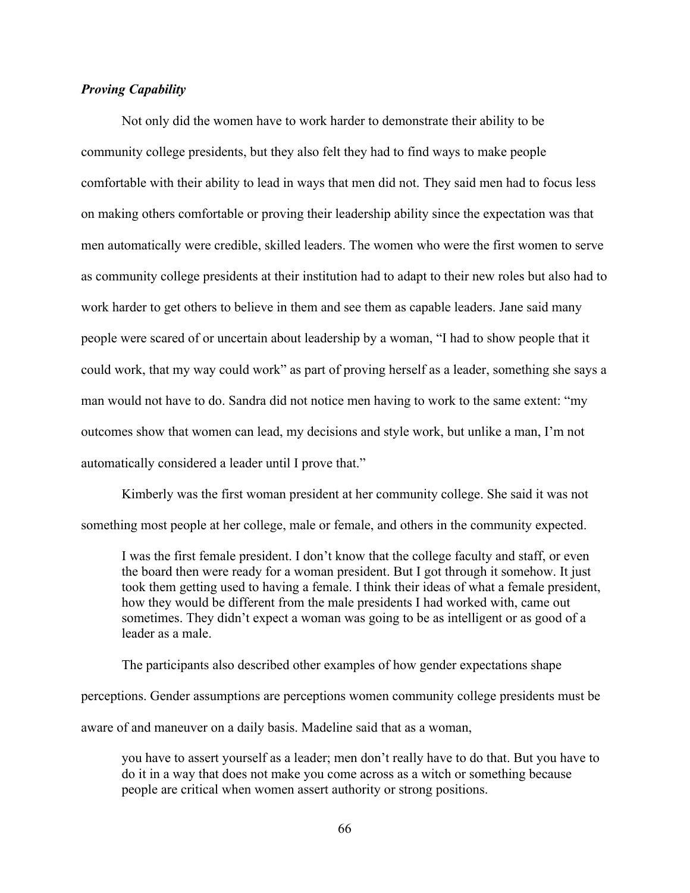# *Proving Capability*

Not only did the women have to work harder to demonstrate their ability to be community college presidents, but they also felt they had to find ways to make people comfortable with their ability to lead in ways that men did not. They said men had to focus less on making others comfortable or proving their leadership ability since the expectation was that men automatically were credible, skilled leaders. The women who were the first women to serve as community college presidents at their institution had to adapt to their new roles but also had to work harder to get others to believe in them and see them as capable leaders. Jane said many people were scared of or uncertain about leadership by a woman, "I had to show people that it could work, that my way could work" as part of proving herself as a leader, something she says a man would not have to do. Sandra did not notice men having to work to the same extent: "my outcomes show that women can lead, my decisions and style work, but unlike a man, I'm not automatically considered a leader until I prove that."

Kimberly was the first woman president at her community college. She said it was not something most people at her college, male or female, and others in the community expected.

I was the first female president. I don't know that the college faculty and staff, or even the board then were ready for a woman president. But I got through it somehow. It just took them getting used to having a female. I think their ideas of what a female president, how they would be different from the male presidents I had worked with, came out sometimes. They didn't expect a woman was going to be as intelligent or as good of a leader as a male.

The participants also described other examples of how gender expectations shape perceptions. Gender assumptions are perceptions women community college presidents must be aware of and maneuver on a daily basis. Madeline said that as a woman,

you have to assert yourself as a leader; men don't really have to do that. But you have to do it in a way that does not make you come across as a witch or something because people are critical when women assert authority or strong positions.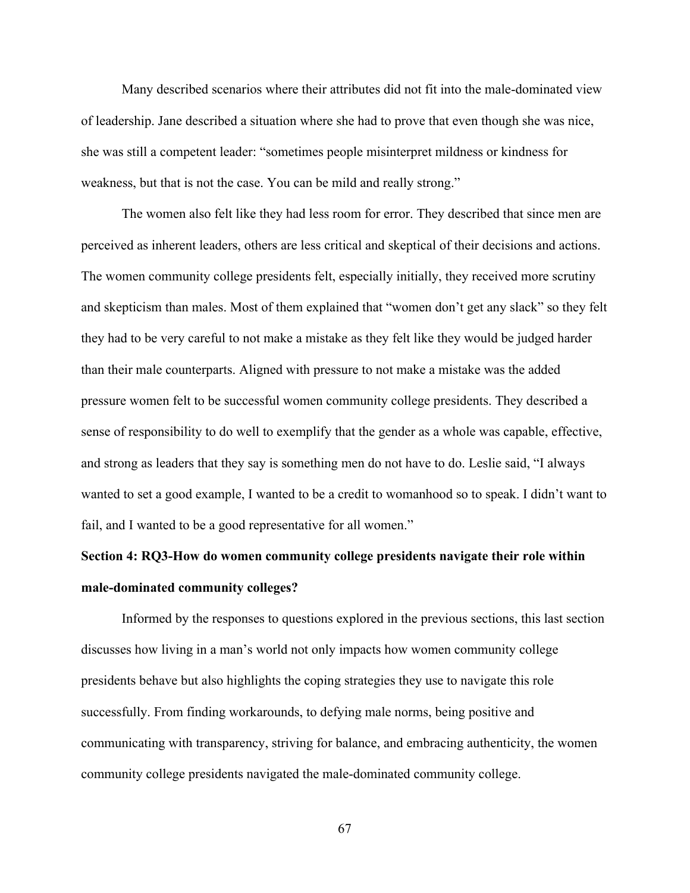Many described scenarios where their attributes did not fit into the male-dominated view of leadership. Jane described a situation where she had to prove that even though she was nice, she was still a competent leader: "sometimes people misinterpret mildness or kindness for weakness, but that is not the case. You can be mild and really strong."

The women also felt like they had less room for error. They described that since men are perceived as inherent leaders, others are less critical and skeptical of their decisions and actions. The women community college presidents felt, especially initially, they received more scrutiny and skepticism than males. Most of them explained that "women don't get any slack" so they felt they had to be very careful to not make a mistake as they felt like they would be judged harder than their male counterparts. Aligned with pressure to not make a mistake was the added pressure women felt to be successful women community college presidents. They described a sense of responsibility to do well to exemplify that the gender as a whole was capable, effective, and strong as leaders that they say is something men do not have to do. Leslie said, "I always wanted to set a good example, I wanted to be a credit to womanhood so to speak. I didn't want to fail, and I wanted to be a good representative for all women."

# **Section 4: RQ3-How do women community college presidents navigate their role within male-dominated community colleges?**

Informed by the responses to questions explored in the previous sections, this last section discusses how living in a man's world not only impacts how women community college presidents behave but also highlights the coping strategies they use to navigate this role successfully. From finding workarounds, to defying male norms, being positive and communicating with transparency, striving for balance, and embracing authenticity, the women community college presidents navigated the male-dominated community college.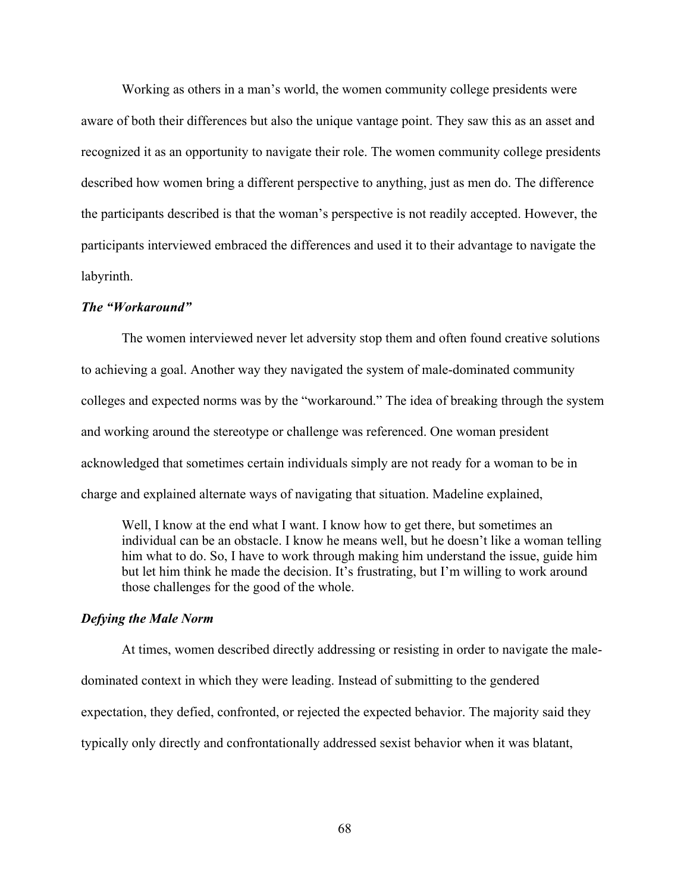Working as others in a man's world, the women community college presidents were aware of both their differences but also the unique vantage point. They saw this as an asset and recognized it as an opportunity to navigate their role. The women community college presidents described how women bring a different perspective to anything, just as men do. The difference the participants described is that the woman's perspective is not readily accepted. However, the participants interviewed embraced the differences and used it to their advantage to navigate the labyrinth.

## *The "Workaround"*

The women interviewed never let adversity stop them and often found creative solutions to achieving a goal. Another way they navigated the system of male-dominated community colleges and expected norms was by the "workaround." The idea of breaking through the system and working around the stereotype or challenge was referenced. One woman president acknowledged that sometimes certain individuals simply are not ready for a woman to be in charge and explained alternate ways of navigating that situation. Madeline explained,

Well, I know at the end what I want. I know how to get there, but sometimes an individual can be an obstacle. I know he means well, but he doesn't like a woman telling him what to do. So, I have to work through making him understand the issue, guide him but let him think he made the decision. It's frustrating, but I'm willing to work around those challenges for the good of the whole.

## *Defying the Male Norm*

At times, women described directly addressing or resisting in order to navigate the maledominated context in which they were leading. Instead of submitting to the gendered expectation, they defied, confronted, or rejected the expected behavior. The majority said they typically only directly and confrontationally addressed sexist behavior when it was blatant,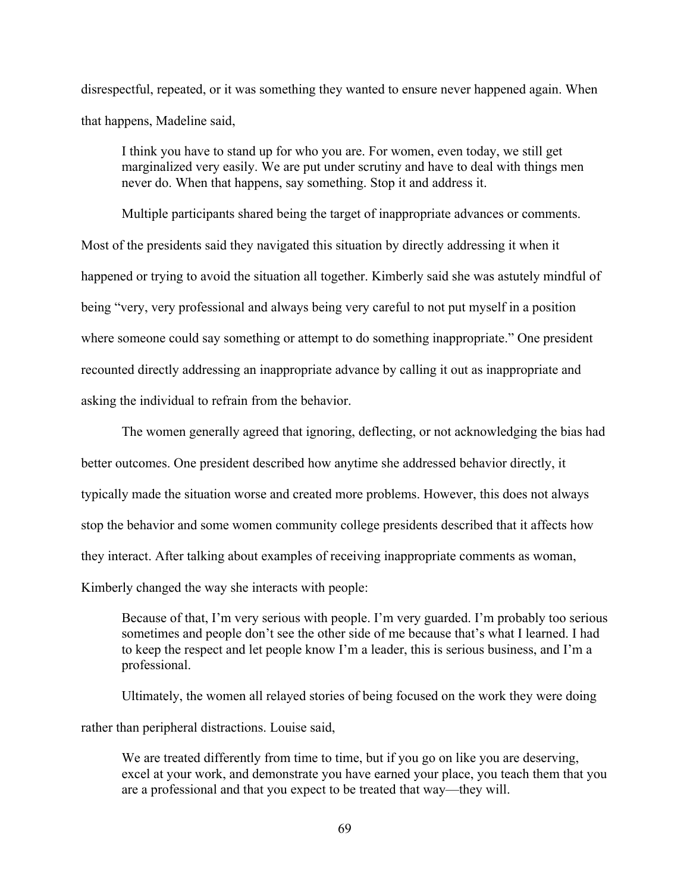disrespectful, repeated, or it was something they wanted to ensure never happened again. When that happens, Madeline said,

I think you have to stand up for who you are. For women, even today, we still get marginalized very easily. We are put under scrutiny and have to deal with things men never do. When that happens, say something. Stop it and address it.

Multiple participants shared being the target of inappropriate advances or comments. Most of the presidents said they navigated this situation by directly addressing it when it happened or trying to avoid the situation all together. Kimberly said she was astutely mindful of being "very, very professional and always being very careful to not put myself in a position where someone could say something or attempt to do something inappropriate." One president recounted directly addressing an inappropriate advance by calling it out as inappropriate and asking the individual to refrain from the behavior.

The women generally agreed that ignoring, deflecting, or not acknowledging the bias had better outcomes. One president described how anytime she addressed behavior directly, it typically made the situation worse and created more problems. However, this does not always stop the behavior and some women community college presidents described that it affects how they interact. After talking about examples of receiving inappropriate comments as woman, Kimberly changed the way she interacts with people:

Because of that, I'm very serious with people. I'm very guarded. I'm probably too serious sometimes and people don't see the other side of me because that's what I learned. I had to keep the respect and let people know I'm a leader, this is serious business, and I'm a professional.

Ultimately, the women all relayed stories of being focused on the work they were doing rather than peripheral distractions. Louise said,

We are treated differently from time to time, but if you go on like you are deserving, excel at your work, and demonstrate you have earned your place, you teach them that you are a professional and that you expect to be treated that way—they will.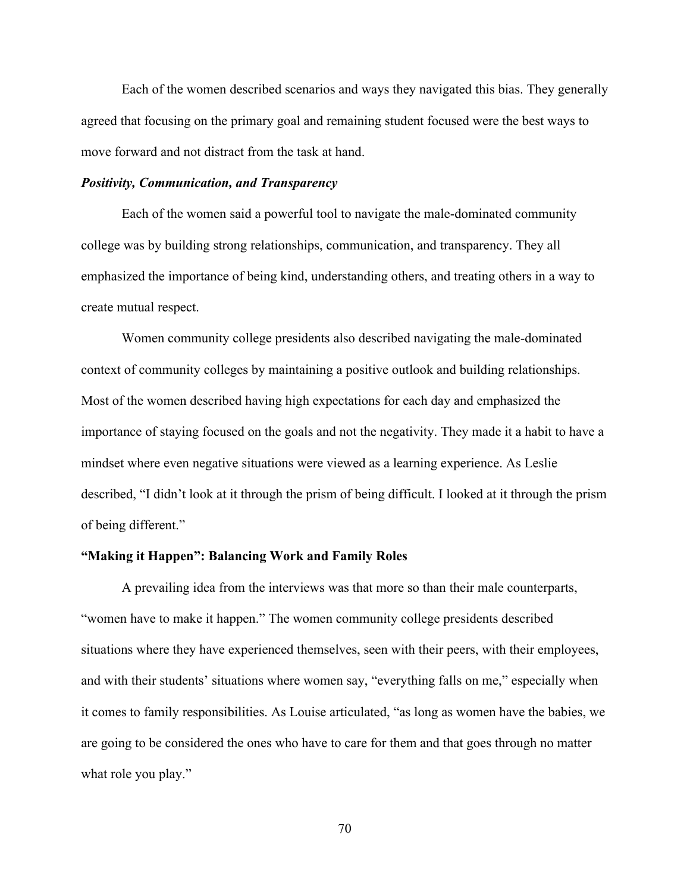Each of the women described scenarios and ways they navigated this bias. They generally agreed that focusing on the primary goal and remaining student focused were the best ways to move forward and not distract from the task at hand.

## *Positivity, Communication, and Transparency*

Each of the women said a powerful tool to navigate the male-dominated community college was by building strong relationships, communication, and transparency. They all emphasized the importance of being kind, understanding others, and treating others in a way to create mutual respect.

Women community college presidents also described navigating the male-dominated context of community colleges by maintaining a positive outlook and building relationships. Most of the women described having high expectations for each day and emphasized the importance of staying focused on the goals and not the negativity. They made it a habit to have a mindset where even negative situations were viewed as a learning experience. As Leslie described, "I didn't look at it through the prism of being difficult. I looked at it through the prism of being different."

## **"Making it Happen": Balancing Work and Family Roles**

A prevailing idea from the interviews was that more so than their male counterparts, "women have to make it happen." The women community college presidents described situations where they have experienced themselves, seen with their peers, with their employees, and with their students' situations where women say, "everything falls on me," especially when it comes to family responsibilities. As Louise articulated, "as long as women have the babies, we are going to be considered the ones who have to care for them and that goes through no matter what role you play."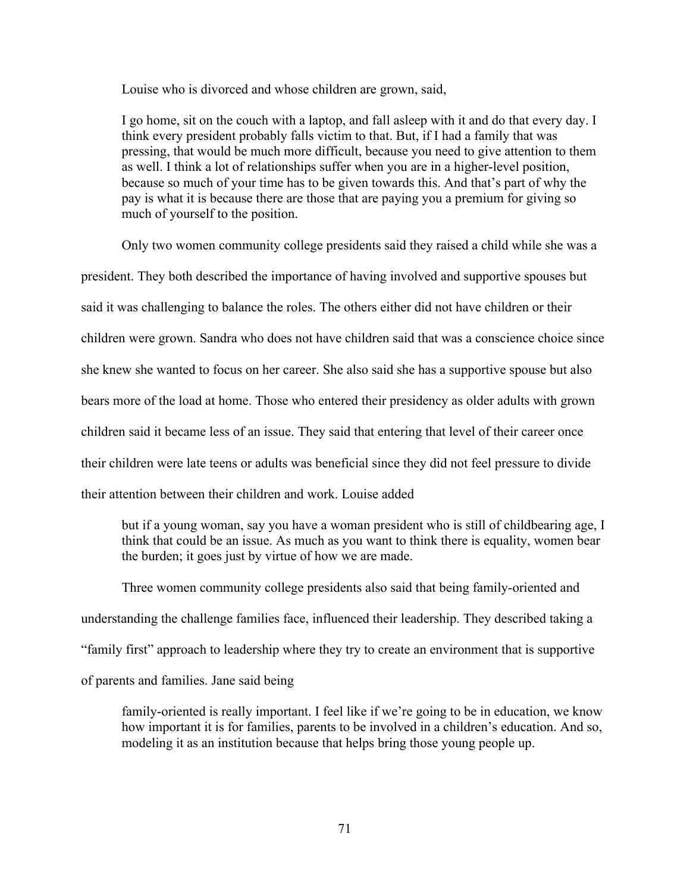Louise who is divorced and whose children are grown, said,

I go home, sit on the couch with a laptop, and fall asleep with it and do that every day. I think every president probably falls victim to that. But, if I had a family that was pressing, that would be much more difficult, because you need to give attention to them as well. I think a lot of relationships suffer when you are in a higher-level position, because so much of your time has to be given towards this. And that's part of why the pay is what it is because there are those that are paying you a premium for giving so much of yourself to the position.

Only two women community college presidents said they raised a child while she was a president. They both described the importance of having involved and supportive spouses but said it was challenging to balance the roles. The others either did not have children or their children were grown. Sandra who does not have children said that was a conscience choice since she knew she wanted to focus on her career. She also said she has a supportive spouse but also bears more of the load at home. Those who entered their presidency as older adults with grown children said it became less of an issue. They said that entering that level of their career once their children were late teens or adults was beneficial since they did not feel pressure to divide their attention between their children and work. Louise added

but if a young woman, say you have a woman president who is still of childbearing age, I think that could be an issue. As much as you want to think there is equality, women bear the burden; it goes just by virtue of how we are made.

Three women community college presidents also said that being family-oriented and understanding the challenge families face, influenced their leadership. They described taking a "family first" approach to leadership where they try to create an environment that is supportive of parents and families. Jane said being

family-oriented is really important. I feel like if we're going to be in education, we know how important it is for families, parents to be involved in a children's education. And so, modeling it as an institution because that helps bring those young people up.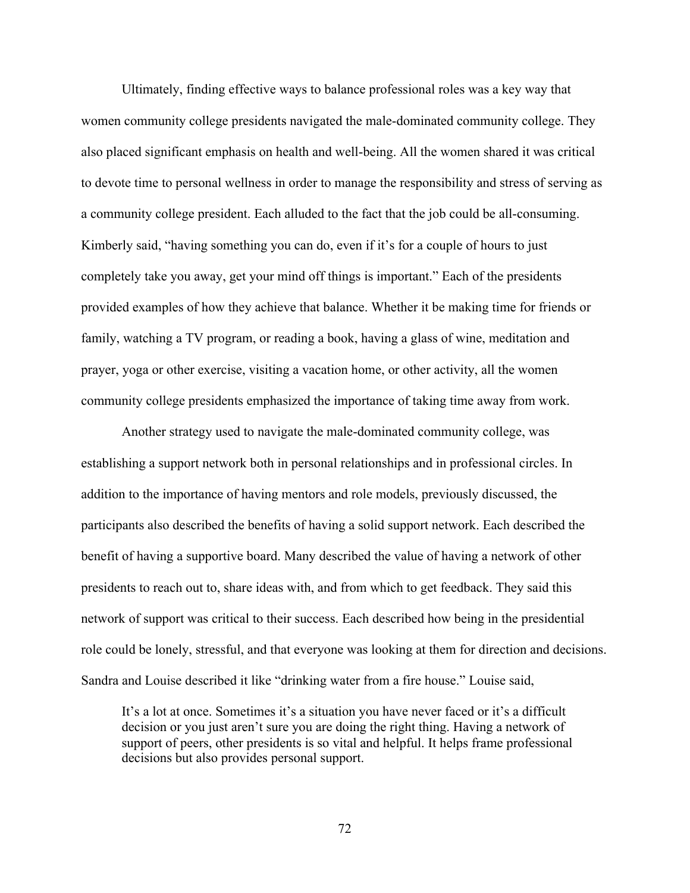Ultimately, finding effective ways to balance professional roles was a key way that women community college presidents navigated the male-dominated community college. They also placed significant emphasis on health and well-being. All the women shared it was critical to devote time to personal wellness in order to manage the responsibility and stress of serving as a community college president. Each alluded to the fact that the job could be all-consuming. Kimberly said, "having something you can do, even if it's for a couple of hours to just completely take you away, get your mind off things is important." Each of the presidents provided examples of how they achieve that balance. Whether it be making time for friends or family, watching a TV program, or reading a book, having a glass of wine, meditation and prayer, yoga or other exercise, visiting a vacation home, or other activity, all the women community college presidents emphasized the importance of taking time away from work.

Another strategy used to navigate the male-dominated community college, was establishing a support network both in personal relationships and in professional circles. In addition to the importance of having mentors and role models, previously discussed, the participants also described the benefits of having a solid support network. Each described the benefit of having a supportive board. Many described the value of having a network of other presidents to reach out to, share ideas with, and from which to get feedback. They said this network of support was critical to their success. Each described how being in the presidential role could be lonely, stressful, and that everyone was looking at them for direction and decisions. Sandra and Louise described it like "drinking water from a fire house." Louise said,

It's a lot at once. Sometimes it's a situation you have never faced or it's a difficult decision or you just aren't sure you are doing the right thing. Having a network of support of peers, other presidents is so vital and helpful. It helps frame professional decisions but also provides personal support.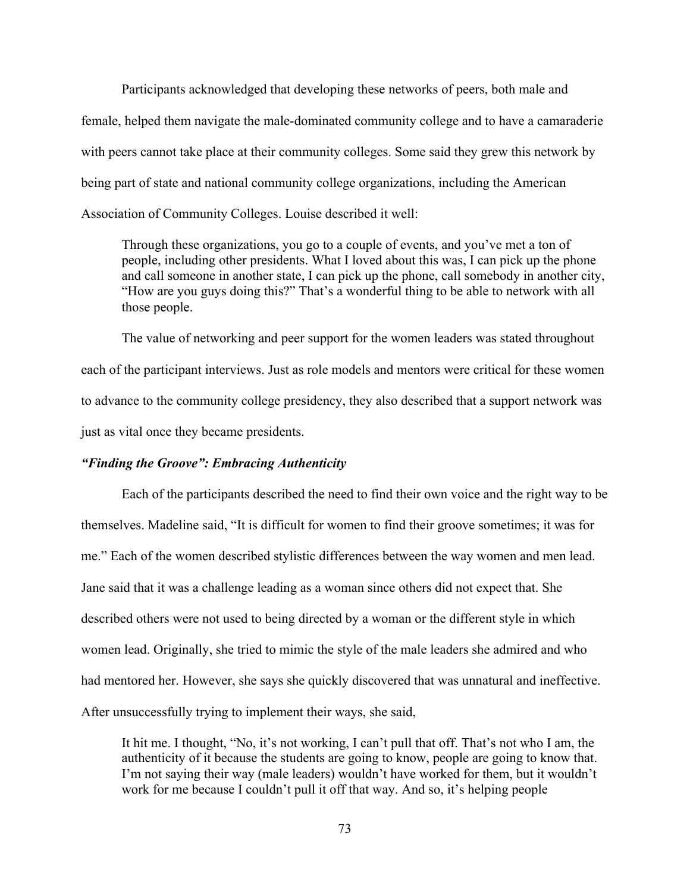Participants acknowledged that developing these networks of peers, both male and female, helped them navigate the male-dominated community college and to have a camaraderie with peers cannot take place at their community colleges. Some said they grew this network by being part of state and national community college organizations, including the American Association of Community Colleges. Louise described it well:

Through these organizations, you go to a couple of events, and you've met a ton of people, including other presidents. What I loved about this was, I can pick up the phone and call someone in another state, I can pick up the phone, call somebody in another city, "How are you guys doing this?" That's a wonderful thing to be able to network with all those people.

The value of networking and peer support for the women leaders was stated throughout each of the participant interviews. Just as role models and mentors were critical for these women to advance to the community college presidency, they also described that a support network was just as vital once they became presidents.

## *"Finding the Groove": Embracing Authenticity*

Each of the participants described the need to find their own voice and the right way to be themselves. Madeline said, "It is difficult for women to find their groove sometimes; it was for me." Each of the women described stylistic differences between the way women and men lead. Jane said that it was a challenge leading as a woman since others did not expect that. She described others were not used to being directed by a woman or the different style in which women lead. Originally, she tried to mimic the style of the male leaders she admired and who had mentored her. However, she says she quickly discovered that was unnatural and ineffective. After unsuccessfully trying to implement their ways, she said,

It hit me. I thought, "No, it's not working, I can't pull that off. That's not who I am, the authenticity of it because the students are going to know, people are going to know that. I'm not saying their way (male leaders) wouldn't have worked for them, but it wouldn't work for me because I couldn't pull it off that way. And so, it's helping people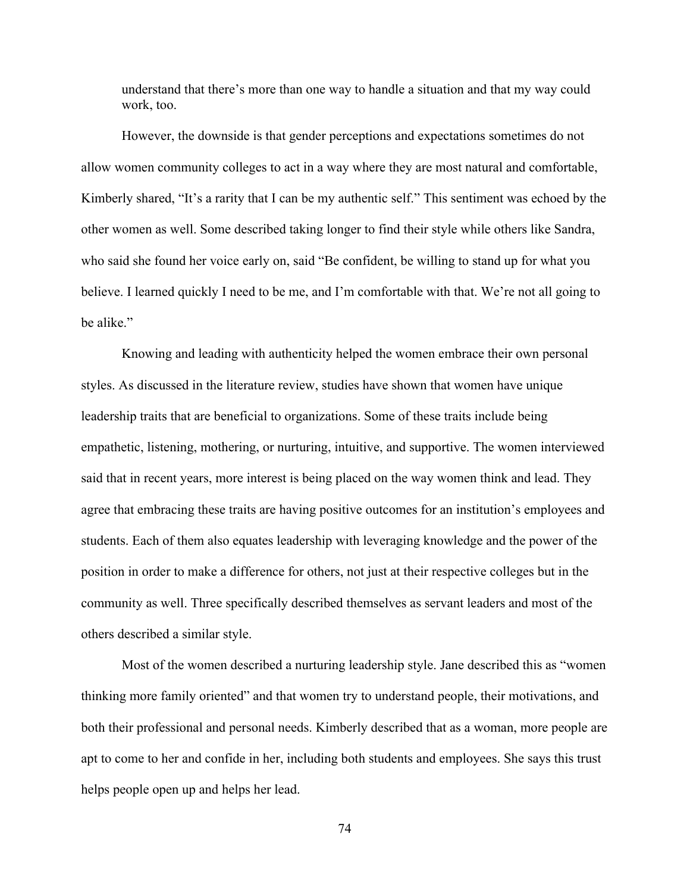understand that there's more than one way to handle a situation and that my way could work, too.

However, the downside is that gender perceptions and expectations sometimes do not allow women community colleges to act in a way where they are most natural and comfortable, Kimberly shared, "It's a rarity that I can be my authentic self." This sentiment was echoed by the other women as well. Some described taking longer to find their style while others like Sandra, who said she found her voice early on, said "Be confident, be willing to stand up for what you believe. I learned quickly I need to be me, and I'm comfortable with that. We're not all going to be alike."

Knowing and leading with authenticity helped the women embrace their own personal styles. As discussed in the literature review, studies have shown that women have unique leadership traits that are beneficial to organizations. Some of these traits include being empathetic, listening, mothering, or nurturing, intuitive, and supportive. The women interviewed said that in recent years, more interest is being placed on the way women think and lead. They agree that embracing these traits are having positive outcomes for an institution's employees and students. Each of them also equates leadership with leveraging knowledge and the power of the position in order to make a difference for others, not just at their respective colleges but in the community as well. Three specifically described themselves as servant leaders and most of the others described a similar style.

Most of the women described a nurturing leadership style. Jane described this as "women thinking more family oriented" and that women try to understand people, their motivations, and both their professional and personal needs. Kimberly described that as a woman, more people are apt to come to her and confide in her, including both students and employees. She says this trust helps people open up and helps her lead.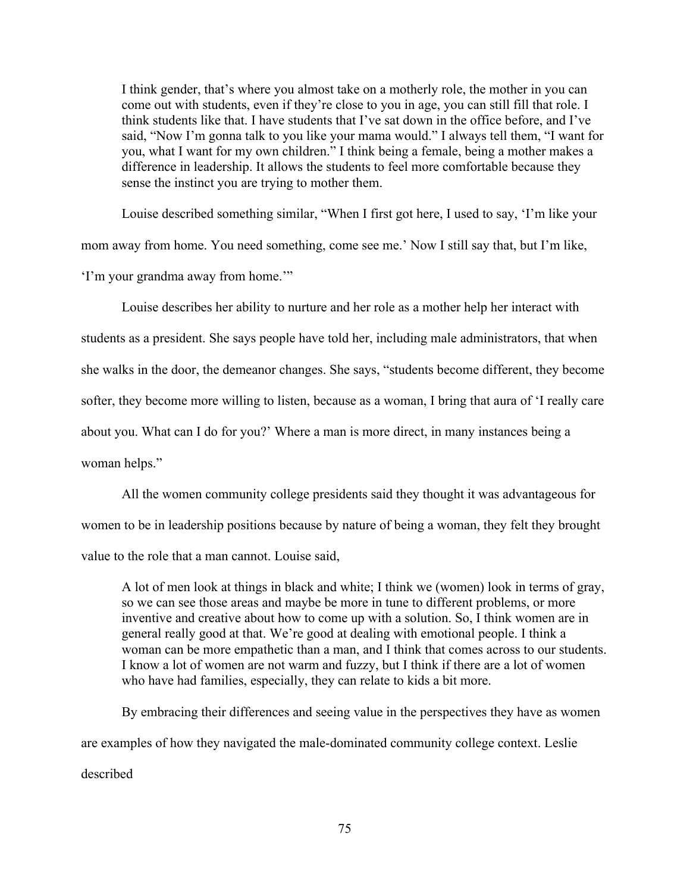I think gender, that's where you almost take on a motherly role, the mother in you can come out with students, even if they're close to you in age, you can still fill that role. I think students like that. I have students that I've sat down in the office before, and I've said, "Now I'm gonna talk to you like your mama would." I always tell them, "I want for you, what I want for my own children." I think being a female, being a mother makes a difference in leadership. It allows the students to feel more comfortable because they sense the instinct you are trying to mother them.

Louise described something similar, "When I first got here, I used to say, 'I'm like your mom away from home. You need something, come see me.' Now I still say that, but I'm like, 'I'm your grandma away from home.'"

Louise describes her ability to nurture and her role as a mother help her interact with students as a president. She says people have told her, including male administrators, that when she walks in the door, the demeanor changes. She says, "students become different, they become softer, they become more willing to listen, because as a woman, I bring that aura of 'I really care about you. What can I do for you?' Where a man is more direct, in many instances being a woman helps."

All the women community college presidents said they thought it was advantageous for women to be in leadership positions because by nature of being a woman, they felt they brought value to the role that a man cannot. Louise said,

A lot of men look at things in black and white; I think we (women) look in terms of gray, so we can see those areas and maybe be more in tune to different problems, or more inventive and creative about how to come up with a solution. So, I think women are in general really good at that. We're good at dealing with emotional people. I think a woman can be more empathetic than a man, and I think that comes across to our students. I know a lot of women are not warm and fuzzy, but I think if there are a lot of women who have had families, especially, they can relate to kids a bit more.

By embracing their differences and seeing value in the perspectives they have as women are examples of how they navigated the male-dominated community college context. Leslie described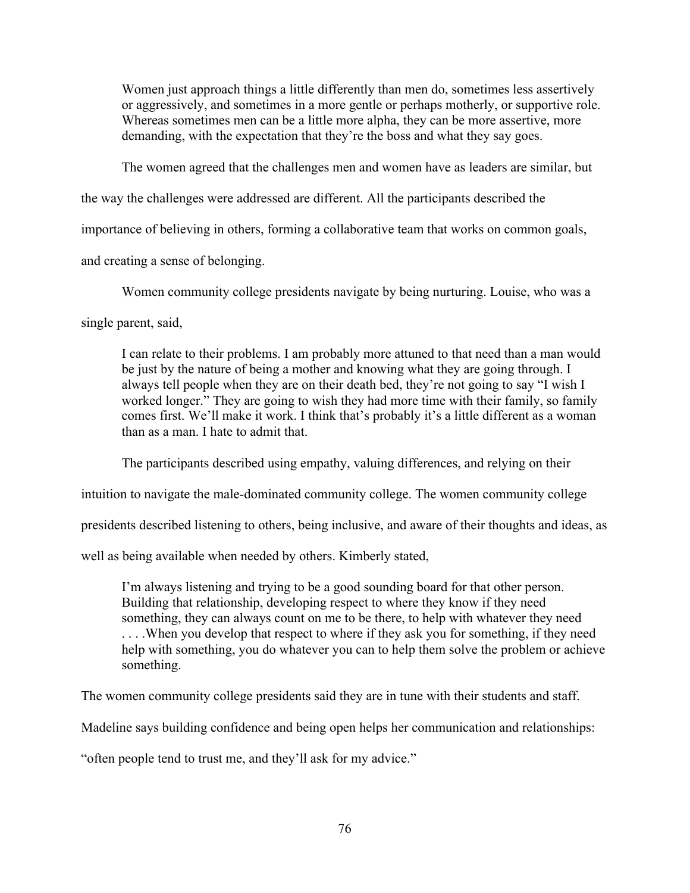Women just approach things a little differently than men do, sometimes less assertively or aggressively, and sometimes in a more gentle or perhaps motherly, or supportive role. Whereas sometimes men can be a little more alpha, they can be more assertive, more demanding, with the expectation that they're the boss and what they say goes.

The women agreed that the challenges men and women have as leaders are similar, but

the way the challenges were addressed are different. All the participants described the

importance of believing in others, forming a collaborative team that works on common goals,

and creating a sense of belonging.

Women community college presidents navigate by being nurturing. Louise, who was a

single parent, said,

I can relate to their problems. I am probably more attuned to that need than a man would be just by the nature of being a mother and knowing what they are going through. I always tell people when they are on their death bed, they're not going to say "I wish I worked longer." They are going to wish they had more time with their family, so family comes first. We'll make it work. I think that's probably it's a little different as a woman than as a man. I hate to admit that.

The participants described using empathy, valuing differences, and relying on their

intuition to navigate the male-dominated community college. The women community college

presidents described listening to others, being inclusive, and aware of their thoughts and ideas, as

well as being available when needed by others. Kimberly stated,

I'm always listening and trying to be a good sounding board for that other person. Building that relationship, developing respect to where they know if they need something, they can always count on me to be there, to help with whatever they need ... When you develop that respect to where if they ask you for something, if they need help with something, you do whatever you can to help them solve the problem or achieve something.

The women community college presidents said they are in tune with their students and staff.

Madeline says building confidence and being open helps her communication and relationships:

"often people tend to trust me, and they'll ask for my advice."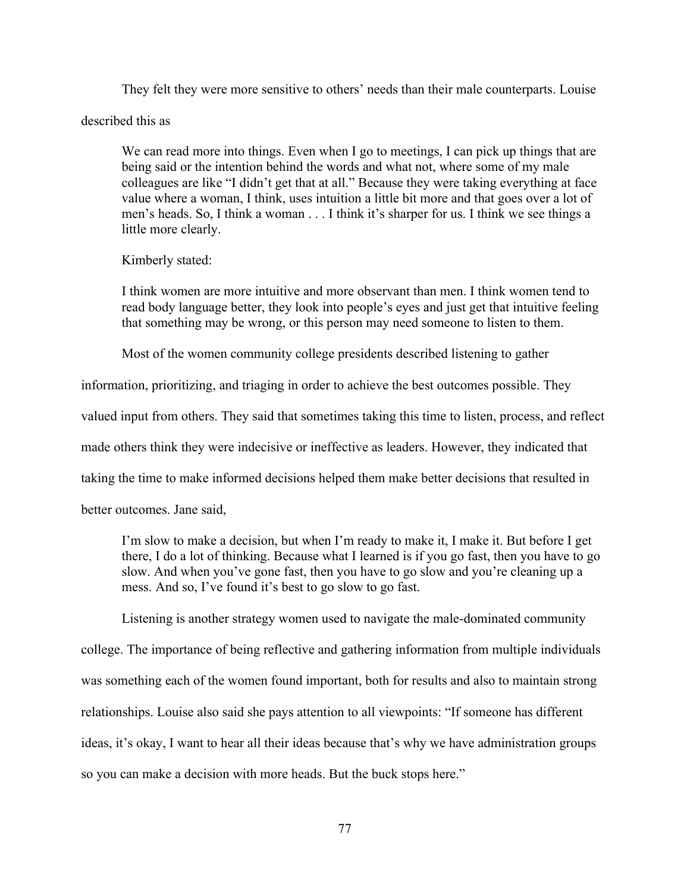They felt they were more sensitive to others' needs than their male counterparts. Louise

described this as

We can read more into things. Even when I go to meetings, I can pick up things that are being said or the intention behind the words and what not, where some of my male colleagues are like "I didn't get that at all." Because they were taking everything at face value where a woman, I think, uses intuition a little bit more and that goes over a lot of men's heads. So, I think a woman . . . I think it's sharper for us. I think we see things a little more clearly.

Kimberly stated:

I think women are more intuitive and more observant than men. I think women tend to read body language better, they look into people's eyes and just get that intuitive feeling that something may be wrong, or this person may need someone to listen to them.

Most of the women community college presidents described listening to gather

information, prioritizing, and triaging in order to achieve the best outcomes possible. They valued input from others. They said that sometimes taking this time to listen, process, and reflect made others think they were indecisive or ineffective as leaders. However, they indicated that taking the time to make informed decisions helped them make better decisions that resulted in

better outcomes. Jane said,

I'm slow to make a decision, but when I'm ready to make it, I make it. But before I get there, I do a lot of thinking. Because what I learned is if you go fast, then you have to go slow. And when you've gone fast, then you have to go slow and you're cleaning up a mess. And so, I've found it's best to go slow to go fast.

Listening is another strategy women used to navigate the male-dominated community

college. The importance of being reflective and gathering information from multiple individuals

was something each of the women found important, both for results and also to maintain strong

relationships. Louise also said she pays attention to all viewpoints: "If someone has different

ideas, it's okay, I want to hear all their ideas because that's why we have administration groups

so you can make a decision with more heads. But the buck stops here."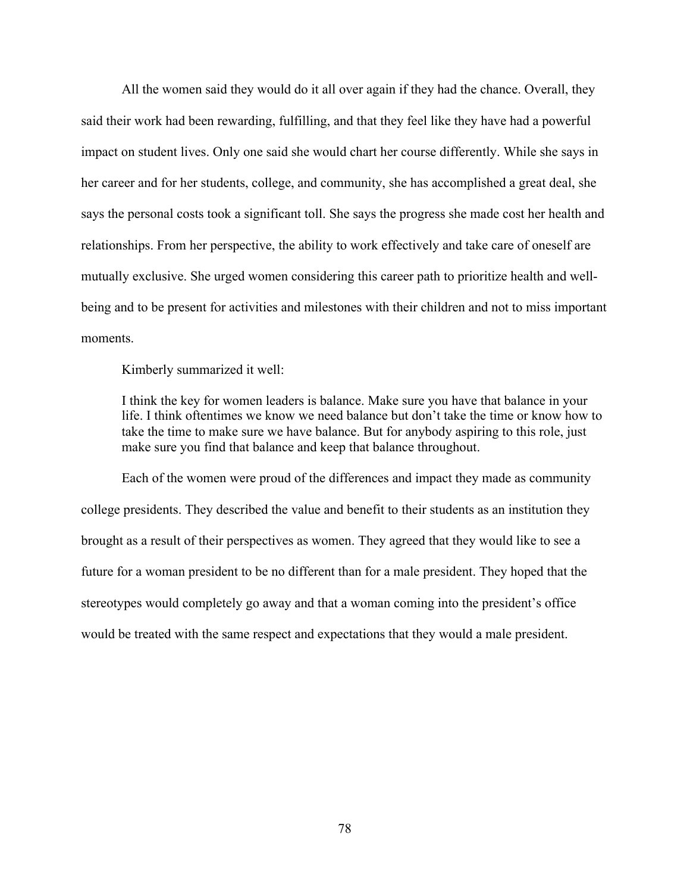All the women said they would do it all over again if they had the chance. Overall, they said their work had been rewarding, fulfilling, and that they feel like they have had a powerful impact on student lives. Only one said she would chart her course differently. While she says in her career and for her students, college, and community, she has accomplished a great deal, she says the personal costs took a significant toll. She says the progress she made cost her health and relationships. From her perspective, the ability to work effectively and take care of oneself are mutually exclusive. She urged women considering this career path to prioritize health and wellbeing and to be present for activities and milestones with their children and not to miss important moments.

Kimberly summarized it well:

I think the key for women leaders is balance. Make sure you have that balance in your life. I think oftentimes we know we need balance but don't take the time or know how to take the time to make sure we have balance. But for anybody aspiring to this role, just make sure you find that balance and keep that balance throughout.

Each of the women were proud of the differences and impact they made as community college presidents. They described the value and benefit to their students as an institution they brought as a result of their perspectives as women. They agreed that they would like to see a future for a woman president to be no different than for a male president. They hoped that the stereotypes would completely go away and that a woman coming into the president's office would be treated with the same respect and expectations that they would a male president.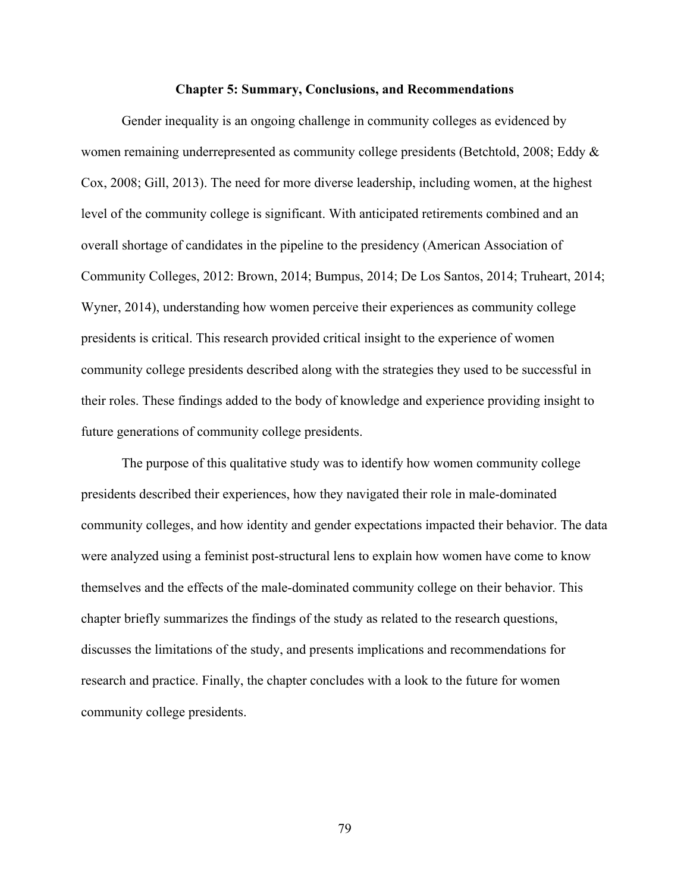#### **Chapter 5: Summary, Conclusions, and Recommendations**

Gender inequality is an ongoing challenge in community colleges as evidenced by women remaining underrepresented as community college presidents (Betchtold, 2008; Eddy & Cox, 2008; Gill, 2013). The need for more diverse leadership, including women, at the highest level of the community college is significant. With anticipated retirements combined and an overall shortage of candidates in the pipeline to the presidency (American Association of Community Colleges, 2012: Brown, 2014; Bumpus, 2014; De Los Santos, 2014; Truheart, 2014; Wyner, 2014), understanding how women perceive their experiences as community college presidents is critical. This research provided critical insight to the experience of women community college presidents described along with the strategies they used to be successful in their roles. These findings added to the body of knowledge and experience providing insight to future generations of community college presidents.

The purpose of this qualitative study was to identify how women community college presidents described their experiences, how they navigated their role in male-dominated community colleges, and how identity and gender expectations impacted their behavior. The data were analyzed using a feminist post-structural lens to explain how women have come to know themselves and the effects of the male-dominated community college on their behavior. This chapter briefly summarizes the findings of the study as related to the research questions, discusses the limitations of the study, and presents implications and recommendations for research and practice. Finally, the chapter concludes with a look to the future for women community college presidents.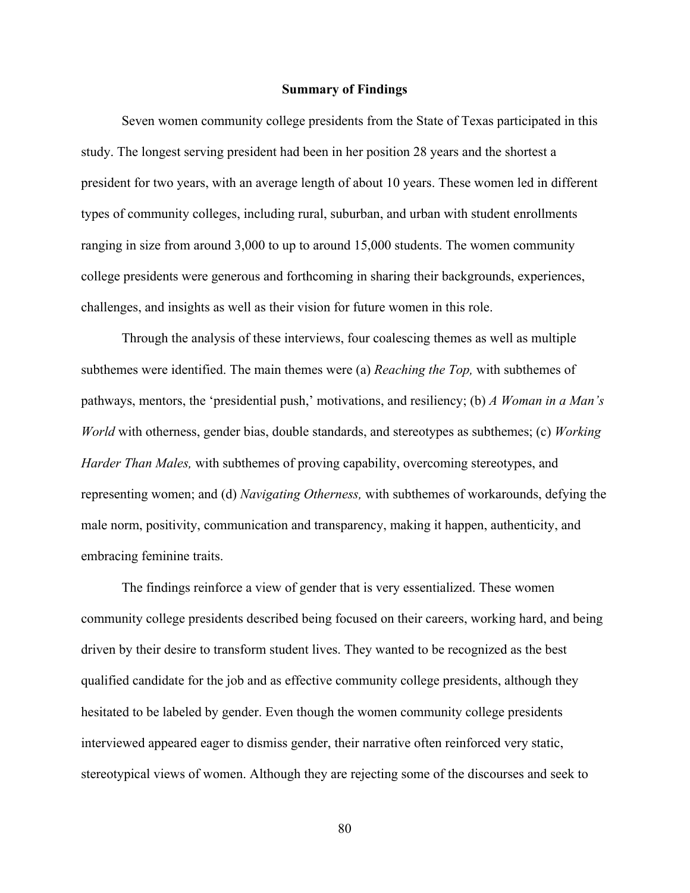## **Summary of Findings**

Seven women community college presidents from the State of Texas participated in this study. The longest serving president had been in her position 28 years and the shortest a president for two years, with an average length of about 10 years. These women led in different types of community colleges, including rural, suburban, and urban with student enrollments ranging in size from around 3,000 to up to around 15,000 students. The women community college presidents were generous and forthcoming in sharing their backgrounds, experiences, challenges, and insights as well as their vision for future women in this role.

Through the analysis of these interviews, four coalescing themes as well as multiple subthemes were identified. The main themes were (a) *Reaching the Top,* with subthemes of pathways, mentors, the 'presidential push,' motivations, and resiliency; (b) *A Woman in a Man's World* with otherness, gender bias, double standards, and stereotypes as subthemes; (c) *Working Harder Than Males,* with subthemes of proving capability, overcoming stereotypes, and representing women; and (d) *Navigating Otherness,* with subthemes of workarounds, defying the male norm, positivity, communication and transparency, making it happen, authenticity, and embracing feminine traits.

The findings reinforce a view of gender that is very essentialized. These women community college presidents described being focused on their careers, working hard, and being driven by their desire to transform student lives. They wanted to be recognized as the best qualified candidate for the job and as effective community college presidents, although they hesitated to be labeled by gender. Even though the women community college presidents interviewed appeared eager to dismiss gender, their narrative often reinforced very static, stereotypical views of women. Although they are rejecting some of the discourses and seek to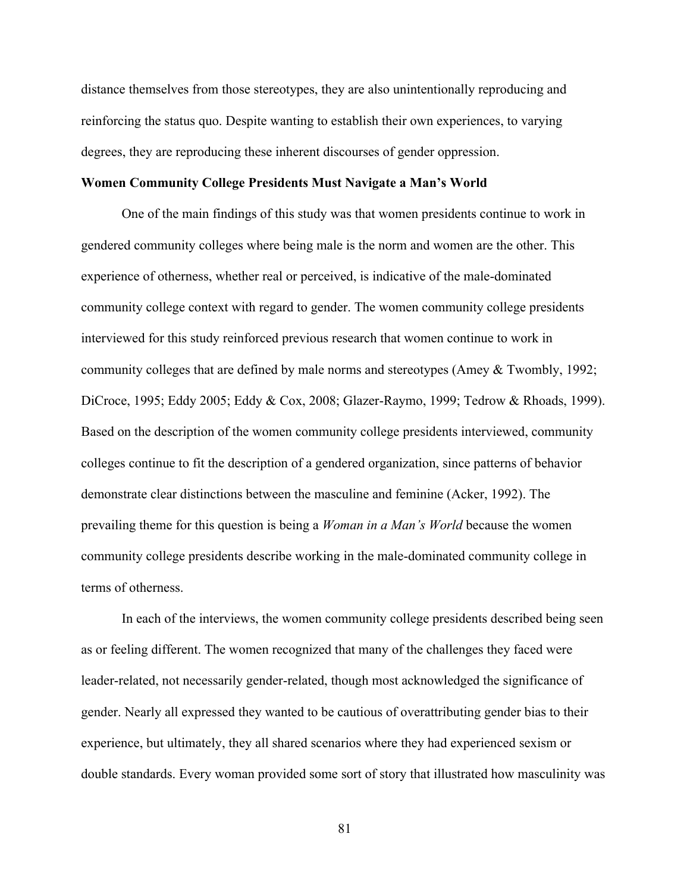distance themselves from those stereotypes, they are also unintentionally reproducing and reinforcing the status quo. Despite wanting to establish their own experiences, to varying degrees, they are reproducing these inherent discourses of gender oppression.

## **Women Community College Presidents Must Navigate a Man's World**

One of the main findings of this study was that women presidents continue to work in gendered community colleges where being male is the norm and women are the other. This experience of otherness, whether real or perceived, is indicative of the male-dominated community college context with regard to gender. The women community college presidents interviewed for this study reinforced previous research that women continue to work in community colleges that are defined by male norms and stereotypes (Amey & Twombly, 1992; DiCroce, 1995; Eddy 2005; Eddy & Cox, 2008; Glazer-Raymo, 1999; Tedrow & Rhoads, 1999). Based on the description of the women community college presidents interviewed, community colleges continue to fit the description of a gendered organization, since patterns of behavior demonstrate clear distinctions between the masculine and feminine (Acker, 1992). The prevailing theme for this question is being a *Woman in a Man's World* because the women community college presidents describe working in the male-dominated community college in terms of otherness.

In each of the interviews, the women community college presidents described being seen as or feeling different. The women recognized that many of the challenges they faced were leader-related, not necessarily gender-related, though most acknowledged the significance of gender. Nearly all expressed they wanted to be cautious of overattributing gender bias to their experience, but ultimately, they all shared scenarios where they had experienced sexism or double standards. Every woman provided some sort of story that illustrated how masculinity was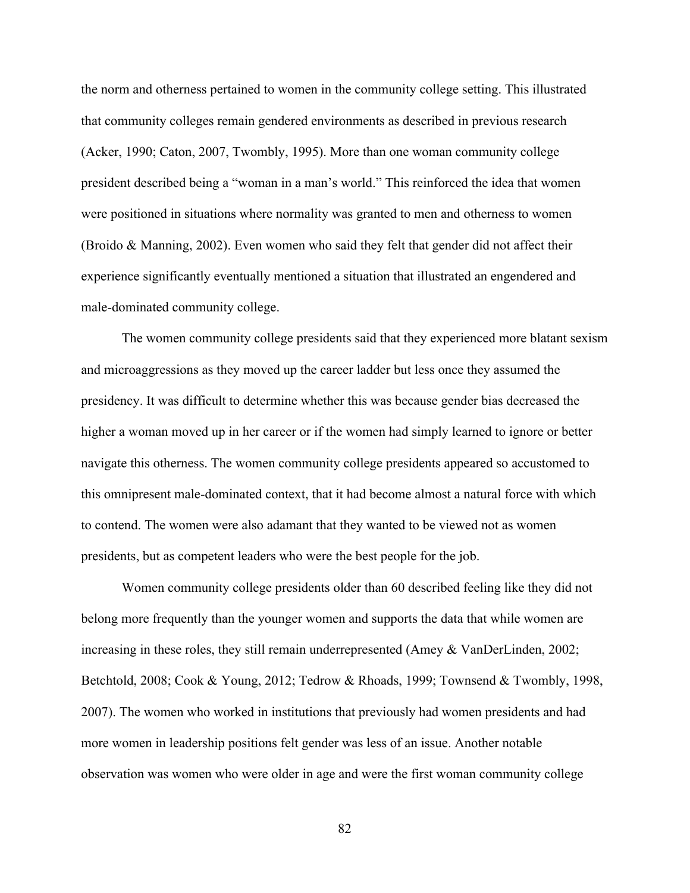the norm and otherness pertained to women in the community college setting. This illustrated that community colleges remain gendered environments as described in previous research (Acker, 1990; Caton, 2007, Twombly, 1995). More than one woman community college president described being a "woman in a man's world." This reinforced the idea that women were positioned in situations where normality was granted to men and otherness to women (Broido & Manning, 2002). Even women who said they felt that gender did not affect their experience significantly eventually mentioned a situation that illustrated an engendered and male-dominated community college.

The women community college presidents said that they experienced more blatant sexism and microaggressions as they moved up the career ladder but less once they assumed the presidency. It was difficult to determine whether this was because gender bias decreased the higher a woman moved up in her career or if the women had simply learned to ignore or better navigate this otherness. The women community college presidents appeared so accustomed to this omnipresent male-dominated context, that it had become almost a natural force with which to contend. The women were also adamant that they wanted to be viewed not as women presidents, but as competent leaders who were the best people for the job.

Women community college presidents older than 60 described feeling like they did not belong more frequently than the younger women and supports the data that while women are increasing in these roles, they still remain underrepresented (Amey & VanDerLinden, 2002; Betchtold, 2008; Cook & Young, 2012; Tedrow & Rhoads, 1999; Townsend & Twombly, 1998, 2007). The women who worked in institutions that previously had women presidents and had more women in leadership positions felt gender was less of an issue. Another notable observation was women who were older in age and were the first woman community college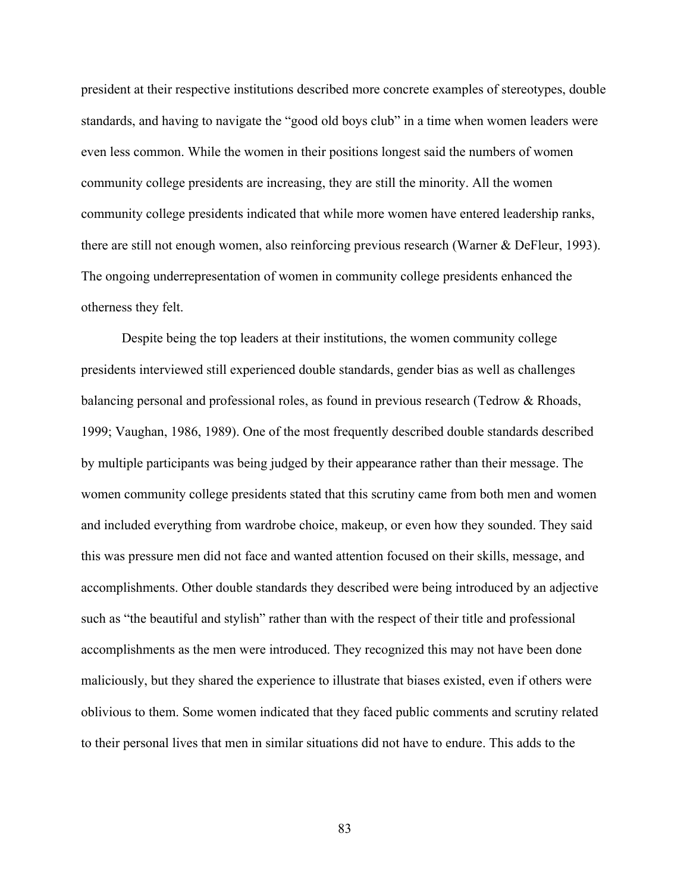president at their respective institutions described more concrete examples of stereotypes, double standards, and having to navigate the "good old boys club" in a time when women leaders were even less common. While the women in their positions longest said the numbers of women community college presidents are increasing, they are still the minority. All the women community college presidents indicated that while more women have entered leadership ranks, there are still not enough women, also reinforcing previous research (Warner & DeFleur, 1993). The ongoing underrepresentation of women in community college presidents enhanced the otherness they felt.

Despite being the top leaders at their institutions, the women community college presidents interviewed still experienced double standards, gender bias as well as challenges balancing personal and professional roles, as found in previous research (Tedrow & Rhoads, 1999; Vaughan, 1986, 1989). One of the most frequently described double standards described by multiple participants was being judged by their appearance rather than their message. The women community college presidents stated that this scrutiny came from both men and women and included everything from wardrobe choice, makeup, or even how they sounded. They said this was pressure men did not face and wanted attention focused on their skills, message, and accomplishments. Other double standards they described were being introduced by an adjective such as "the beautiful and stylish" rather than with the respect of their title and professional accomplishments as the men were introduced. They recognized this may not have been done maliciously, but they shared the experience to illustrate that biases existed, even if others were oblivious to them. Some women indicated that they faced public comments and scrutiny related to their personal lives that men in similar situations did not have to endure. This adds to the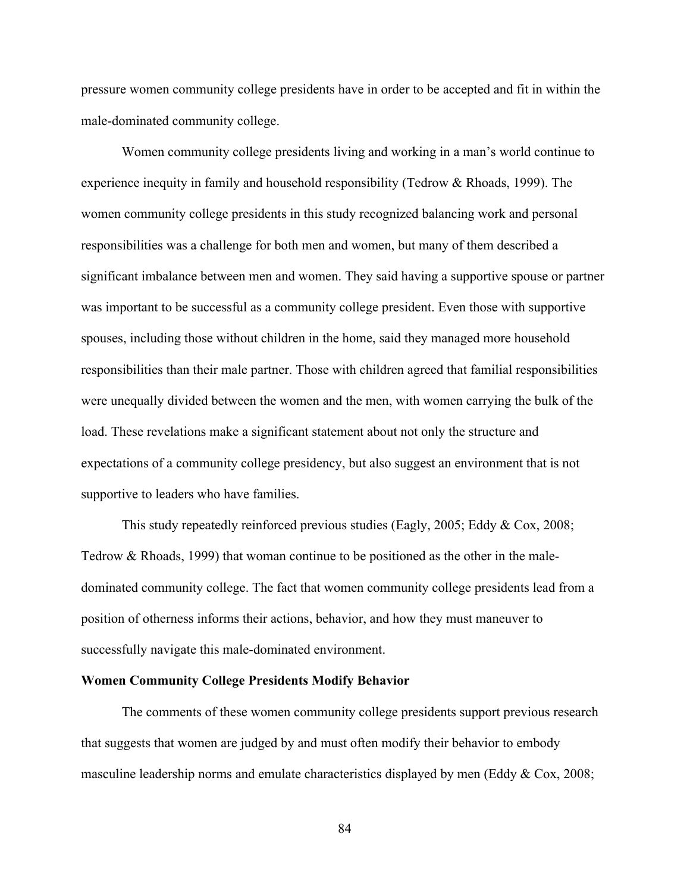pressure women community college presidents have in order to be accepted and fit in within the male-dominated community college.

Women community college presidents living and working in a man's world continue to experience inequity in family and household responsibility (Tedrow & Rhoads, 1999). The women community college presidents in this study recognized balancing work and personal responsibilities was a challenge for both men and women, but many of them described a significant imbalance between men and women. They said having a supportive spouse or partner was important to be successful as a community college president. Even those with supportive spouses, including those without children in the home, said they managed more household responsibilities than their male partner. Those with children agreed that familial responsibilities were unequally divided between the women and the men, with women carrying the bulk of the load. These revelations make a significant statement about not only the structure and expectations of a community college presidency, but also suggest an environment that is not supportive to leaders who have families.

This study repeatedly reinforced previous studies (Eagly, 2005; Eddy & Cox, 2008; Tedrow & Rhoads, 1999) that woman continue to be positioned as the other in the maledominated community college. The fact that women community college presidents lead from a position of otherness informs their actions, behavior, and how they must maneuver to successfully navigate this male-dominated environment.

## **Women Community College Presidents Modify Behavior**

The comments of these women community college presidents support previous research that suggests that women are judged by and must often modify their behavior to embody masculine leadership norms and emulate characteristics displayed by men (Eddy & Cox, 2008;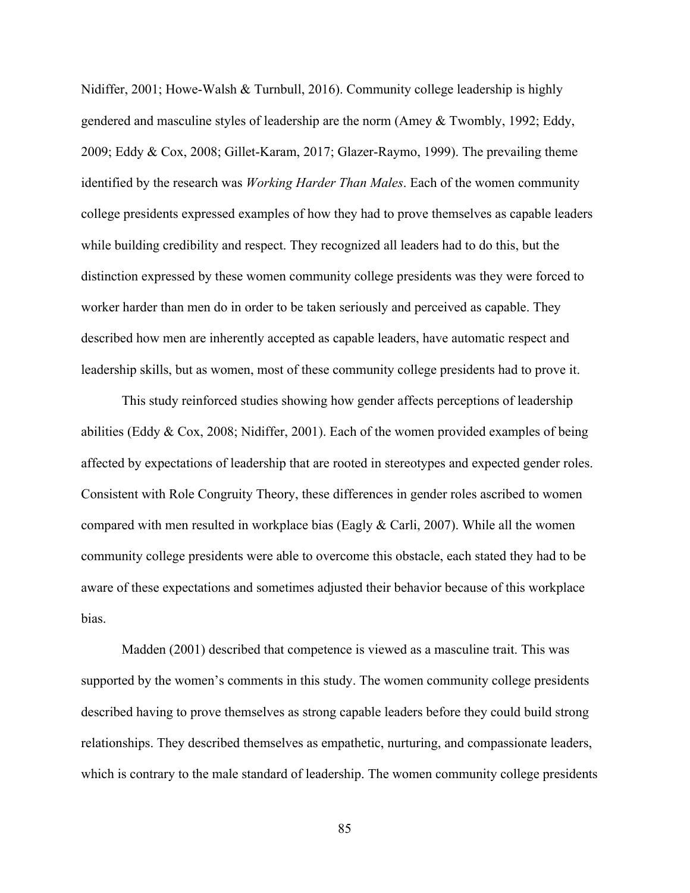Nidiffer, 2001; Howe-Walsh & Turnbull, 2016). Community college leadership is highly gendered and masculine styles of leadership are the norm (Amey & Twombly, 1992; Eddy, 2009; Eddy & Cox, 2008; Gillet-Karam, 2017; Glazer-Raymo, 1999). The prevailing theme identified by the research was *Working Harder Than Males*. Each of the women community college presidents expressed examples of how they had to prove themselves as capable leaders while building credibility and respect. They recognized all leaders had to do this, but the distinction expressed by these women community college presidents was they were forced to worker harder than men do in order to be taken seriously and perceived as capable. They described how men are inherently accepted as capable leaders, have automatic respect and leadership skills, but as women, most of these community college presidents had to prove it.

This study reinforced studies showing how gender affects perceptions of leadership abilities (Eddy & Cox, 2008; Nidiffer, 2001). Each of the women provided examples of being affected by expectations of leadership that are rooted in stereotypes and expected gender roles. Consistent with Role Congruity Theory, these differences in gender roles ascribed to women compared with men resulted in workplace bias (Eagly  $& Carli, 2007$ ). While all the women community college presidents were able to overcome this obstacle, each stated they had to be aware of these expectations and sometimes adjusted their behavior because of this workplace bias.

Madden (2001) described that competence is viewed as a masculine trait. This was supported by the women's comments in this study. The women community college presidents described having to prove themselves as strong capable leaders before they could build strong relationships. They described themselves as empathetic, nurturing, and compassionate leaders, which is contrary to the male standard of leadership. The women community college presidents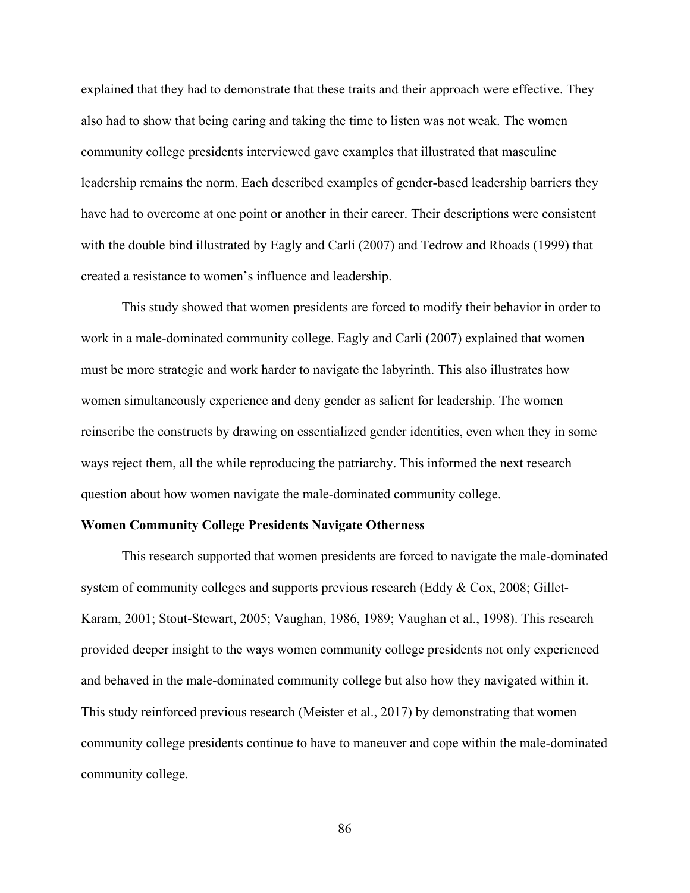explained that they had to demonstrate that these traits and their approach were effective. They also had to show that being caring and taking the time to listen was not weak. The women community college presidents interviewed gave examples that illustrated that masculine leadership remains the norm. Each described examples of gender-based leadership barriers they have had to overcome at one point or another in their career. Their descriptions were consistent with the double bind illustrated by Eagly and Carli (2007) and Tedrow and Rhoads (1999) that created a resistance to women's influence and leadership.

This study showed that women presidents are forced to modify their behavior in order to work in a male-dominated community college. Eagly and Carli (2007) explained that women must be more strategic and work harder to navigate the labyrinth. This also illustrates how women simultaneously experience and deny gender as salient for leadership. The women reinscribe the constructs by drawing on essentialized gender identities, even when they in some ways reject them, all the while reproducing the patriarchy. This informed the next research question about how women navigate the male-dominated community college.

#### **Women Community College Presidents Navigate Otherness**

This research supported that women presidents are forced to navigate the male-dominated system of community colleges and supports previous research (Eddy & Cox, 2008; Gillet-Karam, 2001; Stout-Stewart, 2005; Vaughan, 1986, 1989; Vaughan et al., 1998). This research provided deeper insight to the ways women community college presidents not only experienced and behaved in the male-dominated community college but also how they navigated within it. This study reinforced previous research (Meister et al., 2017) by demonstrating that women community college presidents continue to have to maneuver and cope within the male-dominated community college.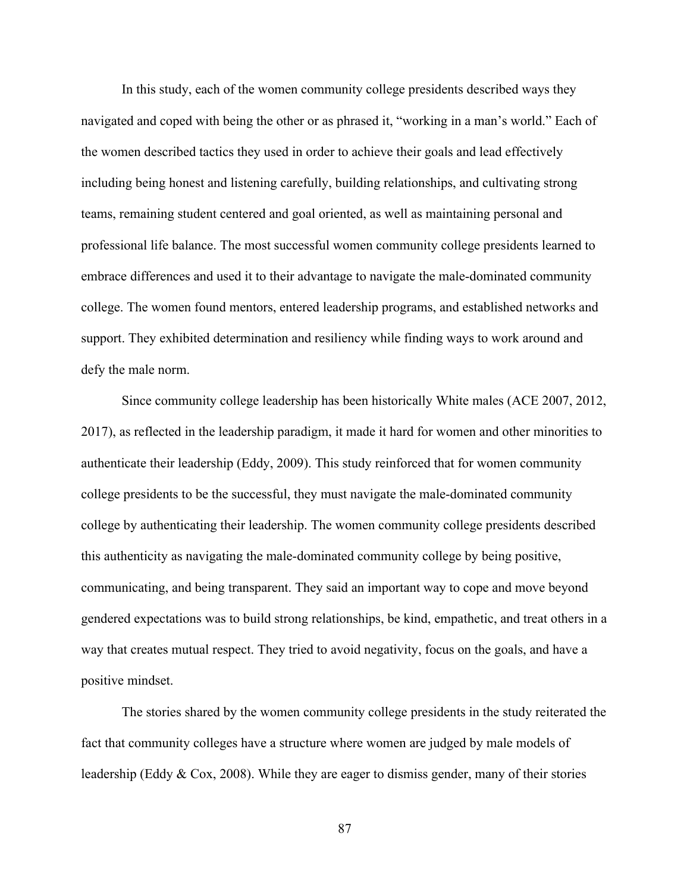In this study, each of the women community college presidents described ways they navigated and coped with being the other or as phrased it, "working in a man's world." Each of the women described tactics they used in order to achieve their goals and lead effectively including being honest and listening carefully, building relationships, and cultivating strong teams, remaining student centered and goal oriented, as well as maintaining personal and professional life balance. The most successful women community college presidents learned to embrace differences and used it to their advantage to navigate the male-dominated community college. The women found mentors, entered leadership programs, and established networks and support. They exhibited determination and resiliency while finding ways to work around and defy the male norm.

Since community college leadership has been historically White males (ACE 2007, 2012, 2017), as reflected in the leadership paradigm, it made it hard for women and other minorities to authenticate their leadership (Eddy, 2009). This study reinforced that for women community college presidents to be the successful, they must navigate the male-dominated community college by authenticating their leadership. The women community college presidents described this authenticity as navigating the male-dominated community college by being positive, communicating, and being transparent. They said an important way to cope and move beyond gendered expectations was to build strong relationships, be kind, empathetic, and treat others in a way that creates mutual respect. They tried to avoid negativity, focus on the goals, and have a positive mindset.

The stories shared by the women community college presidents in the study reiterated the fact that community colleges have a structure where women are judged by male models of leadership (Eddy & Cox, 2008). While they are eager to dismiss gender, many of their stories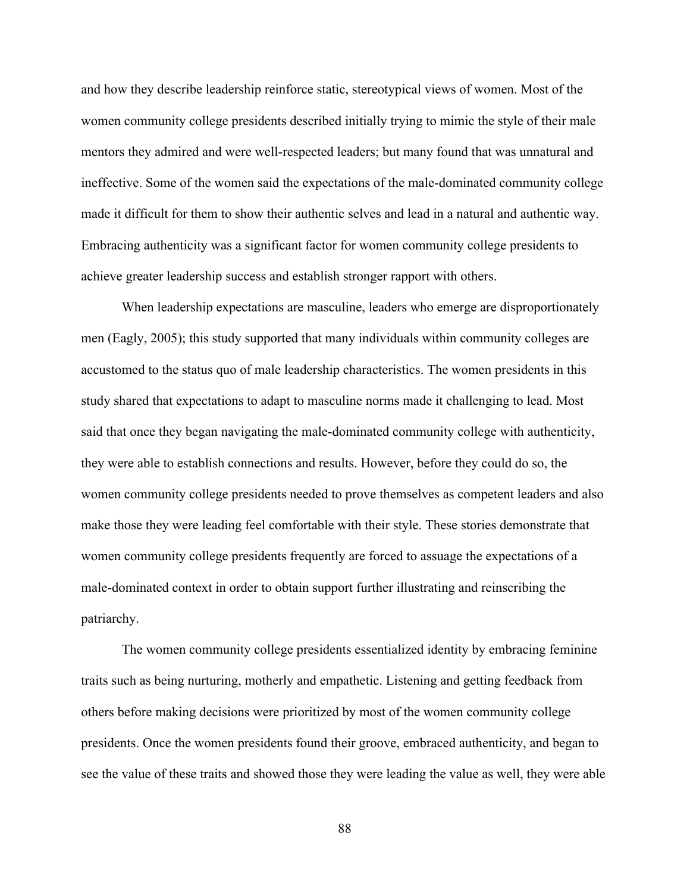and how they describe leadership reinforce static, stereotypical views of women. Most of the women community college presidents described initially trying to mimic the style of their male mentors they admired and were well-respected leaders; but many found that was unnatural and ineffective. Some of the women said the expectations of the male-dominated community college made it difficult for them to show their authentic selves and lead in a natural and authentic way. Embracing authenticity was a significant factor for women community college presidents to achieve greater leadership success and establish stronger rapport with others.

When leadership expectations are masculine, leaders who emerge are disproportionately men (Eagly, 2005); this study supported that many individuals within community colleges are accustomed to the status quo of male leadership characteristics. The women presidents in this study shared that expectations to adapt to masculine norms made it challenging to lead. Most said that once they began navigating the male-dominated community college with authenticity, they were able to establish connections and results. However, before they could do so, the women community college presidents needed to prove themselves as competent leaders and also make those they were leading feel comfortable with their style. These stories demonstrate that women community college presidents frequently are forced to assuage the expectations of a male-dominated context in order to obtain support further illustrating and reinscribing the patriarchy.

The women community college presidents essentialized identity by embracing feminine traits such as being nurturing, motherly and empathetic. Listening and getting feedback from others before making decisions were prioritized by most of the women community college presidents. Once the women presidents found their groove, embraced authenticity, and began to see the value of these traits and showed those they were leading the value as well, they were able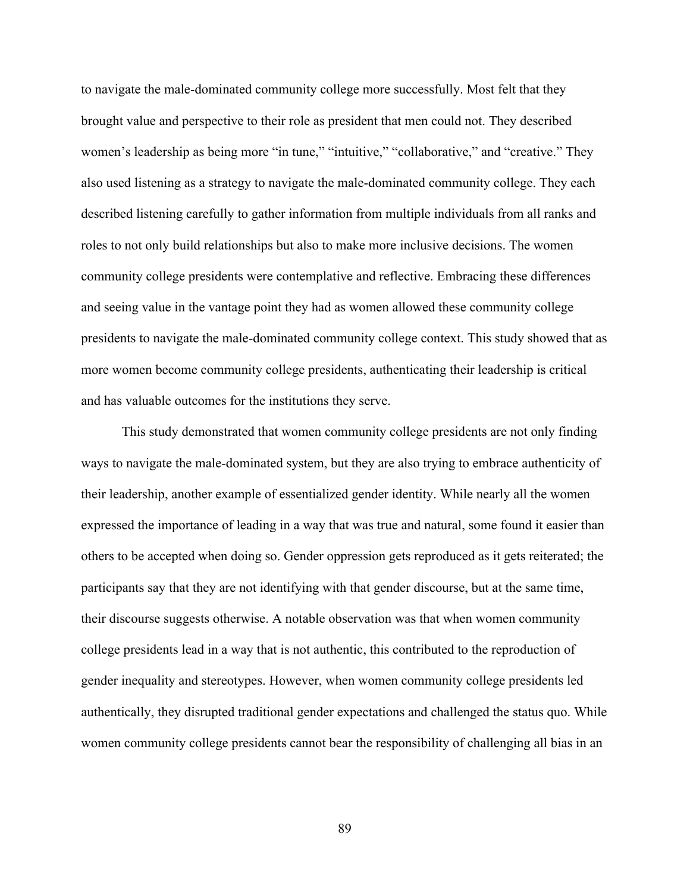to navigate the male-dominated community college more successfully. Most felt that they brought value and perspective to their role as president that men could not. They described women's leadership as being more "in tune," "intuitive," "collaborative," and "creative." They also used listening as a strategy to navigate the male-dominated community college. They each described listening carefully to gather information from multiple individuals from all ranks and roles to not only build relationships but also to make more inclusive decisions. The women community college presidents were contemplative and reflective. Embracing these differences and seeing value in the vantage point they had as women allowed these community college presidents to navigate the male-dominated community college context. This study showed that as more women become community college presidents, authenticating their leadership is critical and has valuable outcomes for the institutions they serve.

This study demonstrated that women community college presidents are not only finding ways to navigate the male-dominated system, but they are also trying to embrace authenticity of their leadership, another example of essentialized gender identity. While nearly all the women expressed the importance of leading in a way that was true and natural, some found it easier than others to be accepted when doing so. Gender oppression gets reproduced as it gets reiterated; the participants say that they are not identifying with that gender discourse, but at the same time, their discourse suggests otherwise. A notable observation was that when women community college presidents lead in a way that is not authentic, this contributed to the reproduction of gender inequality and stereotypes. However, when women community college presidents led authentically, they disrupted traditional gender expectations and challenged the status quo. While women community college presidents cannot bear the responsibility of challenging all bias in an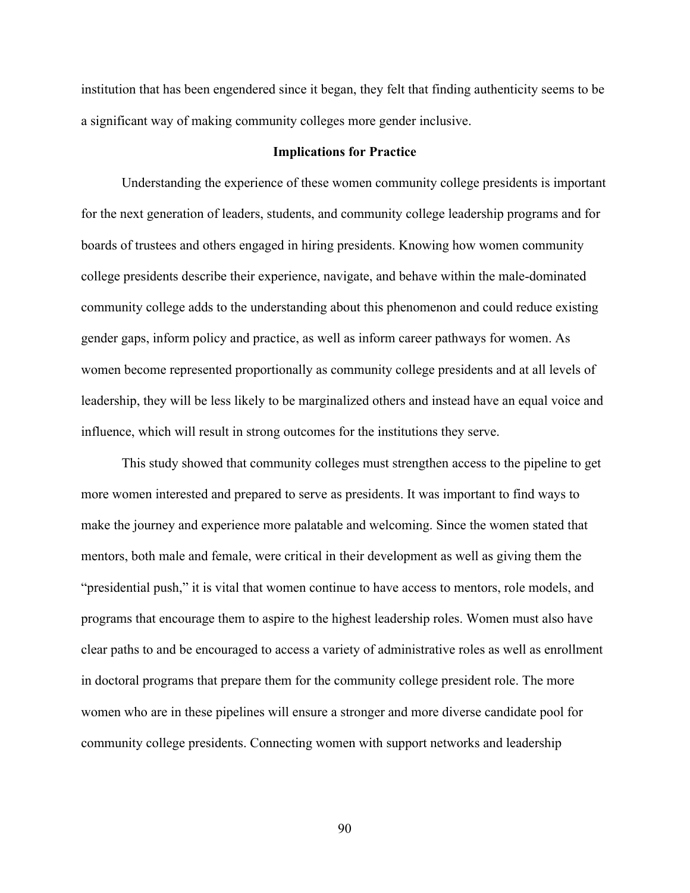institution that has been engendered since it began, they felt that finding authenticity seems to be a significant way of making community colleges more gender inclusive.

## **Implications for Practice**

Understanding the experience of these women community college presidents is important for the next generation of leaders, students, and community college leadership programs and for boards of trustees and others engaged in hiring presidents. Knowing how women community college presidents describe their experience, navigate, and behave within the male-dominated community college adds to the understanding about this phenomenon and could reduce existing gender gaps, inform policy and practice, as well as inform career pathways for women. As women become represented proportionally as community college presidents and at all levels of leadership, they will be less likely to be marginalized others and instead have an equal voice and influence, which will result in strong outcomes for the institutions they serve.

This study showed that community colleges must strengthen access to the pipeline to get more women interested and prepared to serve as presidents. It was important to find ways to make the journey and experience more palatable and welcoming. Since the women stated that mentors, both male and female, were critical in their development as well as giving them the "presidential push," it is vital that women continue to have access to mentors, role models, and programs that encourage them to aspire to the highest leadership roles. Women must also have clear paths to and be encouraged to access a variety of administrative roles as well as enrollment in doctoral programs that prepare them for the community college president role. The more women who are in these pipelines will ensure a stronger and more diverse candidate pool for community college presidents. Connecting women with support networks and leadership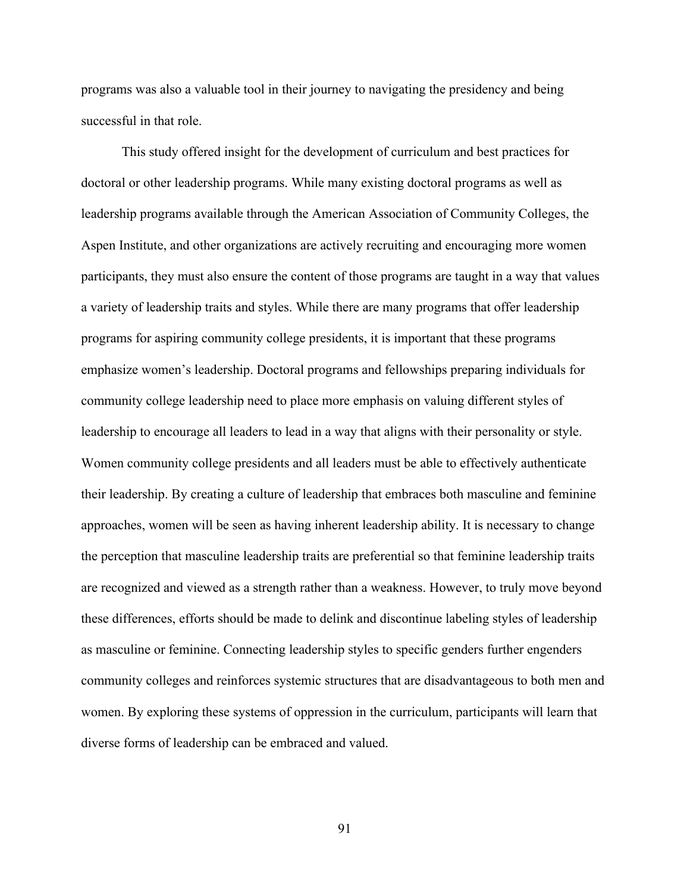programs was also a valuable tool in their journey to navigating the presidency and being successful in that role.

This study offered insight for the development of curriculum and best practices for doctoral or other leadership programs. While many existing doctoral programs as well as leadership programs available through the American Association of Community Colleges, the Aspen Institute, and other organizations are actively recruiting and encouraging more women participants, they must also ensure the content of those programs are taught in a way that values a variety of leadership traits and styles. While there are many programs that offer leadership programs for aspiring community college presidents, it is important that these programs emphasize women's leadership. Doctoral programs and fellowships preparing individuals for community college leadership need to place more emphasis on valuing different styles of leadership to encourage all leaders to lead in a way that aligns with their personality or style. Women community college presidents and all leaders must be able to effectively authenticate their leadership. By creating a culture of leadership that embraces both masculine and feminine approaches, women will be seen as having inherent leadership ability. It is necessary to change the perception that masculine leadership traits are preferential so that feminine leadership traits are recognized and viewed as a strength rather than a weakness. However, to truly move beyond these differences, efforts should be made to delink and discontinue labeling styles of leadership as masculine or feminine. Connecting leadership styles to specific genders further engenders community colleges and reinforces systemic structures that are disadvantageous to both men and women. By exploring these systems of oppression in the curriculum, participants will learn that diverse forms of leadership can be embraced and valued.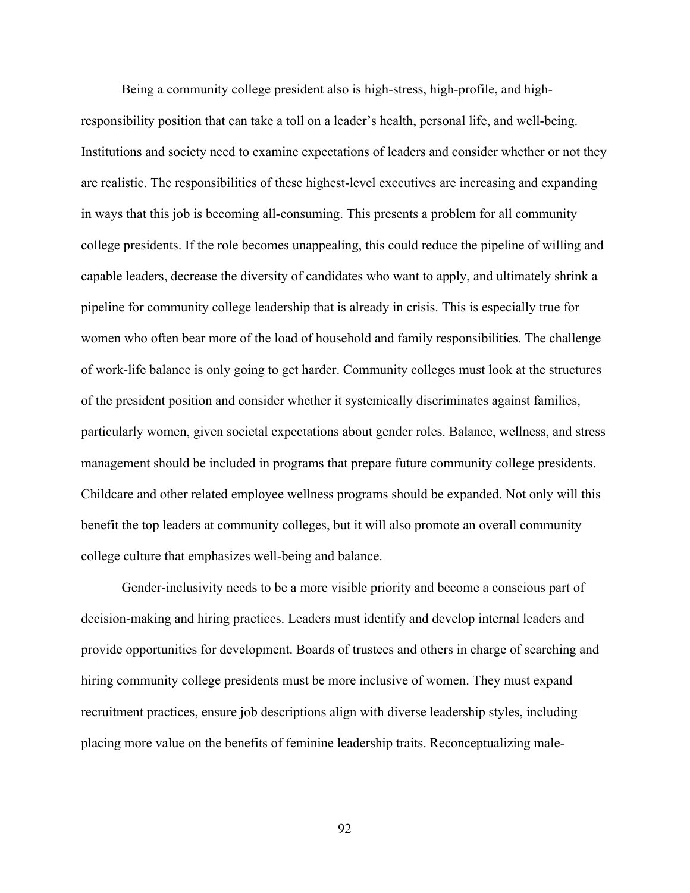Being a community college president also is high-stress, high-profile, and highresponsibility position that can take a toll on a leader's health, personal life, and well-being. Institutions and society need to examine expectations of leaders and consider whether or not they are realistic. The responsibilities of these highest-level executives are increasing and expanding in ways that this job is becoming all-consuming. This presents a problem for all community college presidents. If the role becomes unappealing, this could reduce the pipeline of willing and capable leaders, decrease the diversity of candidates who want to apply, and ultimately shrink a pipeline for community college leadership that is already in crisis. This is especially true for women who often bear more of the load of household and family responsibilities. The challenge of work-life balance is only going to get harder. Community colleges must look at the structures of the president position and consider whether it systemically discriminates against families, particularly women, given societal expectations about gender roles. Balance, wellness, and stress management should be included in programs that prepare future community college presidents. Childcare and other related employee wellness programs should be expanded. Not only will this benefit the top leaders at community colleges, but it will also promote an overall community college culture that emphasizes well-being and balance.

Gender-inclusivity needs to be a more visible priority and become a conscious part of decision-making and hiring practices. Leaders must identify and develop internal leaders and provide opportunities for development. Boards of trustees and others in charge of searching and hiring community college presidents must be more inclusive of women. They must expand recruitment practices, ensure job descriptions align with diverse leadership styles, including placing more value on the benefits of feminine leadership traits. Reconceptualizing male-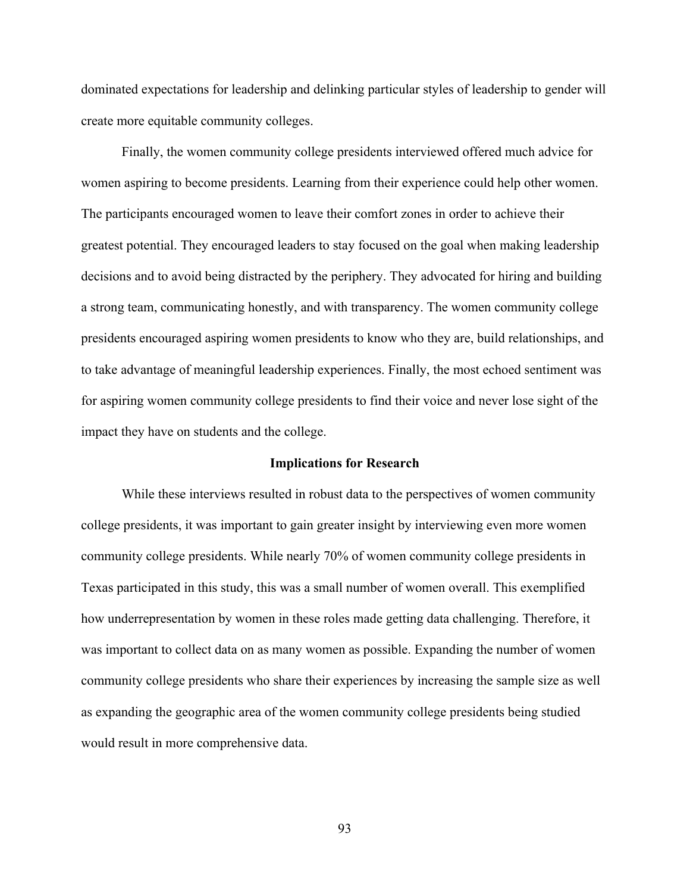dominated expectations for leadership and delinking particular styles of leadership to gender will create more equitable community colleges.

Finally, the women community college presidents interviewed offered much advice for women aspiring to become presidents. Learning from their experience could help other women. The participants encouraged women to leave their comfort zones in order to achieve their greatest potential. They encouraged leaders to stay focused on the goal when making leadership decisions and to avoid being distracted by the periphery. They advocated for hiring and building a strong team, communicating honestly, and with transparency. The women community college presidents encouraged aspiring women presidents to know who they are, build relationships, and to take advantage of meaningful leadership experiences. Finally, the most echoed sentiment was for aspiring women community college presidents to find their voice and never lose sight of the impact they have on students and the college.

## **Implications for Research**

While these interviews resulted in robust data to the perspectives of women community college presidents, it was important to gain greater insight by interviewing even more women community college presidents. While nearly 70% of women community college presidents in Texas participated in this study, this was a small number of women overall. This exemplified how underrepresentation by women in these roles made getting data challenging. Therefore, it was important to collect data on as many women as possible. Expanding the number of women community college presidents who share their experiences by increasing the sample size as well as expanding the geographic area of the women community college presidents being studied would result in more comprehensive data.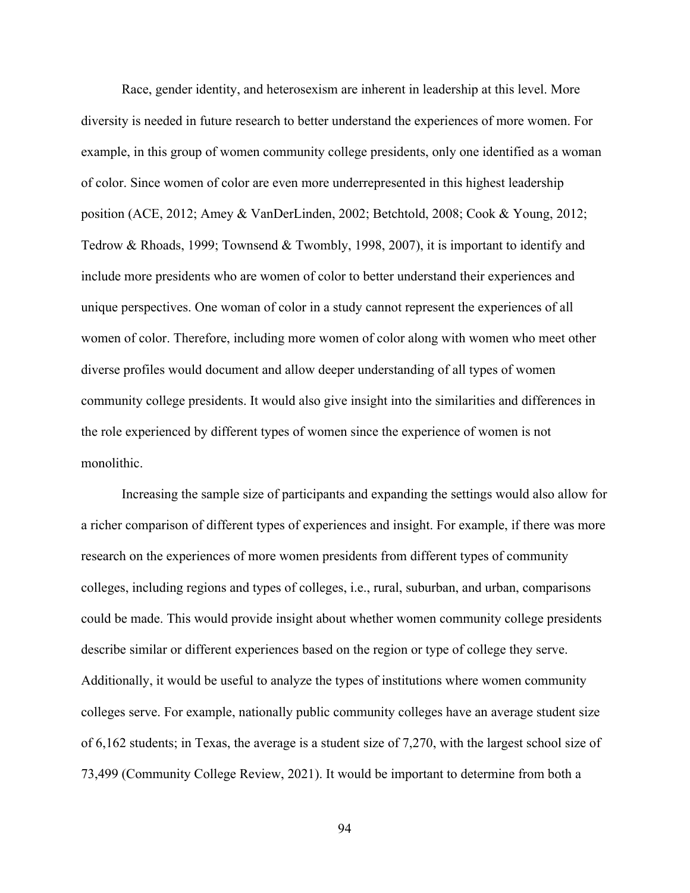Race, gender identity, and heterosexism are inherent in leadership at this level. More diversity is needed in future research to better understand the experiences of more women. For example, in this group of women community college presidents, only one identified as a woman of color. Since women of color are even more underrepresented in this highest leadership position (ACE, 2012; Amey & VanDerLinden, 2002; Betchtold, 2008; Cook & Young, 2012; Tedrow & Rhoads, 1999; Townsend & Twombly, 1998, 2007), it is important to identify and include more presidents who are women of color to better understand their experiences and unique perspectives. One woman of color in a study cannot represent the experiences of all women of color. Therefore, including more women of color along with women who meet other diverse profiles would document and allow deeper understanding of all types of women community college presidents. It would also give insight into the similarities and differences in the role experienced by different types of women since the experience of women is not monolithic.

Increasing the sample size of participants and expanding the settings would also allow for a richer comparison of different types of experiences and insight. For example, if there was more research on the experiences of more women presidents from different types of community colleges, including regions and types of colleges, i.e., rural, suburban, and urban, comparisons could be made. This would provide insight about whether women community college presidents describe similar or different experiences based on the region or type of college they serve. Additionally, it would be useful to analyze the types of institutions where women community colleges serve. For example, nationally public community colleges have an average student size of 6,162 students; in Texas, the average is a student size of 7,270, with the largest school size of 73,499 (Community College Review, 2021). It would be important to determine from both a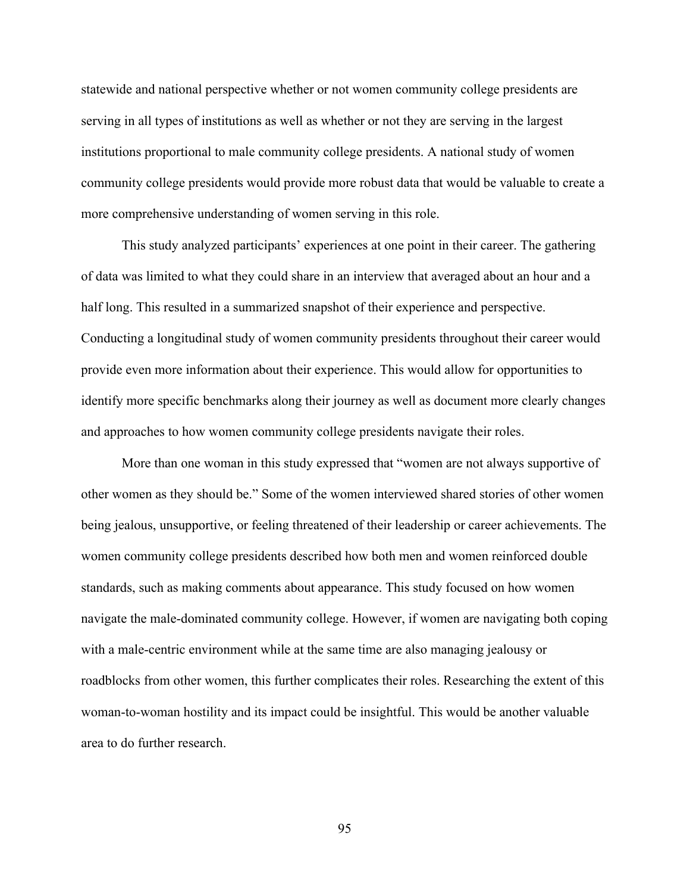statewide and national perspective whether or not women community college presidents are serving in all types of institutions as well as whether or not they are serving in the largest institutions proportional to male community college presidents. A national study of women community college presidents would provide more robust data that would be valuable to create a more comprehensive understanding of women serving in this role.

This study analyzed participants' experiences at one point in their career. The gathering of data was limited to what they could share in an interview that averaged about an hour and a half long. This resulted in a summarized snapshot of their experience and perspective. Conducting a longitudinal study of women community presidents throughout their career would provide even more information about their experience. This would allow for opportunities to identify more specific benchmarks along their journey as well as document more clearly changes and approaches to how women community college presidents navigate their roles.

More than one woman in this study expressed that "women are not always supportive of other women as they should be." Some of the women interviewed shared stories of other women being jealous, unsupportive, or feeling threatened of their leadership or career achievements. The women community college presidents described how both men and women reinforced double standards, such as making comments about appearance. This study focused on how women navigate the male-dominated community college. However, if women are navigating both coping with a male-centric environment while at the same time are also managing jealousy or roadblocks from other women, this further complicates their roles. Researching the extent of this woman-to-woman hostility and its impact could be insightful. This would be another valuable area to do further research.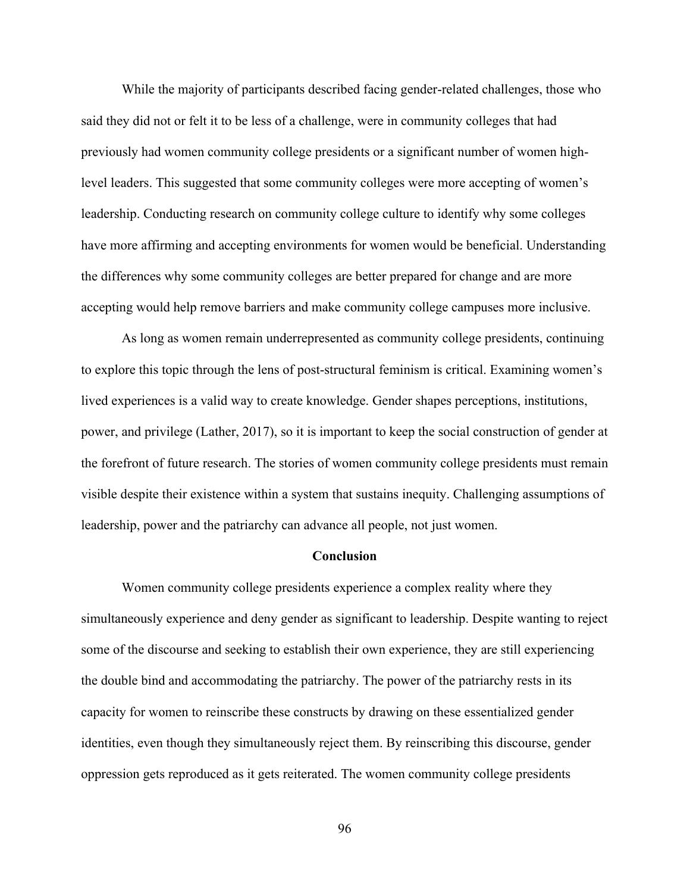While the majority of participants described facing gender-related challenges, those who said they did not or felt it to be less of a challenge, were in community colleges that had previously had women community college presidents or a significant number of women highlevel leaders. This suggested that some community colleges were more accepting of women's leadership. Conducting research on community college culture to identify why some colleges have more affirming and accepting environments for women would be beneficial. Understanding the differences why some community colleges are better prepared for change and are more accepting would help remove barriers and make community college campuses more inclusive.

As long as women remain underrepresented as community college presidents, continuing to explore this topic through the lens of post-structural feminism is critical. Examining women's lived experiences is a valid way to create knowledge. Gender shapes perceptions, institutions, power, and privilege (Lather, 2017), so it is important to keep the social construction of gender at the forefront of future research. The stories of women community college presidents must remain visible despite their existence within a system that sustains inequity. Challenging assumptions of leadership, power and the patriarchy can advance all people, not just women.

#### **Conclusion**

Women community college presidents experience a complex reality where they simultaneously experience and deny gender as significant to leadership. Despite wanting to reject some of the discourse and seeking to establish their own experience, they are still experiencing the double bind and accommodating the patriarchy. The power of the patriarchy rests in its capacity for women to reinscribe these constructs by drawing on these essentialized gender identities, even though they simultaneously reject them. By reinscribing this discourse, gender oppression gets reproduced as it gets reiterated. The women community college presidents

96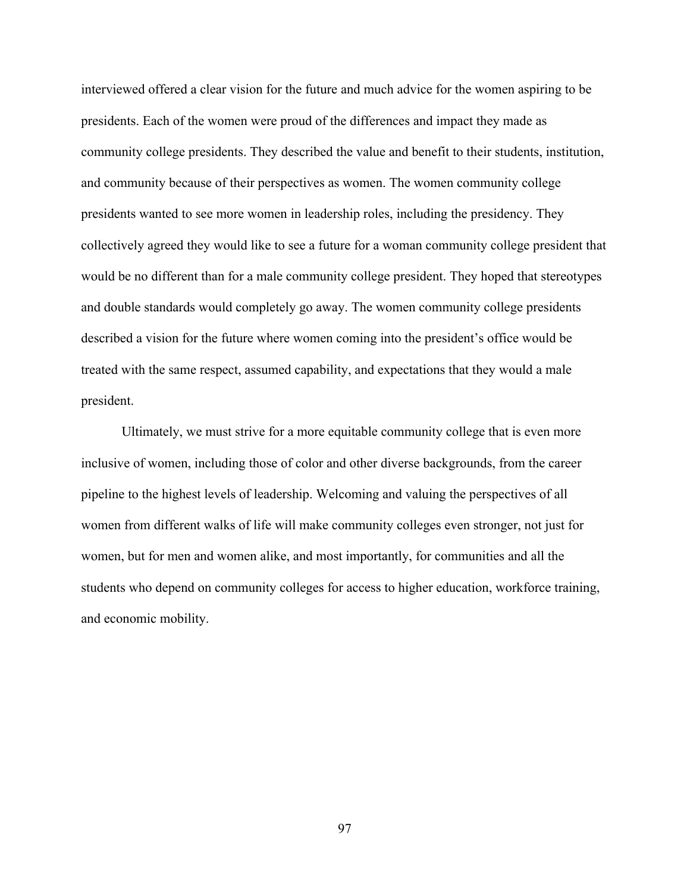interviewed offered a clear vision for the future and much advice for the women aspiring to be presidents. Each of the women were proud of the differences and impact they made as community college presidents. They described the value and benefit to their students, institution, and community because of their perspectives as women. The women community college presidents wanted to see more women in leadership roles, including the presidency. They collectively agreed they would like to see a future for a woman community college president that would be no different than for a male community college president. They hoped that stereotypes and double standards would completely go away. The women community college presidents described a vision for the future where women coming into the president's office would be treated with the same respect, assumed capability, and expectations that they would a male president.

Ultimately, we must strive for a more equitable community college that is even more inclusive of women, including those of color and other diverse backgrounds, from the career pipeline to the highest levels of leadership. Welcoming and valuing the perspectives of all women from different walks of life will make community colleges even stronger, not just for women, but for men and women alike, and most importantly, for communities and all the students who depend on community colleges for access to higher education, workforce training, and economic mobility.

97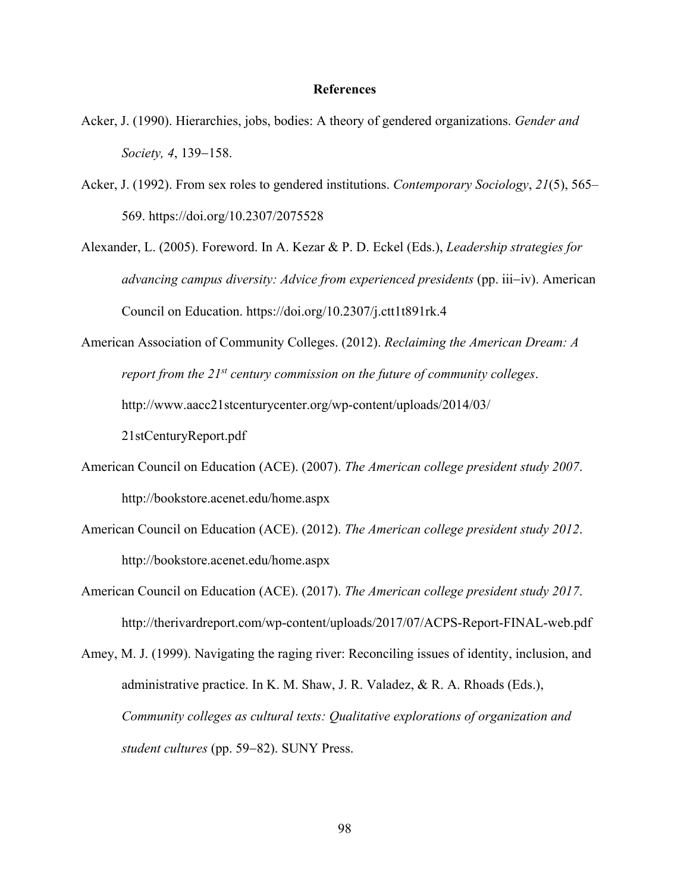#### **References**

- Acker, J. (1990). Hierarchies, jobs, bodies: A theory of gendered organizations. *Gender and Society, 4*, 139-158.
- Acker, J. (1992). From sex roles to gendered institutions. *Contemporary Sociology*, *21*(5), 565– 569. https://doi.org/10.2307/2075528
- Alexander, L. (2005). Foreword. In A. Kezar & P. D. Eckel (Eds.), *Leadership strategies for advancing campus diversity: Advice from experienced presidents* (pp. iii-iv). American Council on Education. https://doi.org/10.2307/j.ctt1t891rk.4
- American Association of Community Colleges. (2012). *Reclaiming the American Dream: A report from the 21st century commission on the future of community colleges*. http://www.aacc21stcenturycenter.org/wp-content/uploads/2014/03/

21stCenturyReport.pdf

- American Council on Education (ACE). (2007). *The American college president study 2007*. http://bookstore.acenet.edu/home.aspx
- American Council on Education (ACE). (2012). *The American college president study 2012*. http://bookstore.acenet.edu/home.aspx
- American Council on Education (ACE). (2017). *The American college president study 2017*. http://therivardreport.com/wp-content/uploads/2017/07/ACPS-Report-FINAL-web.pdf
- Amey, M. J. (1999). Navigating the raging river: Reconciling issues of identity, inclusion, and administrative practice. In K. M. Shaw, J. R. Valadez, & R. A. Rhoads (Eds.), *Community colleges as cultural texts: Qualitative explorations of organization and student cultures* (pp. 59-82). SUNY Press.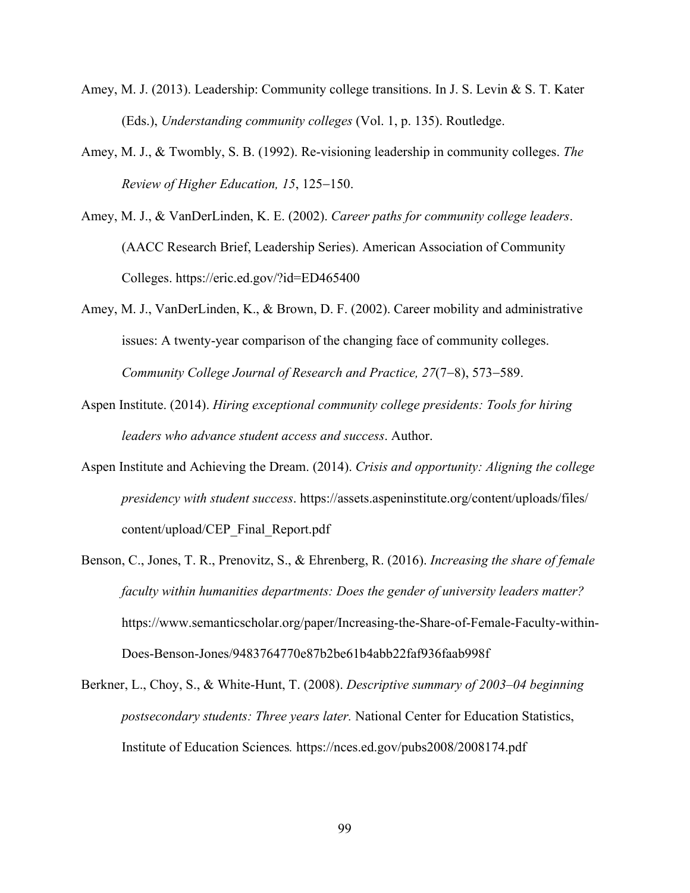- Amey, M. J. (2013). Leadership: Community college transitions. In J. S. Levin & S. T. Kater (Eds.), *Understanding community colleges* (Vol. 1, p. 135). Routledge.
- Amey, M. J., & Twombly, S. B. (1992). Re-visioning leadership in community colleges. *The Review of Higher Education, 15*, 125-150.
- Amey, M. J., & VanDerLinden, K. E. (2002). *Career paths for community college leaders*. (AACC Research Brief, Leadership Series). American Association of Community Colleges. https://eric.ed.gov/?id=ED465400
- Amey, M. J., VanDerLinden, K., & Brown, D. F. (2002). Career mobility and administrative issues: A twenty-year comparison of the changing face of community colleges. *Community College Journal of Research and Practice, 27*(7-8), 573-589.
- Aspen Institute. (2014). *Hiring exceptional community college presidents: Tools for hiring leaders who advance student access and success*. Author.
- Aspen Institute and Achieving the Dream. (2014). *Crisis and opportunity: Aligning the college presidency with student success*. https://assets.aspeninstitute.org/content/uploads/files/ content/upload/CEP\_Final\_Report.pdf
- Benson, C., Jones, T. R., Prenovitz, S., & Ehrenberg, R. (2016). *Increasing the share of female faculty within humanities departments: Does the gender of university leaders matter?* https://www.semanticscholar.org/paper/Increasing-the-Share-of-Female-Faculty-within-Does-Benson-Jones/9483764770e87b2be61b4abb22faf936faab998f
- Berkner, L., Choy, S., & White-Hunt, T. (2008). *Descriptive summary of 2003–04 beginning postsecondary students: Three years later.* National Center for Education Statistics, Institute of Education Sciences*.* https://nces.ed.gov/pubs2008/2008174.pdf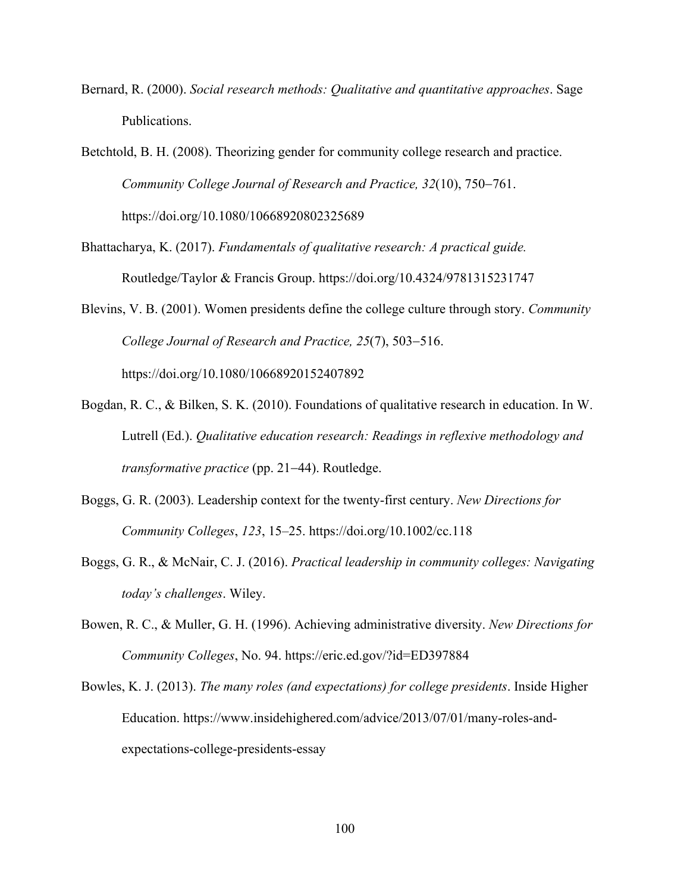Bernard, R. (2000). *Social research methods: Qualitative and quantitative approaches*. Sage Publications.

Betchtold, B. H. (2008). Theorizing gender for community college research and practice. *Community College Journal of Research and Practice, 32*(10), 750-761. https://doi.org/10.1080/10668920802325689

Bhattacharya, K. (2017). *Fundamentals of qualitative research: A practical guide.* Routledge/Taylor & Francis Group. https://doi.org/10.4324/9781315231747

- Blevins, V. B. (2001). Women presidents define the college culture through story. *Community College Journal of Research and Practice, 25*(7), 503-516. https://doi.org/10.1080/10668920152407892
- Bogdan, R. C., & Bilken, S. K. (2010). Foundations of qualitative research in education. In W. Lutrell (Ed.). *Qualitative education research: Readings in reflexive methodology and transformative practice* (pp. 21-44). Routledge.
- Boggs, G. R. (2003). Leadership context for the twenty-first century. *New Directions for Community Colleges*, *123*, 15–25. https://doi.org/10.1002/cc.118
- Boggs, G. R., & McNair, C. J. (2016). *Practical leadership in community colleges: Navigating today's challenges*. Wiley.
- Bowen, R. C., & Muller, G. H. (1996). Achieving administrative diversity. *New Directions for Community Colleges*, No. 94. https://eric.ed.gov/?id=ED397884
- Bowles, K. J. (2013). *The many roles (and expectations) for college presidents*. Inside Higher Education. https://www.insidehighered.com/advice/2013/07/01/many-roles-andexpectations-college-presidents-essay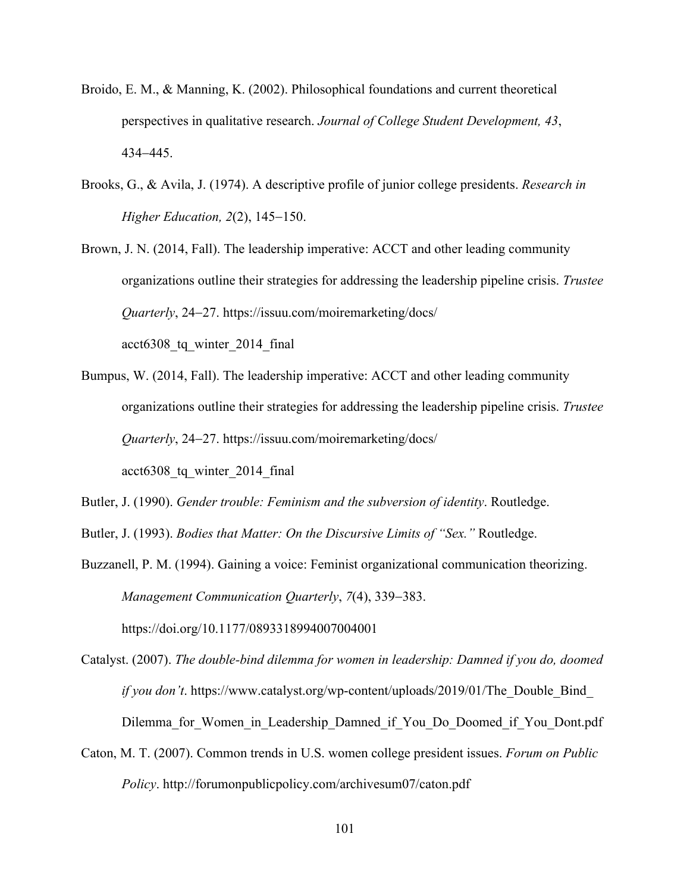- Broido, E. M., & Manning, K. (2002). Philosophical foundations and current theoretical perspectives in qualitative research. *Journal of College Student Development, 43*, 434-445.
- Brooks, G., & Avila, J. (1974). A descriptive profile of junior college presidents. *Research in Higher Education, 2*(2), 145-150.
- Brown, J. N. (2014, Fall). The leadership imperative: ACCT and other leading community organizations outline their strategies for addressing the leadership pipeline crisis. *Trustee Quarterly*, 24-27. https://issuu.com/moiremarketing/docs/ acct6308\_tq\_winter\_2014\_final
- Bumpus, W. (2014, Fall). The leadership imperative: ACCT and other leading community organizations outline their strategies for addressing the leadership pipeline crisis. *Trustee Quarterly*, 24-27. https://issuu.com/moiremarketing/docs/ acct6308\_tq\_winter\_2014\_final

Butler, J. (1990). *Gender trouble: Feminism and the subversion of identity*. Routledge.

Butler, J. (1993). *Bodies that Matter: On the Discursive Limits of "Sex."* Routledge.

https://doi.org/10.1177/0893318994007004001

Buzzanell, P. M. (1994). Gaining a voice: Feminist organizational communication theorizing. *Management Communication Quarterly*, *7*(4), 339-383.

Catalyst. (2007). *The double-bind dilemma for women in leadership: Damned if you do, doomed if you don't*. https://www.catalyst.org/wp-content/uploads/2019/01/The Double Bind Dilemma for Women in Leadership Damned if You Do Doomed if You Dont.pdf

Caton, M. T. (2007). Common trends in U.S. women college president issues. *Forum on Public Policy*. http://forumonpublicpolicy.com/archivesum07/caton.pdf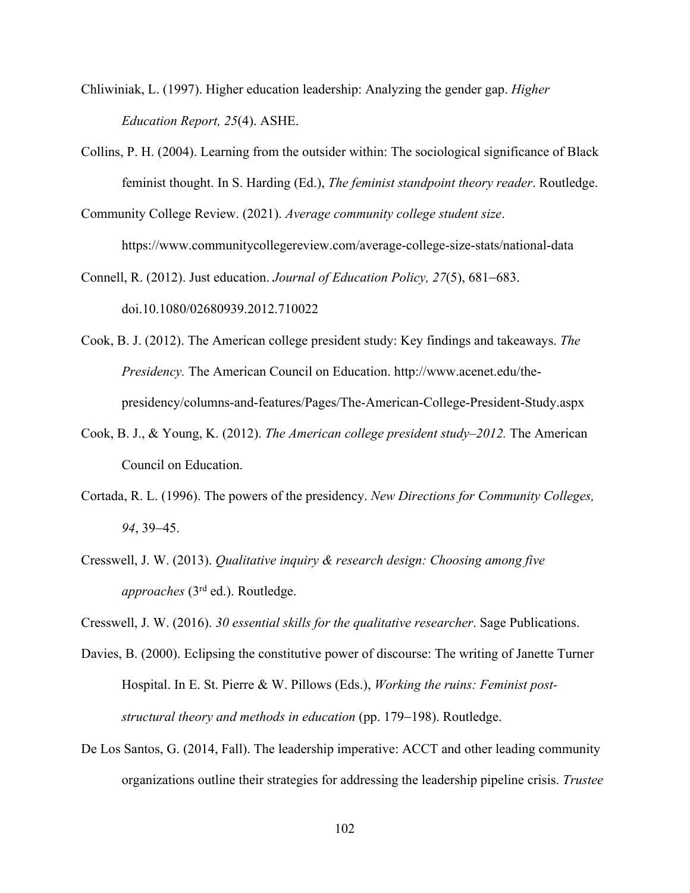- Chliwiniak, L. (1997). Higher education leadership: Analyzing the gender gap. *Higher Education Report, 25*(4). ASHE.
- Collins, P. H. (2004). Learning from the outsider within: The sociological significance of Black feminist thought. In S. Harding (Ed.), *The feminist standpoint theory reader*. Routledge.
- Community College Review. (2021). *Average community college student size*. https://www.communitycollegereview.com/average-college-size-stats/national-data
- Connell, R. (2012). Just education. *Journal of Education Policy, 27*(5), 681-683. doi.10.1080/02680939.2012.710022
- Cook, B. J. (2012). The American college president study: Key findings and takeaways. *The Presidency.* The American Council on Education. http://www.acenet.edu/thepresidency/columns-and-features/Pages/The-American-College-President-Study.aspx
- Cook, B. J., & Young, K. (2012). *The American college president study–2012.* The American Council on Education.
- Cortada, R. L. (1996). The powers of the presidency. *New Directions for Community Colleges, 94*, 39-45.
- Cresswell, J. W. (2013). *Qualitative inquiry & research design: Choosing among five approaches* (3rd ed.). Routledge.

Cresswell, J. W. (2016). *30 essential skills for the qualitative researcher*. Sage Publications.

- Davies, B. (2000). Eclipsing the constitutive power of discourse: The writing of Janette Turner Hospital. In E. St. Pierre & W. Pillows (Eds.), *Working the ruins: Feminist poststructural theory and methods in education* (pp. 179-198). Routledge.
- De Los Santos, G. (2014, Fall). The leadership imperative: ACCT and other leading community organizations outline their strategies for addressing the leadership pipeline crisis. *Trustee*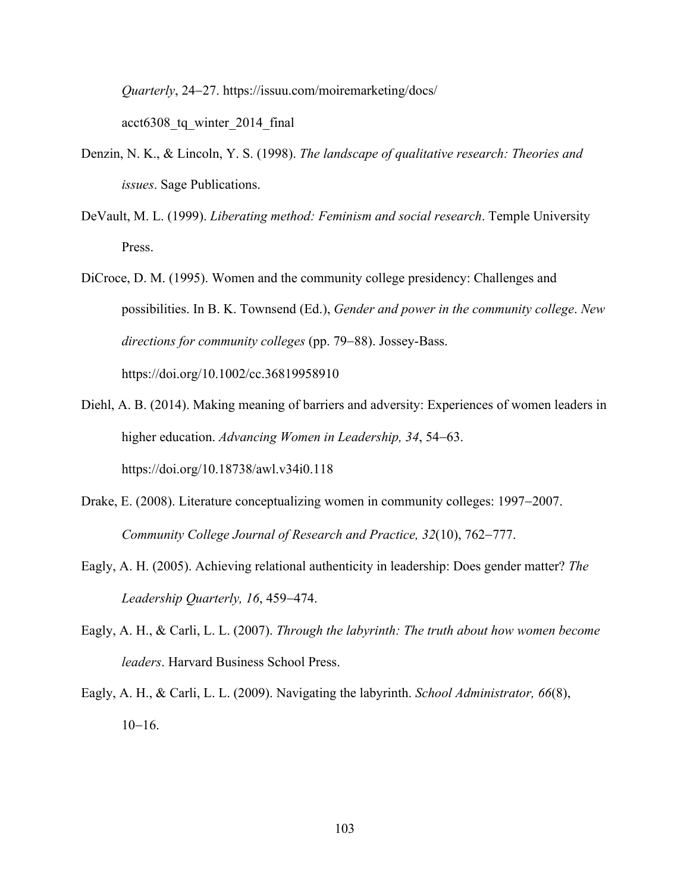*Quarterly*, 24-27. https://issuu.com/moiremarketing/docs/

acct6308\_tq\_winter\_2014\_final

- Denzin, N. K., & Lincoln, Y. S. (1998). *The landscape of qualitative research: Theories and issues*. Sage Publications.
- DeVault, M. L. (1999). *Liberating method: Feminism and social research*. Temple University Press.
- DiCroce, D. M. (1995). Women and the community college presidency: Challenges and possibilities. In B. K. Townsend (Ed.), *Gender and power in the community college*. *New directions for community colleges* (pp. 79-88). Jossey-Bass. https://doi.org/10.1002/cc.36819958910
- Diehl, A. B. (2014). Making meaning of barriers and adversity: Experiences of women leaders in higher education. *Advancing Women in Leadership, 34*, 54-63. https://doi.org/10.18738/awl.v34i0.118
- Drake, E. (2008). Literature conceptualizing women in community colleges: 1997-2007. *Community College Journal of Research and Practice, 32*(10), 762-777.
- Eagly, A. H. (2005). Achieving relational authenticity in leadership: Does gender matter? *The Leadership Quarterly, 16*, 459-474.
- Eagly, A. H., & Carli, L. L. (2007). *Through the labyrinth: The truth about how women become leaders*. Harvard Business School Press.
- Eagly, A. H., & Carli, L. L. (2009). Navigating the labyrinth. *School Administrator, 66*(8), 10-16.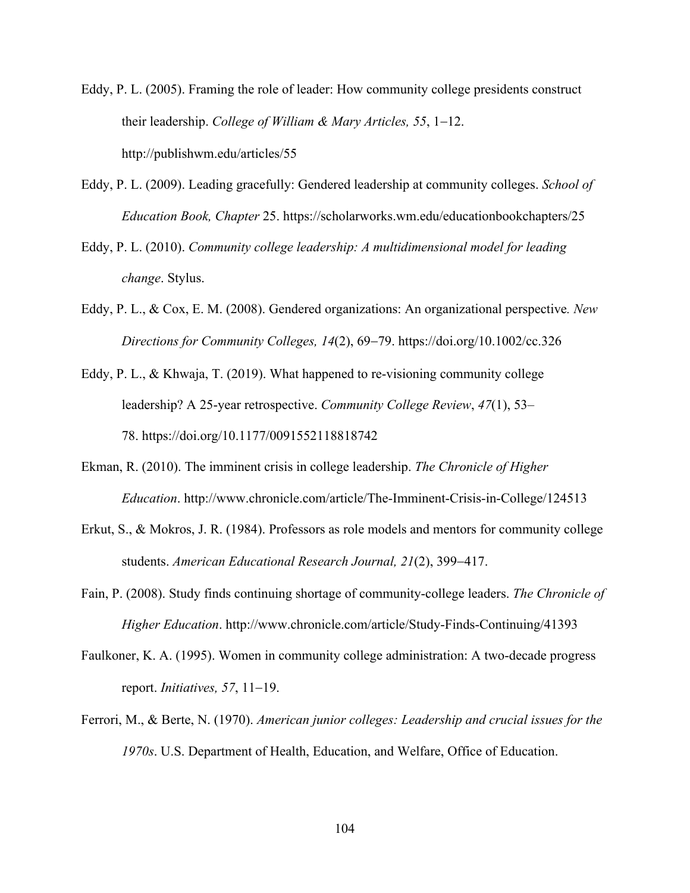- Eddy, P. L. (2005). Framing the role of leader: How community college presidents construct their leadership. *College of William & Mary Articles, 55*, 1-12. http://publishwm.edu/articles/55
- Eddy, P. L. (2009). Leading gracefully: Gendered leadership at community colleges. *School of Education Book, Chapter* 25. https://scholarworks.wm.edu/educationbookchapters/25
- Eddy, P. L. (2010). *Community college leadership: A multidimensional model for leading change*. Stylus.
- Eddy, P. L., & Cox, E. M. (2008). Gendered organizations: An organizational perspective*. New Directions for Community Colleges, 14*(2), 69-79. https://doi.org/10.1002/cc.326
- Eddy, P. L., & Khwaja, T. (2019). What happened to re-visioning community college leadership? A 25-year retrospective. *Community College Review*, *47*(1), 53– 78. https://doi.org/10.1177/0091552118818742
- Ekman, R. (2010). The imminent crisis in college leadership. *The Chronicle of Higher Education*. http://www.chronicle.com/article/The-Imminent-Crisis-in-College/124513
- Erkut, S., & Mokros, J. R. (1984). Professors as role models and mentors for community college students. *American Educational Research Journal, 21*(2), 399-417.
- Fain, P. (2008). Study finds continuing shortage of community-college leaders. *The Chronicle of Higher Education*. http://www.chronicle.com/article/Study-Finds-Continuing/41393
- Faulkoner, K. A. (1995). Women in community college administration: A two-decade progress report. *Initiatives, 57*, 11-19.
- Ferrori, M., & Berte, N. (1970). *American junior colleges: Leadership and crucial issues for the 1970s*. U.S. Department of Health, Education, and Welfare, Office of Education.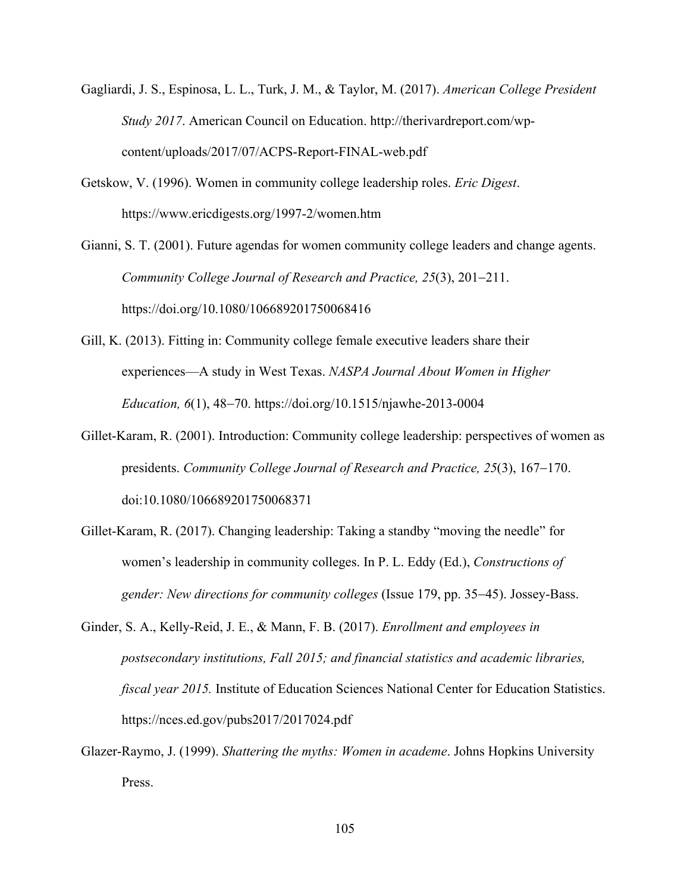- Gagliardi, J. S., Espinosa, L. L., Turk, J. M., & Taylor, M. (2017). *American College President Study 2017*. American Council on Education. http://therivardreport.com/wpcontent/uploads/2017/07/ACPS-Report-FINAL-web.pdf
- Getskow, V. (1996). Women in community college leadership roles. *Eric Digest*. https://www.ericdigests.org/1997-2/women.htm
- Gianni, S. T. (2001). Future agendas for women community college leaders and change agents. *Community College Journal of Research and Practice, 25*(3), 201-211. https://doi.org/10.1080/106689201750068416
- Gill, K. (2013). Fitting in: Community college female executive leaders share their experiences—A study in West Texas. *NASPA Journal About Women in Higher Education, 6*(1), 48-70. https://doi.org/10.1515/njawhe-2013-0004
- Gillet-Karam, R. (2001). Introduction: Community college leadership: perspectives of women as presidents. *Community College Journal of Research and Practice, 25*(3), 167-170. doi:10.1080/106689201750068371
- Gillet-Karam, R. (2017). Changing leadership: Taking a standby "moving the needle" for women's leadership in community colleges. In P. L. Eddy (Ed.), *Constructions of gender: New directions for community colleges* (Issue 179, pp. 35-45). Jossey-Bass.
- Ginder, S. A., Kelly-Reid, J. E., & Mann, F. B. (2017). *Enrollment and employees in postsecondary institutions, Fall 2015; and financial statistics and academic libraries, fiscal year 2015.* Institute of Education Sciences National Center for Education Statistics. https://nces.ed.gov/pubs2017/2017024.pdf
- Glazer-Raymo, J. (1999). *Shattering the myths: Women in academe*. Johns Hopkins University Press.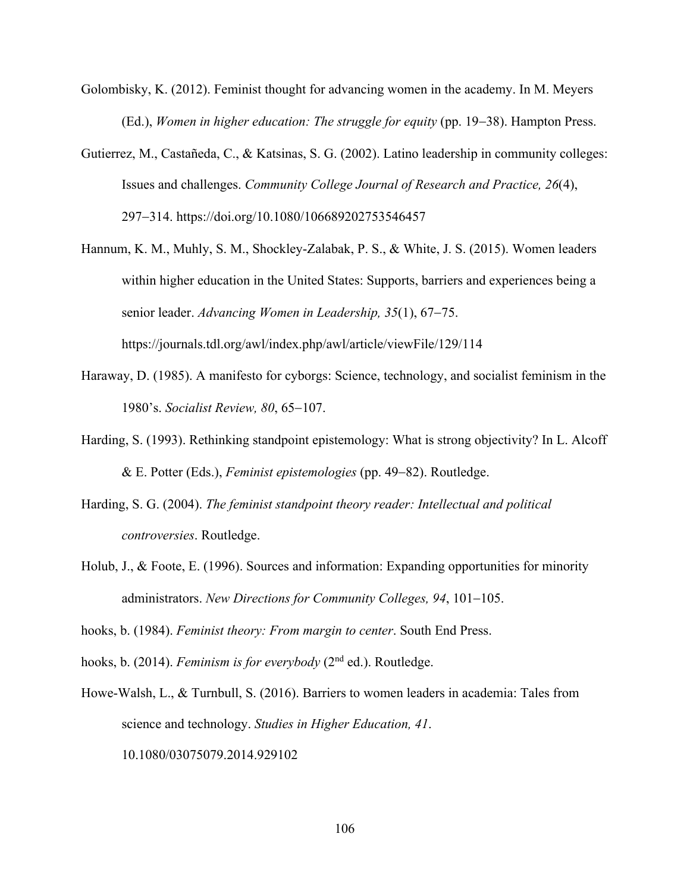- Golombisky, K. (2012). Feminist thought for advancing women in the academy. In M. Meyers (Ed.), *Women in higher education: The struggle for equity* (pp. 19-38). Hampton Press.
- Gutierrez, M., Castañeda, C., & Katsinas, S. G. (2002). Latino leadership in community colleges: Issues and challenges. *Community College Journal of Research and Practice, 26*(4), 297-314. https://doi.org/10.1080/106689202753546457
- Hannum, K. M., Muhly, S. M., Shockley-Zalabak, P. S., & White, J. S. (2015). Women leaders within higher education in the United States: Supports, barriers and experiences being a senior leader. *Advancing Women in Leadership, 35*(1), 67-75. https://journals.tdl.org/awl/index.php/awl/article/viewFile/129/114
- Haraway, D. (1985). A manifesto for cyborgs: Science, technology, and socialist feminism in the 1980's. *Socialist Review, 80*, 65-107.
- Harding, S. (1993). Rethinking standpoint epistemology: What is strong objectivity? In L. Alcoff & E. Potter (Eds.), *Feminist epistemologies* (pp. 49-82). Routledge.
- Harding, S. G. (2004). *The feminist standpoint theory reader: Intellectual and political controversies*. Routledge.
- Holub, J., & Foote, E. (1996). Sources and information: Expanding opportunities for minority administrators. *New Directions for Community Colleges, 94*, 101-105.
- hooks, b. (1984). *Feminist theory: From margin to center*. South End Press.
- hooks, b. (2014). *Feminism is for everybody* (2nd ed.). Routledge.
- Howe-Walsh, L., & Turnbull, S. (2016). Barriers to women leaders in academia: Tales from science and technology. *Studies in Higher Education, 41*. 10.1080/03075079.2014.929102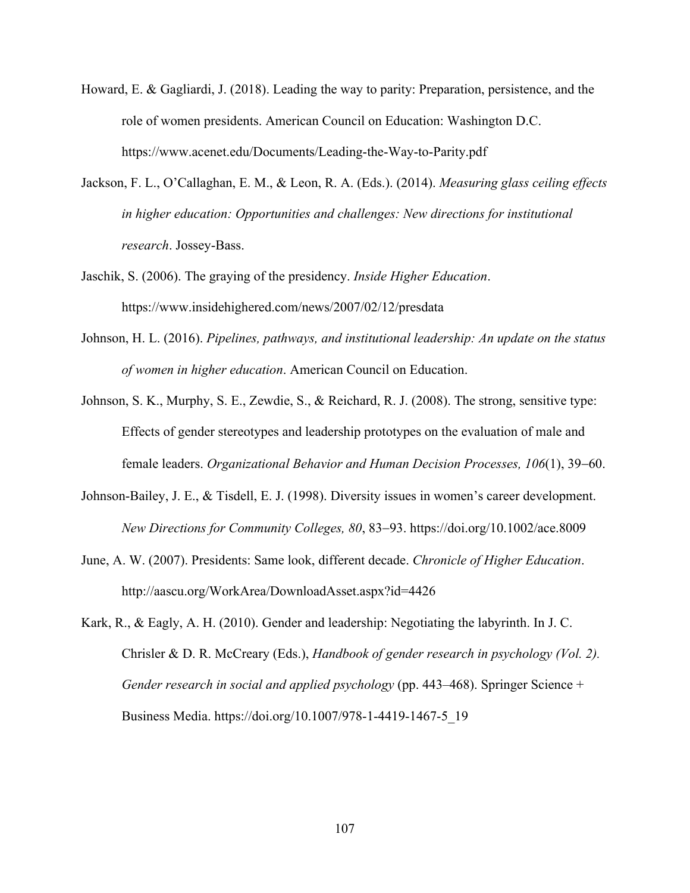- Howard, E. & Gagliardi, J. (2018). Leading the way to parity: Preparation, persistence, and the role of women presidents. American Council on Education: Washington D.C. https://www.acenet.edu/Documents/Leading-the-Way-to-Parity.pdf
- Jackson, F. L., O'Callaghan, E. M., & Leon, R. A. (Eds.). (2014). *Measuring glass ceiling effects in higher education: Opportunities and challenges: New directions for institutional research*. Jossey-Bass.
- Jaschik, S. (2006). The graying of the presidency. *Inside Higher Education*. https://www.insidehighered.com/news/2007/02/12/presdata
- Johnson, H. L. (2016). *Pipelines, pathways, and institutional leadership: An update on the status of women in higher education*. American Council on Education.
- Johnson, S. K., Murphy, S. E., Zewdie, S., & Reichard, R. J. (2008). The strong, sensitive type: Effects of gender stereotypes and leadership prototypes on the evaluation of male and female leaders. *Organizational Behavior and Human Decision Processes, 106*(1), 39-60.
- Johnson-Bailey, J. E., & Tisdell, E. J. (1998). Diversity issues in women's career development. *New Directions for Community Colleges, 80*, 83-93. https://doi.org/10.1002/ace.8009
- June, A. W. (2007). Presidents: Same look, different decade. *Chronicle of Higher Education*. http://aascu.org/WorkArea/DownloadAsset.aspx?id=4426
- Kark, R., & Eagly, A. H. (2010). Gender and leadership: Negotiating the labyrinth. In J. C. Chrisler & D. R. McCreary (Eds.), *Handbook of gender research in psychology (Vol. 2). Gender research in social and applied psychology* (pp. 443–468). Springer Science + Business Media. https://doi.org/10.1007/978-1-4419-1467-5\_19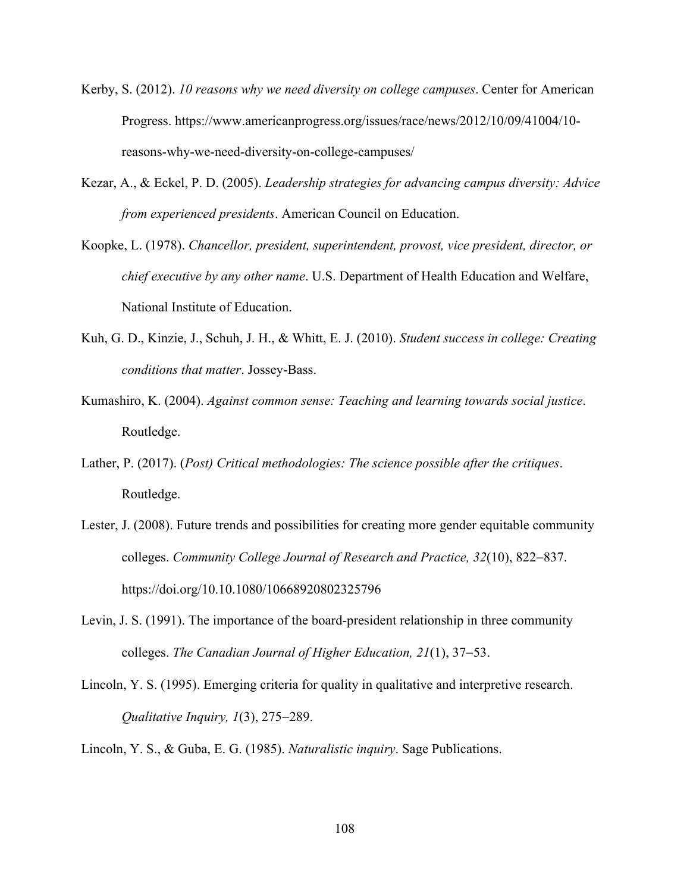- Kerby, S. (2012). *10 reasons why we need diversity on college campuses*. Center for American Progress. https://www.americanprogress.org/issues/race/news/2012/10/09/41004/10 reasons-why-we-need-diversity-on-college-campuses/
- Kezar, A., & Eckel, P. D. (2005). *Leadership strategies for advancing campus diversity: Advice from experienced presidents*. American Council on Education.
- Koopke, L. (1978). *Chancellor, president, superintendent, provost, vice president, director, or chief executive by any other name*. U.S. Department of Health Education and Welfare, National Institute of Education.
- Kuh, G. D., Kinzie, J., Schuh, J. H., & Whitt, E. J. (2010). *Student success in college: Creating conditions that matter*. Jossey-Bass.
- Kumashiro, K. (2004). *Against common sense: Teaching and learning towards social justice*. Routledge.
- Lather, P. (2017). (*Post) Critical methodologies: The science possible after the critiques*. Routledge.
- Lester, J. (2008). Future trends and possibilities for creating more gender equitable community colleges. *Community College Journal of Research and Practice, 32*(10), 822-837. https://doi.org/10.10.1080/10668920802325796
- Levin, J. S. (1991). The importance of the board-president relationship in three community colleges. *The Canadian Journal of Higher Education, 21*(1), 37-53.
- Lincoln, Y. S. (1995). Emerging criteria for quality in qualitative and interpretive research. *Qualitative Inquiry, 1*(3), 275-289.

Lincoln, Y. S., & Guba, E. G. (1985). *Naturalistic inquiry*. Sage Publications.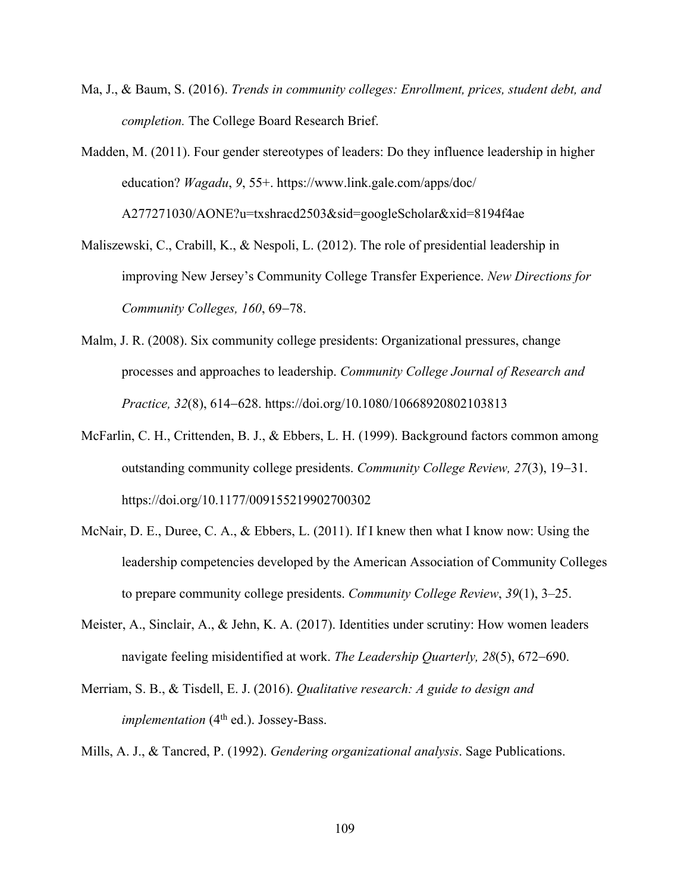- Ma, J., & Baum, S. (2016). *Trends in community colleges: Enrollment, prices, student debt, and completion.* The College Board Research Brief.
- Madden, M. (2011). Four gender stereotypes of leaders: Do they influence leadership in higher education? *Wagadu*, *9*, 55+. https://www.link.gale.com/apps/doc/ A277271030/AONE?u=txshracd2503&sid=googleScholar&xid=8194f4ae
- Maliszewski, C., Crabill, K., & Nespoli, L. (2012). The role of presidential leadership in improving New Jersey's Community College Transfer Experience. *New Directions for Community Colleges, 160*, 69-78.
- Malm, J. R. (2008). Six community college presidents: Organizational pressures, change processes and approaches to leadership. *Community College Journal of Research and Practice, 32*(8), 614-628. https://doi.org/10.1080/10668920802103813
- McFarlin, C. H., Crittenden, B. J., & Ebbers, L. H. (1999). Background factors common among outstanding community college presidents. *Community College Review, 27*(3), 19-31. https://doi.org/10.1177/009155219902700302
- McNair, D. E., Duree, C. A., & Ebbers, L. (2011). If I knew then what I know now: Using the leadership competencies developed by the American Association of Community Colleges to prepare community college presidents. *Community College Review*, *39*(1), 3–25.
- Meister, A., Sinclair, A., & Jehn, K. A. (2017). Identities under scrutiny: How women leaders navigate feeling misidentified at work. *The Leadership Quarterly, 28*(5), 672-690.
- Merriam, S. B., & Tisdell, E. J. (2016). *Qualitative research: A guide to design and implementation* (4<sup>th</sup> ed.). Jossey-Bass.

Mills, A. J., & Tancred, P. (1992). *Gendering organizational analysis*. Sage Publications.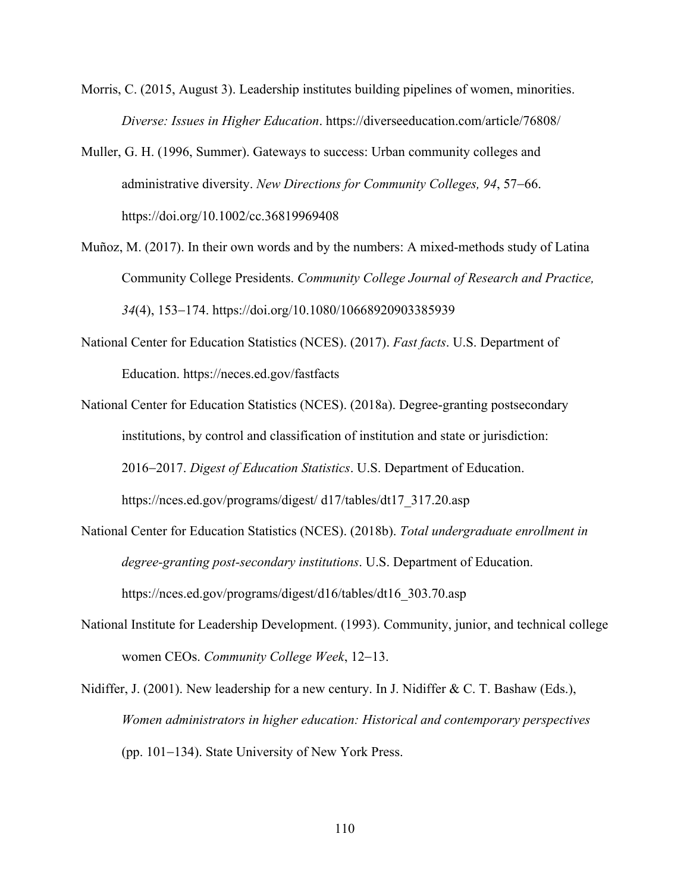- Morris, C. (2015, August 3). Leadership institutes building pipelines of women, minorities. *Diverse: Issues in Higher Education*. https://diverseeducation.com/article/76808/
- Muller, G. H. (1996, Summer). Gateways to success: Urban community colleges and administrative diversity. *New Directions for Community Colleges, 94*, 57-66. https://doi.org/10.1002/cc.36819969408
- Muñoz, M. (2017). In their own words and by the numbers: A mixed-methods study of Latina Community College Presidents. *Community College Journal of Research and Practice, 34*(4), 153-174. https://doi.org/10.1080/10668920903385939
- National Center for Education Statistics (NCES). (2017). *Fast facts*. U.S. Department of Education. https://neces.ed.gov/fastfacts
- National Center for Education Statistics (NCES). (2018a). Degree-granting postsecondary institutions, by control and classification of institution and state or jurisdiction: 2016-2017. *Digest of Education Statistics*. U.S. Department of Education. https://nces.ed.gov/programs/digest/ d17/tables/dt17\_317.20.asp
- National Center for Education Statistics (NCES). (2018b). *Total undergraduate enrollment in degree-granting post-secondary institutions*. U.S. Department of Education. https://nces.ed.gov/programs/digest/d16/tables/dt16\_303.70.asp
- National Institute for Leadership Development. (1993). Community, junior, and technical college women CEOs. *Community College Week*, 12-13.
- Nidiffer, J. (2001). New leadership for a new century. In J. Nidiffer & C. T. Bashaw (Eds.), *Women administrators in higher education: Historical and contemporary perspectives* (pp. 101-134). State University of New York Press.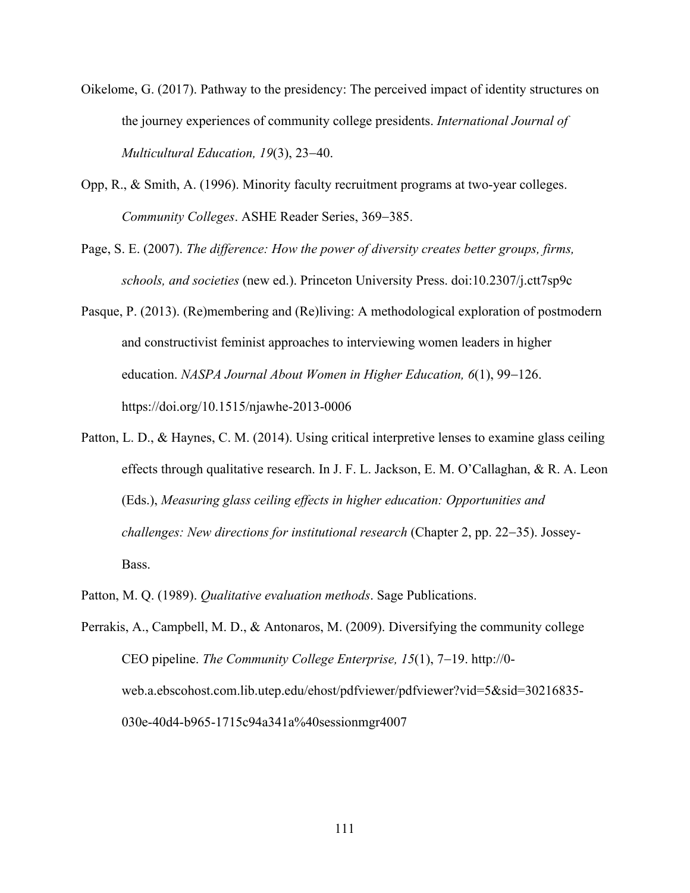- Oikelome, G. (2017). Pathway to the presidency: The perceived impact of identity structures on the journey experiences of community college presidents. *International Journal of Multicultural Education, 19*(3), 23-40.
- Opp, R., & Smith, A. (1996). Minority faculty recruitment programs at two-year colleges. *Community Colleges*. ASHE Reader Series, 369-385.
- Page, S. E. (2007). *The difference: How the power of diversity creates better groups, firms, schools, and societies* (new ed.). Princeton University Press. doi:10.2307/j.ctt7sp9c
- Pasque, P. (2013). (Re)membering and (Re)living: A methodological exploration of postmodern and constructivist feminist approaches to interviewing women leaders in higher education. *NASPA Journal About Women in Higher Education, 6*(1), 99-126. https://doi.org/10.1515/njawhe-2013-0006
- Patton, L. D., & Haynes, C. M. (2014). Using critical interpretive lenses to examine glass ceiling effects through qualitative research. In J. F. L. Jackson, E. M. O'Callaghan, & R. A. Leon (Eds.), *Measuring glass ceiling effects in higher education: Opportunities and challenges: New directions for institutional research* (Chapter 2, pp. 22-35). Jossey-Bass.
- Patton, M. Q. (1989). *Qualitative evaluation methods*. Sage Publications.
- Perrakis, A., Campbell, M. D., & Antonaros, M. (2009). Diversifying the community college CEO pipeline. *The Community College Enterprise, 15*(1), 7-19. http://0 web.a.ebscohost.com.lib.utep.edu/ehost/pdfviewer/pdfviewer?vid=5&sid=30216835- 030e-40d4-b965-1715c94a341a%40sessionmgr4007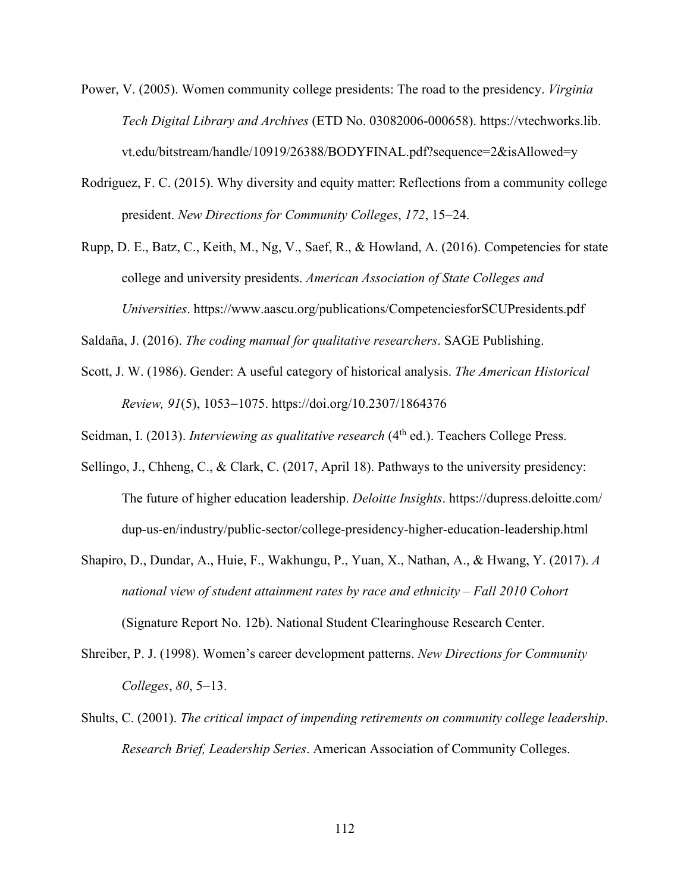- Power, V. (2005). Women community college presidents: The road to the presidency. *Virginia Tech Digital Library and Archives* (ETD No. 03082006-000658). https://vtechworks.lib. vt.edu/bitstream/handle/10919/26388/BODYFINAL.pdf?sequence=2&isAllowed=y
- Rodriguez, F. C. (2015). Why diversity and equity matter: Reflections from a community college president. *New Directions for Community Colleges*, *172*, 15-24.
- Rupp, D. E., Batz, C., Keith, M., Ng, V., Saef, R., & Howland, A. (2016). Competencies for state college and university presidents. *American Association of State Colleges and Universities*. https://www.aascu.org/publications/CompetenciesforSCUPresidents.pdf

Saldaña, J. (2016). *The coding manual for qualitative researchers*. SAGE Publishing.

Scott, J. W. (1986). Gender: A useful category of historical analysis. *The American Historical Review, 91*(5), 1053-1075. https://doi.org/10.2307/1864376

Seidman, I. (2013). *Interviewing as qualitative research* (4<sup>th</sup> ed.). Teachers College Press.

- Sellingo, J., Chheng, C., & Clark, C. (2017, April 18). Pathways to the university presidency: The future of higher education leadership. *Deloitte Insights*. https://dupress.deloitte.com/ dup-us-en/industry/public-sector/college-presidency-higher-education-leadership.html
- Shapiro, D., Dundar, A., Huie, F., Wakhungu, P., Yuan, X., Nathan, A., & Hwang, Y. (2017). *A national view of student attainment rates by race and ethnicity – Fall 2010 Cohort*  (Signature Report No. 12b). National Student Clearinghouse Research Center.
- Shreiber, P. J. (1998). Women's career development patterns. *New Directions for Community Colleges*, *80*, 5-13.
- Shults, C. (2001). *The critical impact of impending retirements on community college leadership*. *Research Brief, Leadership Series*. American Association of Community Colleges.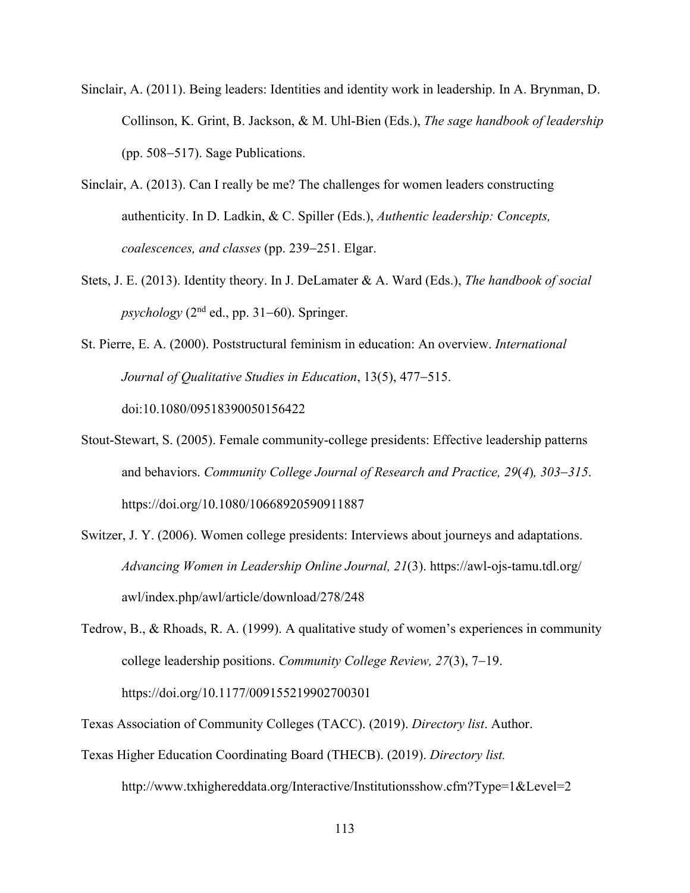- Sinclair, A. (2011). Being leaders: Identities and identity work in leadership. In A. Brynman, D. Collinson, K. Grint, B. Jackson, & M. Uhl-Bien (Eds.), *The sage handbook of leadership* (pp. 508-517). Sage Publications.
- Sinclair, A. (2013). Can I really be me? The challenges for women leaders constructing authenticity. In D. Ladkin, & C. Spiller (Eds.), *Authentic leadership: Concepts, coalescences, and classes* (pp. 239-251. Elgar.
- Stets, J. E. (2013). Identity theory. In J. DeLamater & A. Ward (Eds.), *The handbook of social*   $p$ *sychology* ( $2<sup>nd</sup>$  ed., pp. 31–60). Springer.
- St. Pierre, E. A. (2000). Poststructural feminism in education: An overview. *International Journal of Qualitative Studies in Education*, 13(5), 477-515. doi:10.1080/09518390050156422
- Stout-Stewart, S. (2005). Female community-college presidents: Effective leadership patterns and behaviors. *Community College Journal of Research and Practice, 29*(*4*)*, 303*-*315*.

https://doi.org/10.1080/10668920590911887

- Switzer, J. Y. (2006). Women college presidents: Interviews about journeys and adaptations. *Advancing Women in Leadership Online Journal, 21*(3). https://awl-ojs-tamu.tdl.org/ awl/index.php/awl/article/download/278/248
- Tedrow, B., & Rhoads, R. A. (1999). A qualitative study of women's experiences in community college leadership positions. *Community College Review, 27*(3), 7-19. https://doi.org/10.1177/009155219902700301
- Texas Association of Community Colleges (TACC). (2019). *Directory list*. Author.
- Texas Higher Education Coordinating Board (THECB). (2019). *Directory list.*  http://www.txhighereddata.org/Interactive/Institutionsshow.cfm?Type=1&Level=2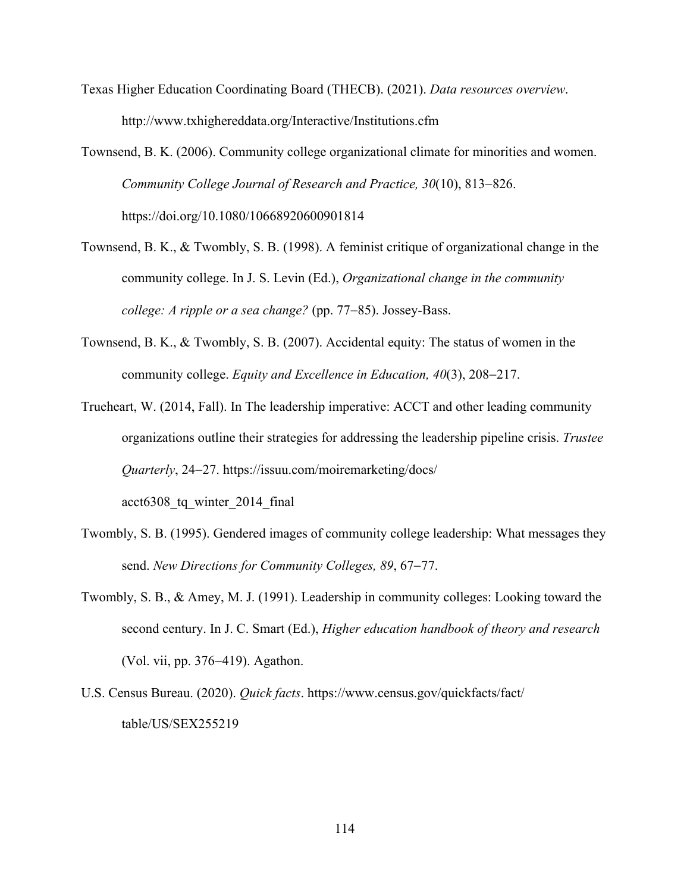Texas Higher Education Coordinating Board (THECB). (2021). *Data resources overview*. http://www.txhighereddata.org/Interactive/Institutions.cfm

Townsend, B. K. (2006). Community college organizational climate for minorities and women. *Community College Journal of Research and Practice, 30*(10), 813-826. https://doi.org/10.1080/10668920600901814

- Townsend, B. K., & Twombly, S. B. (1998). A feminist critique of organizational change in the community college. In J. S. Levin (Ed.), *Organizational change in the community college: A ripple or a sea change?* (pp. 77-85). Jossey-Bass.
- Townsend, B. K., & Twombly, S. B. (2007). Accidental equity: The status of women in the community college. *Equity and Excellence in Education, 40*(3), 208-217.
- Trueheart, W. (2014, Fall). In The leadership imperative: ACCT and other leading community organizations outline their strategies for addressing the leadership pipeline crisis. *Trustee Quarterly*, 24-27. https://issuu.com/moiremarketing/docs/ acct6308\_tq\_winter\_2014\_final
- Twombly, S. B. (1995). Gendered images of community college leadership: What messages they send. *New Directions for Community Colleges, 89*, 67-77.
- Twombly, S. B., & Amey, M. J. (1991). Leadership in community colleges: Looking toward the second century. In J. C. Smart (Ed.), *Higher education handbook of theory and research* (Vol. vii, pp. 376-419). Agathon.
- U.S. Census Bureau. (2020). *Quick facts*. https://www.census.gov/quickfacts/fact/ table/US/SEX255219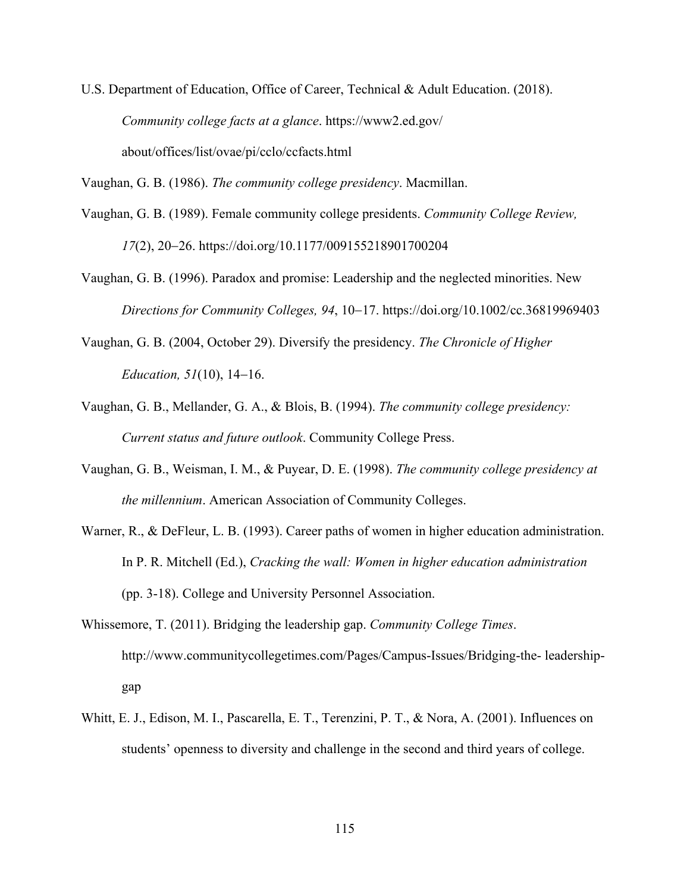U.S. Department of Education, Office of Career, Technical & Adult Education. (2018). *Community college facts at a glance*. https://www2.ed.gov/ about/offices/list/ovae/pi/cclo/ccfacts.html

Vaughan, G. B. (1986). *The community college presidency*. Macmillan.

- Vaughan, G. B. (1989). Female community college presidents. *Community College Review, 17*(2), 20-26. https://doi.org/10.1177/009155218901700204
- Vaughan, G. B. (1996). Paradox and promise: Leadership and the neglected minorities. New *Directions for Community Colleges, 94*, 10-17. https://doi.org/10.1002/cc.36819969403
- Vaughan, G. B. (2004, October 29). Diversify the presidency. *The Chronicle of Higher Education, 51*(10), 14-16.
- Vaughan, G. B., Mellander, G. A., & Blois, B. (1994). *The community college presidency: Current status and future outlook*. Community College Press.
- Vaughan, G. B., Weisman, I. M., & Puyear, D. E. (1998). *The community college presidency at the millennium*. American Association of Community Colleges.
- Warner, R., & DeFleur, L. B. (1993). Career paths of women in higher education administration. In P. R. Mitchell (Ed.), *Cracking the wall: Women in higher education administration* (pp. 3-18). College and University Personnel Association.
- Whissemore, T. (2011). Bridging the leadership gap. *Community College Times*. http://www.communitycollegetimes.com/Pages/Campus-Issues/Bridging-the- leadershipgap
- Whitt, E. J., Edison, M. I., Pascarella, E. T., Terenzini, P. T., & Nora, A. (2001). Influences on students' openness to diversity and challenge in the second and third years of college.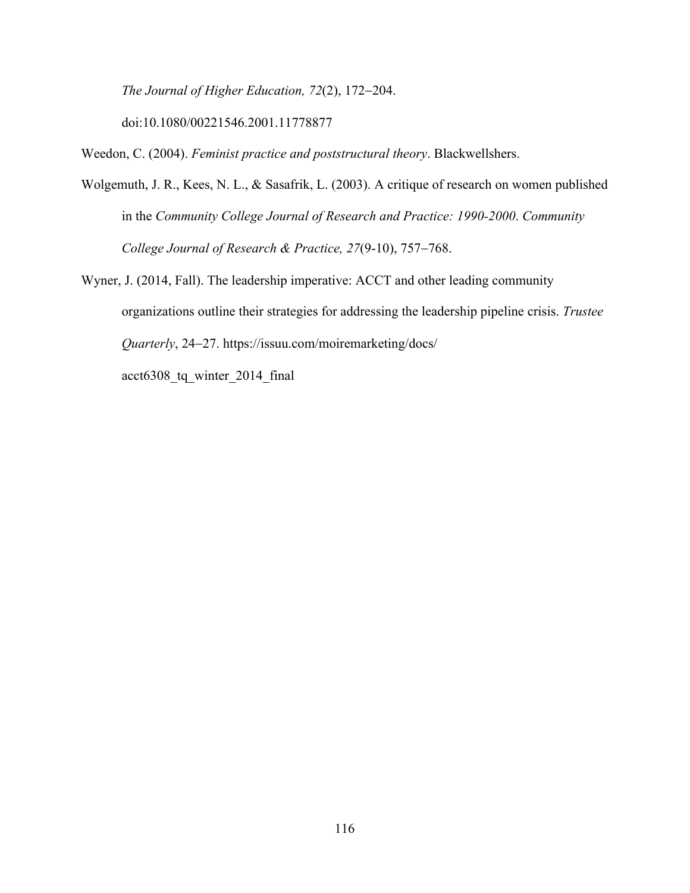*The Journal of Higher Education, 72*(2), 172-204.

doi:10.1080/00221546.2001.11778877

Weedon, C. (2004). *Feminist practice and poststructural theory*. Blackwellshers.

Wolgemuth, J. R., Kees, N. L., & Sasafrik, L. (2003). A critique of research on women published in the *Community College Journal of Research and Practice: 1990-2000*. *Community College Journal of Research & Practice, 27*(9-10), 757-768.

Wyner, J. (2014, Fall). The leadership imperative: ACCT and other leading community organizations outline their strategies for addressing the leadership pipeline crisis. *Trustee Quarterly*, 24-27. https://issuu.com/moiremarketing/docs/ acct6308\_tq\_winter\_2014\_final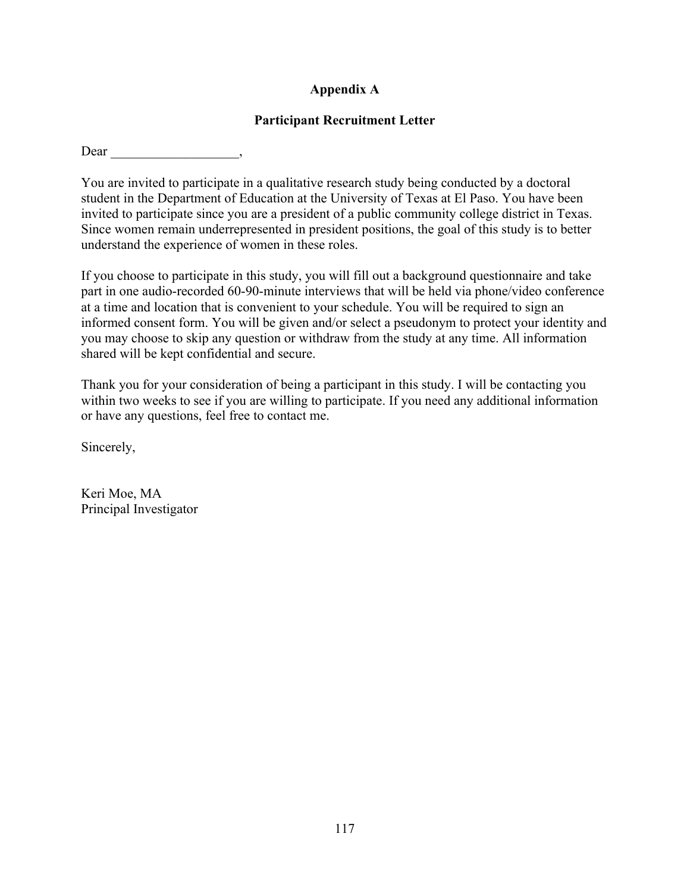# **Appendix A**

### **Participant Recruitment Letter**

Dear

You are invited to participate in a qualitative research study being conducted by a doctoral student in the Department of Education at the University of Texas at El Paso. You have been invited to participate since you are a president of a public community college district in Texas. Since women remain underrepresented in president positions, the goal of this study is to better understand the experience of women in these roles.

If you choose to participate in this study, you will fill out a background questionnaire and take part in one audio-recorded 60-90-minute interviews that will be held via phone/video conference at a time and location that is convenient to your schedule. You will be required to sign an informed consent form. You will be given and/or select a pseudonym to protect your identity and you may choose to skip any question or withdraw from the study at any time. All information shared will be kept confidential and secure.

Thank you for your consideration of being a participant in this study. I will be contacting you within two weeks to see if you are willing to participate. If you need any additional information or have any questions, feel free to contact me.

Sincerely,

Keri Moe, MA Principal Investigator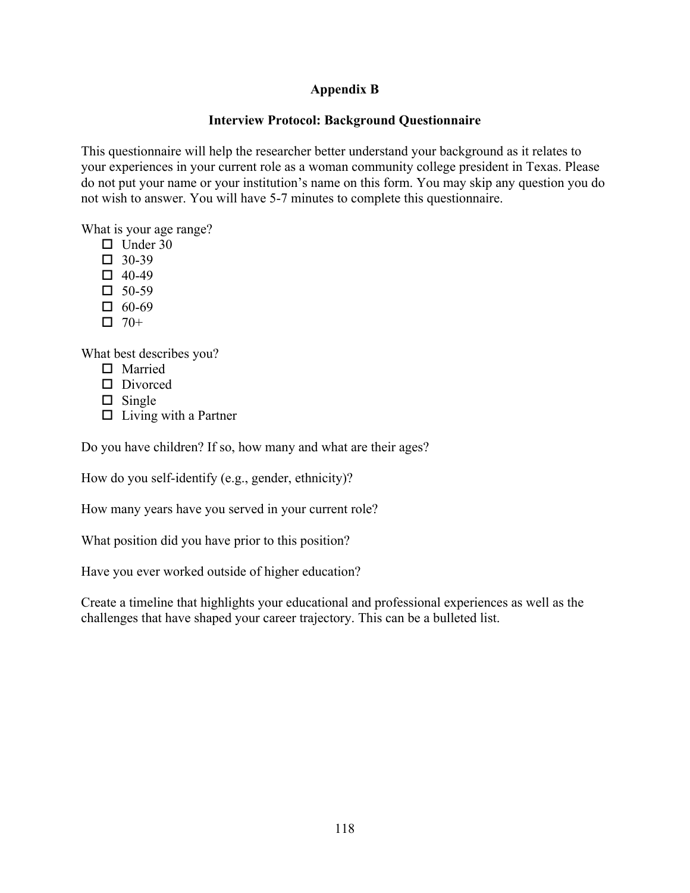# **Appendix B**

## **Interview Protocol: Background Questionnaire**

This questionnaire will help the researcher better understand your background as it relates to your experiences in your current role as a woman community college president in Texas. Please do not put your name or your institution's name on this form. You may skip any question you do not wish to answer. You will have 5-7 minutes to complete this questionnaire.

What is your age range?

- $\Box$  Under 30
- $\Box$  30-39
- $\Box$  40-49
- $\Box$  50-59
- $\Box$  60-69
- $\Box$  70+

What best describes you?

- $\square$  Married
- $\square$  Divorced
- $\square$  Single
- $\Box$  Living with a Partner

Do you have children? If so, how many and what are their ages?

How do you self-identify (e.g., gender, ethnicity)?

How many years have you served in your current role?

What position did you have prior to this position?

Have you ever worked outside of higher education?

Create a timeline that highlights your educational and professional experiences as well as the challenges that have shaped your career trajectory. This can be a bulleted list.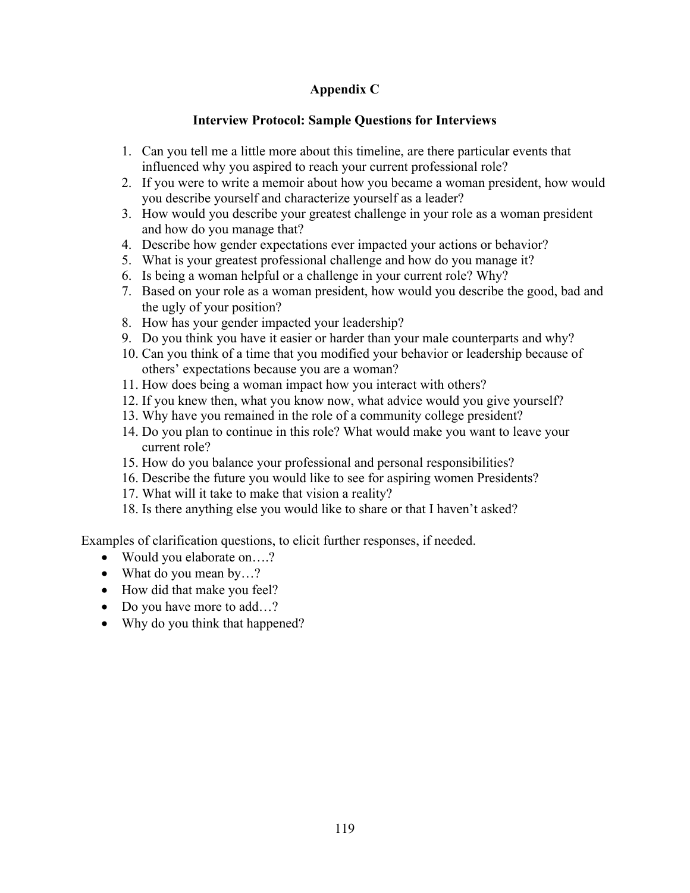# **Appendix C**

## **Interview Protocol: Sample Questions for Interviews**

- 1. Can you tell me a little more about this timeline, are there particular events that influenced why you aspired to reach your current professional role?
- 2. If you were to write a memoir about how you became a woman president, how would you describe yourself and characterize yourself as a leader?
- 3. How would you describe your greatest challenge in your role as a woman president and how do you manage that?
- 4. Describe how gender expectations ever impacted your actions or behavior?
- 5. What is your greatest professional challenge and how do you manage it?
- 6. Is being a woman helpful or a challenge in your current role? Why?
- 7. Based on your role as a woman president, how would you describe the good, bad and the ugly of your position?
- 8. How has your gender impacted your leadership?
- 9. Do you think you have it easier or harder than your male counterparts and why?
- 10. Can you think of a time that you modified your behavior or leadership because of others' expectations because you are a woman?
- 11. How does being a woman impact how you interact with others?
- 12. If you knew then, what you know now, what advice would you give yourself?
- 13. Why have you remained in the role of a community college president?
- 14. Do you plan to continue in this role? What would make you want to leave your current role?
- 15. How do you balance your professional and personal responsibilities?
- 16. Describe the future you would like to see for aspiring women Presidents?
- 17. What will it take to make that vision a reality?
- 18. Is there anything else you would like to share or that I haven't asked?

Examples of clarification questions, to elicit further responses, if needed.

- Would you elaborate on....?
- What do you mean by...?
- How did that make you feel?
- Do you have more to add...?
- Why do you think that happened?